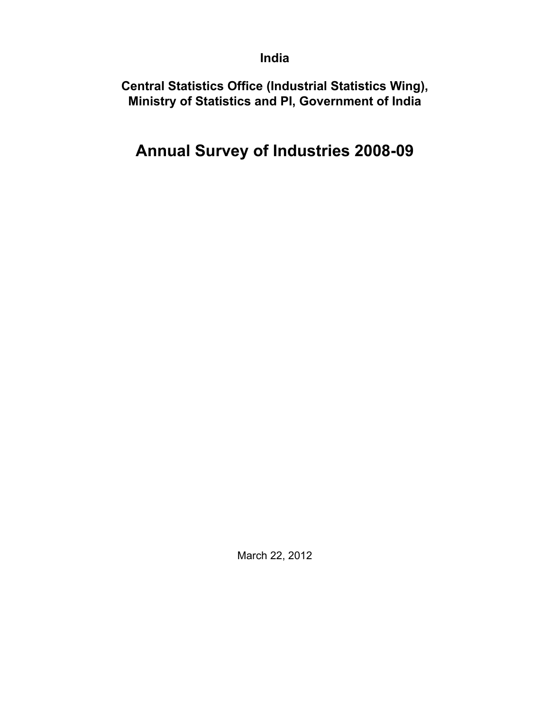**India**

**Central Statistics Office (Industrial Statistics Wing), Ministry of Statistics and PI, Government of India**

# **Annual Survey of Industries 2008-09**

March 22, 2012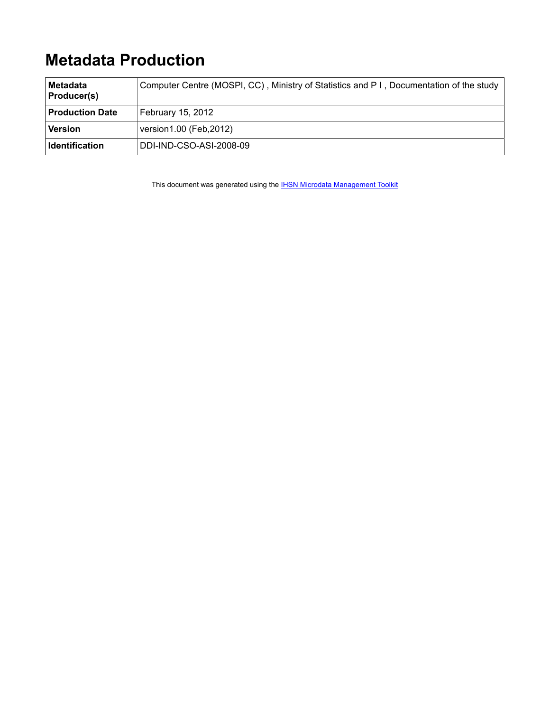# **Metadata Production**

| ∣Metadata<br><b>Producer(s)</b> | Computer Centre (MOSPI, CC), Ministry of Statistics and P I, Documentation of the study |
|---------------------------------|-----------------------------------------------------------------------------------------|
| <b>Production Date</b>          | February 15, 2012                                                                       |
| Version                         | version1.00 (Feb, 2012)                                                                 |
| ∣ Identification                | DDI-IND-CSO-ASI-2008-09                                                                 |

This document was generated using the **[IHSN Microdata Management Toolkit](http://www.surveynetwork.org/toolkit)**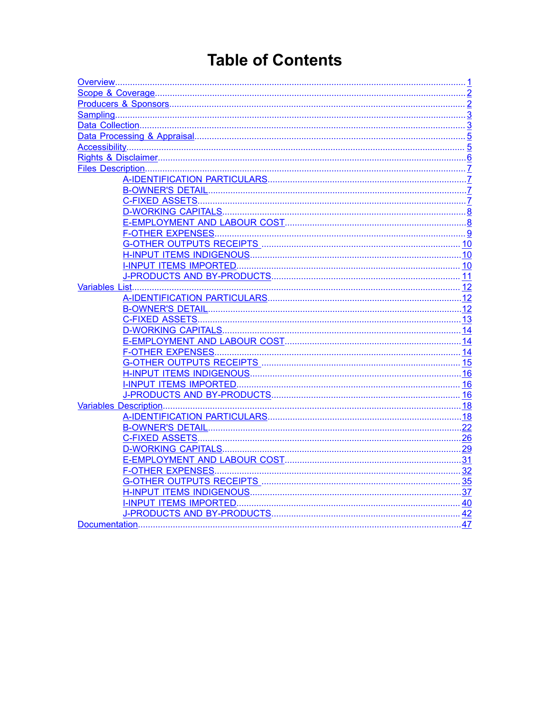# **Table of Contents**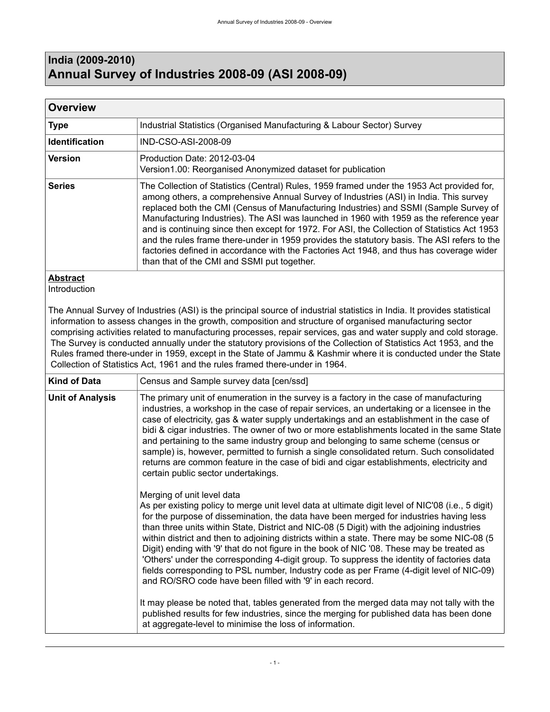# <span id="page-4-0"></span>**India (2009-2010) Annual Survey of Industries 2008-09 (ASI 2008-09)**

| <b>Overview</b>       |                                                                                                                                                                                                                                                                                                                                                                                                                                                                                                                                                                                                                                                                                                                   |
|-----------------------|-------------------------------------------------------------------------------------------------------------------------------------------------------------------------------------------------------------------------------------------------------------------------------------------------------------------------------------------------------------------------------------------------------------------------------------------------------------------------------------------------------------------------------------------------------------------------------------------------------------------------------------------------------------------------------------------------------------------|
| <b>Type</b>           | Industrial Statistics (Organised Manufacturing & Labour Sector) Survey                                                                                                                                                                                                                                                                                                                                                                                                                                                                                                                                                                                                                                            |
| <b>Identification</b> | IND-CSO-ASI-2008-09                                                                                                                                                                                                                                                                                                                                                                                                                                                                                                                                                                                                                                                                                               |
| <b>Version</b>        | Production Date: 2012-03-04<br>Version1.00: Reorganised Anonymized dataset for publication                                                                                                                                                                                                                                                                                                                                                                                                                                                                                                                                                                                                                        |
| <b>Series</b>         | The Collection of Statistics (Central) Rules, 1959 framed under the 1953 Act provided for,<br>among others, a comprehensive Annual Survey of Industries (ASI) in India. This survey<br>replaced both the CMI (Census of Manufacturing Industries) and SSMI (Sample Survey of<br>Manufacturing Industries). The ASI was launched in 1960 with 1959 as the reference year<br>and is continuing since then except for 1972. For ASI, the Collection of Statistics Act 1953<br>and the rules frame there-under in 1959 provides the statutory basis. The ASI refers to the<br>factories defined in accordance with the Factories Act 1948, and thus has coverage wider<br>than that of the CMI and SSMI put together. |

## **Abstract**

**Introduction** 

The Annual Survey of Industries (ASI) is the principal source of industrial statistics in India. It provides statistical information to assess changes in the growth, composition and structure of organised manufacturing sector comprising activities related to manufacturing processes, repair services, gas and water supply and cold storage. The Survey is conducted annually under the statutory provisions of the Collection of Statistics Act 1953, and the Rules framed there-under in 1959, except in the State of Jammu & Kashmir where it is conducted under the State Collection of Statistics Act, 1961 and the rules framed there-under in 1964.

| <b>Kind of Data</b>     | Census and Sample survey data [cen/ssd]                                                                                                                                                                                                                                                                                                                                                                                                                                                                                                                                                                                                                                                                                                                                    |
|-------------------------|----------------------------------------------------------------------------------------------------------------------------------------------------------------------------------------------------------------------------------------------------------------------------------------------------------------------------------------------------------------------------------------------------------------------------------------------------------------------------------------------------------------------------------------------------------------------------------------------------------------------------------------------------------------------------------------------------------------------------------------------------------------------------|
| <b>Unit of Analysis</b> | The primary unit of enumeration in the survey is a factory in the case of manufacturing<br>industries, a workshop in the case of repair services, an undertaking or a licensee in the<br>case of electricity, gas & water supply undertakings and an establishment in the case of<br>bidi & cigar industries. The owner of two or more establishments located in the same State<br>and pertaining to the same industry group and belonging to same scheme (census or<br>sample) is, however, permitted to furnish a single consolidated return. Such consolidated<br>returns are common feature in the case of bidi and cigar establishments, electricity and<br>certain public sector undertakings.                                                                       |
|                         | Merging of unit level data<br>As per existing policy to merge unit level data at ultimate digit level of NIC'08 (i.e., 5 digit)<br>for the purpose of dissemination, the data have been merged for industries having less<br>than three units within State, District and NIC-08 (5 Digit) with the adjoining industries<br>within district and then to adjoining districts within a state. There may be some NIC-08 (5<br>Digit) ending with '9' that do not figure in the book of NIC '08. These may be treated as<br>'Others' under the corresponding 4-digit group. To suppress the identity of factories data<br>fields corresponding to PSL number, Industry code as per Frame (4-digit level of NIC-09)<br>and RO/SRO code have been filled with '9' in each record. |
|                         | It may please be noted that, tables generated from the merged data may not tally with the<br>published results for few industries, since the merging for published data has been done<br>at aggregate-level to minimise the loss of information.                                                                                                                                                                                                                                                                                                                                                                                                                                                                                                                           |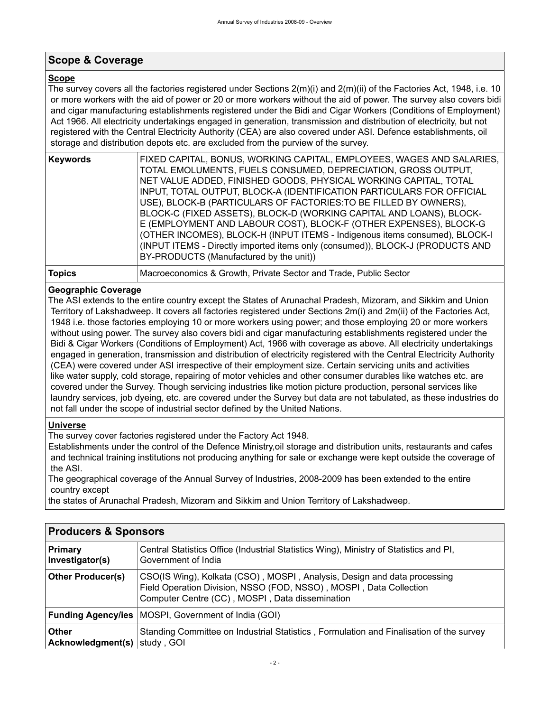## <span id="page-5-0"></span>**Scope & Coverage**

### **Scope**

The survey covers all the factories registered under Sections 2(m)(i) and 2(m)(ii) of the Factories Act, 1948, i.e. 10 or more workers with the aid of power or 20 or more workers without the aid of power. The survey also covers bidi and cigar manufacturing establishments registered under the Bidi and Cigar Workers (Conditions of Employment) Act 1966. All electricity undertakings engaged in generation, transmission and distribution of electricity, but not registered with the Central Electricity Authority (CEA) are also covered under ASI. Defence establishments, oil storage and distribution depots etc. are excluded from the purview of the survey.

| <b>Keywords</b> | FIXED CAPITAL, BONUS, WORKING CAPITAL, EMPLOYEES, WAGES AND SALARIES,<br>TOTAL EMOLUMENTS, FUELS CONSUMED, DEPRECIATION, GROSS OUTPUT,<br>NET VALUE ADDED, FINISHED GOODS, PHYSICAL WORKING CAPITAL, TOTAL<br>INPUT, TOTAL OUTPUT, BLOCK-A (IDENTIFICATION PARTICULARS FOR OFFICIAL<br>USE), BLOCK-B (PARTICULARS OF FACTORIES: TO BE FILLED BY OWNERS),<br>BLOCK-C (FIXED ASSETS), BLOCK-D (WORKING CAPITAL AND LOANS), BLOCK-<br>E (EMPLOYMENT AND LABOUR COST), BLOCK-F (OTHER EXPENSES), BLOCK-G<br>(OTHER INCOMES), BLOCK-H (INPUT ITEMS - Indigenous items consumed), BLOCK-I<br>(INPUT ITEMS - Directly imported items only (consumed)), BLOCK-J (PRODUCTS AND<br>BY-PRODUCTS (Manufactured by the unit)) |
|-----------------|------------------------------------------------------------------------------------------------------------------------------------------------------------------------------------------------------------------------------------------------------------------------------------------------------------------------------------------------------------------------------------------------------------------------------------------------------------------------------------------------------------------------------------------------------------------------------------------------------------------------------------------------------------------------------------------------------------------|
|                 |                                                                                                                                                                                                                                                                                                                                                                                                                                                                                                                                                                                                                                                                                                                  |

**Topics** Macroeconomics & Growth, Private Sector and Trade, Public Sector

### **Geographic Coverage**

The ASI extends to the entire country except the States of Arunachal Pradesh, Mizoram, and Sikkim and Union Territory of Lakshadweep. It covers all factories registered under Sections 2m(i) and 2m(ii) of the Factories Act, 1948 i.e. those factories employing 10 or more workers using power; and those employing 20 or more workers without using power. The survey also covers bidi and cigar manufacturing establishments registered under the Bidi & Cigar Workers (Conditions of Employment) Act, 1966 with coverage as above. All electricity undertakings engaged in generation, transmission and distribution of electricity registered with the Central Electricity Authority (CEA) were covered under ASI irrespective of their employment size. Certain servicing units and activities like water supply, cold storage, repairing of motor vehicles and other consumer durables like watches etc. are covered under the Survey. Though servicing industries like motion picture production, personal services like laundry services, job dyeing, etc. are covered under the Survey but data are not tabulated, as these industries do not fall under the scope of industrial sector defined by the United Nations.

### **Universe**

The survey cover factories registered under the Factory Act 1948.

Establishments under the control of the Defence Ministry,oil storage and distribution units, restaurants and cafes and technical training institutions not producing anything for sale or exchange were kept outside the coverage of the ASI.

The geographical coverage of the Annual Survey of Industries, 2008-2009 has been extended to the entire country except

the states of Arunachal Pradesh, Mizoram and Sikkim and Union Territory of Lakshadweep.

<span id="page-5-1"></span>

| <b>Producers &amp; Sponsors</b>                  |                                                                                                                                                                                                   |
|--------------------------------------------------|---------------------------------------------------------------------------------------------------------------------------------------------------------------------------------------------------|
| <b>Primary</b><br>Investigator(s)                | Central Statistics Office (Industrial Statistics Wing), Ministry of Statistics and PI,<br>Government of India                                                                                     |
| <b>Other Producer(s)</b>                         | CSO(IS Wing), Kolkata (CSO), MOSPI, Analysis, Design and data processing<br>Field Operation Division, NSSO (FOD, NSSO), MOSPI, Data Collection<br>Computer Centre (CC), MOSPI, Data dissemination |
|                                                  | <b>Funding Agency/ies</b>   MOSPI, Government of India (GOI)                                                                                                                                      |
| <b>Other</b><br>Acknowledgment(s) $ $ study, GOI | Standing Committee on Industrial Statistics, Formulation and Finalisation of the survey                                                                                                           |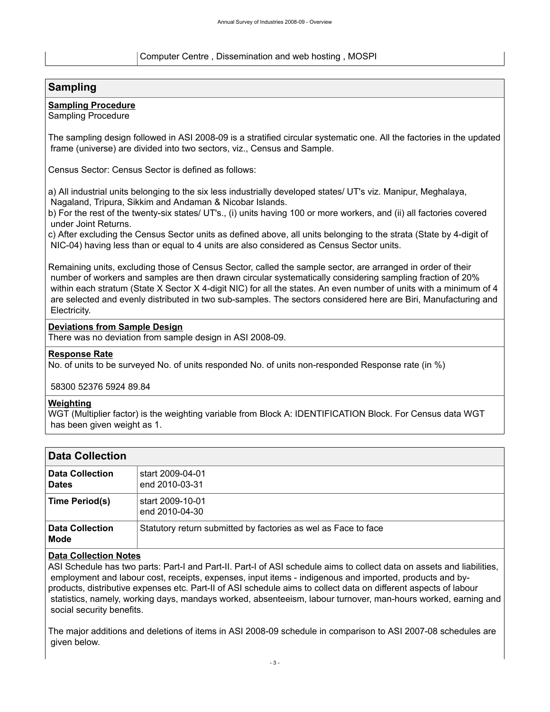#### Computer Centre , Dissemination and web hosting , MOSPI

### <span id="page-6-0"></span>**Sampling**

### **Sampling Procedure**

Sampling Procedure

The sampling design followed in ASI 2008-09 is a stratified circular systematic one. All the factories in the updated frame (universe) are divided into two sectors, viz., Census and Sample.

Census Sector: Census Sector is defined as follows:

a) All industrial units belonging to the six less industrially developed states/ UT's viz. Manipur, Meghalaya, Nagaland, Tripura, Sikkim and Andaman & Nicobar Islands.

b) For the rest of the twenty-six states/ UT's., (i) units having 100 or more workers, and (ii) all factories covered under Joint Returns.

c) After excluding the Census Sector units as defined above, all units belonging to the strata (State by 4-digit of NIC-04) having less than or equal to 4 units are also considered as Census Sector units.

Remaining units, excluding those of Census Sector, called the sample sector, are arranged in order of their number of workers and samples are then drawn circular systematically considering sampling fraction of 20% within each stratum (State X Sector X 4-digit NIC) for all the states. An even number of units with a minimum of 4 are selected and evenly distributed in two sub-samples. The sectors considered here are Biri, Manufacturing and Electricity.

#### **Deviations from Sample Design**

There was no deviation from sample design in ASI 2008-09.

#### **Response Rate**

No. of units to be surveyed No. of units responded No. of units non-responded Response rate (in %)

58300 52376 5924 89.84

#### **Weighting**

WGT (Multiplier factor) is the weighting variable from Block A: IDENTIFICATION Block. For Census data WGT has been given weight as 1.

<span id="page-6-1"></span>

| <b>Data Collection</b>                 |                                                                |
|----------------------------------------|----------------------------------------------------------------|
| <b>Data Collection</b><br><b>Dates</b> | start 2009-04-01<br>end 2010-03-31                             |
| Time Period(s)                         | start 2009-10-01<br>end 2010-04-30                             |
| <b>Data Collection</b><br>Mode         | Statutory return submitted by factories as wel as Face to face |

### **Data Collection Notes**

ASI Schedule has two parts: Part-I and Part-II. Part-I of ASI schedule aims to collect data on assets and liabilities, employment and labour cost, receipts, expenses, input items - indigenous and imported, products and byproducts, distributive expenses etc. Part-II of ASI schedule aims to collect data on different aspects of labour statistics, namely, working days, mandays worked, absenteeism, labour turnover, man-hours worked, earning and social security benefits.

The major additions and deletions of items in ASI 2008-09 schedule in comparison to ASI 2007-08 schedules are given below.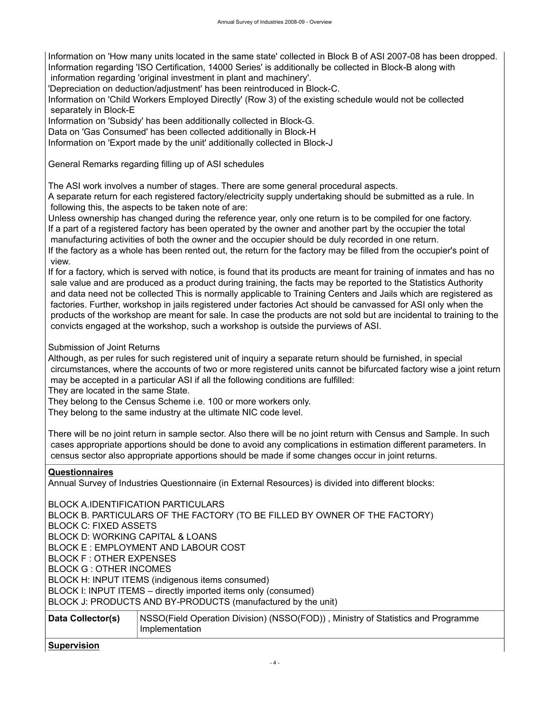Information on 'How many units located in the same state' collected in Block B of ASI 2007-08 has been dropped. Information regarding 'ISO Certification, 14000 Series' is additionally be collected in Block-B along with information regarding 'original investment in plant and machinery'.

'Depreciation on deduction/adjustment' has been reintroduced in Block-C.

Information on 'Child Workers Employed Directly' (Row 3) of the existing schedule would not be collected separately in Block-E

Information on 'Subsidy' has been additionally collected in Block-G.

Data on 'Gas Consumed' has been collected additionally in Block-H

Information on 'Export made by the unit' additionally collected in Block-J

General Remarks regarding filling up of ASI schedules

The ASI work involves a number of stages. There are some general procedural aspects.

A separate return for each registered factory/electricity supply undertaking should be submitted as a rule. In following this, the aspects to be taken note of are:

Unless ownership has changed during the reference year, only one return is to be compiled for one factory. If a part of a registered factory has been operated by the owner and another part by the occupier the total manufacturing activities of both the owner and the occupier should be duly recorded in one return. If the factory as a whole has been rented out, the return for the factory may be filled from the occupier's point of view.

If for a factory, which is served with notice, is found that its products are meant for training of inmates and has no sale value and are produced as a product during training, the facts may be reported to the Statistics Authority and data need not be collected This is normally applicable to Training Centers and Jails which are registered as factories. Further, workshop in jails registered under factories Act should be canvassed for ASI only when the products of the workshop are meant for sale. In case the products are not sold but are incidental to training to the convicts engaged at the workshop, such a workshop is outside the purviews of ASI.

Submission of Joint Returns

Although, as per rules for such registered unit of inquiry a separate return should be furnished, in special circumstances, where the accounts of two or more registered units cannot be bifurcated factory wise a joint return may be accepted in a particular ASI if all the following conditions are fulfilled:

They are located in the same State.

They belong to the Census Scheme i.e. 100 or more workers only.

They belong to the same industry at the ultimate NIC code level.

There will be no joint return in sample sector. Also there will be no joint return with Census and Sample. In such cases appropriate apportions should be done to avoid any complications in estimation different parameters. In census sector also appropriate apportions should be made if some changes occur in joint returns.

#### **Questionnaires**

Annual Survey of Industries Questionnaire (in External Resources) is divided into different blocks:

BLOCK A.IDENTIFICATION PARTICULARS BLOCK B. PARTICULARS OF THE FACTORY (TO BE FILLED BY OWNER OF THE FACTORY) BLOCK C: FIXED ASSETS BLOCK D: WORKING CAPITAL & LOANS BLOCK E : EMPLOYMENT AND LABOUR COST BLOCK F : OTHER EXPENSES BLOCK G : OTHER INCOMES BLOCK H: INPUT ITEMS (indigenous items consumed) BLOCK I: INPUT ITEMS – directly imported items only (consumed) BLOCK J: PRODUCTS AND BY-PRODUCTS (manufactured by the unit)

| Data Collector(s) | NSSO(Field Operation Division) (NSSO(FOD)), Ministry of Statistics and Programme |
|-------------------|----------------------------------------------------------------------------------|
|                   | Implementation                                                                   |

#### **Supervision**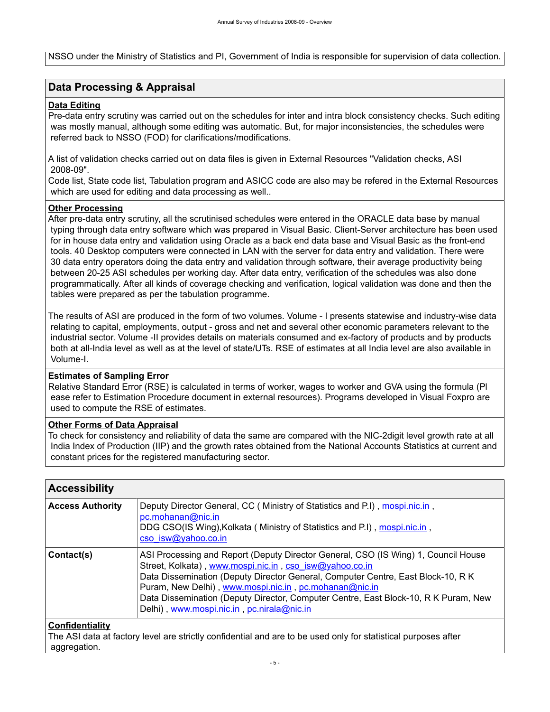NSSO under the Ministry of Statistics and PI, Government of India is responsible for supervision of data collection.

### <span id="page-8-0"></span>**Data Processing & Appraisal**

#### **Data Editing**

Pre-data entry scrutiny was carried out on the schedules for inter and intra block consistency checks. Such editing was mostly manual, although some editing was automatic. But, for major inconsistencies, the schedules were referred back to NSSO (FOD) for clarifications/modifications.

A list of validation checks carried out on data files is given in External Resources "Validation checks, ASI 2008-09".

Code list, State code list, Tabulation program and ASICC code are also may be refered in the External Resources which are used for editing and data processing as well..

#### **Other Processing**

After pre-data entry scrutiny, all the scrutinised schedules were entered in the ORACLE data base by manual typing through data entry software which was prepared in Visual Basic. Client-Server architecture has been used for in house data entry and validation using Oracle as a back end data base and Visual Basic as the front-end tools. 40 Desktop computers were connected in LAN with the server for data entry and validation. There were 30 data entry operators doing the data entry and validation through software, their average productivity being between 20-25 ASI schedules per working day. After data entry, verification of the schedules was also done programmatically. After all kinds of coverage checking and verification, logical validation was done and then the tables were prepared as per the tabulation programme.

The results of ASI are produced in the form of two volumes. Volume - I presents statewise and industry-wise data relating to capital, employments, output - gross and net and several other economic parameters relevant to the industrial sector. Volume -II provides details on materials consumed and ex-factory of products and by products both at all-India level as well as at the level of state/UTs. RSE of estimates at all India level are also available in Volume-I.

### **Estimates of Sampling Error**

Relative Standard Error (RSE) is calculated in terms of worker, wages to worker and GVA using the formula (Pl ease refer to Estimation Procedure document in external resources). Programs developed in Visual Foxpro are used to compute the RSE of estimates.

#### **Other Forms of Data Appraisal**

To check for consistency and reliability of data the same are compared with the NIC-2digit level growth rate at all India Index of Production (IIP) and the growth rates obtained from the National Accounts Statistics at current and constant prices for the registered manufacturing sector.

<span id="page-8-1"></span>

| <b>Accessibility</b>    |                                                                                                                                                                                                                                                                                                                                                                                                                                  |
|-------------------------|----------------------------------------------------------------------------------------------------------------------------------------------------------------------------------------------------------------------------------------------------------------------------------------------------------------------------------------------------------------------------------------------------------------------------------|
| <b>Access Authority</b> | Deputy Director General, CC (Ministry of Statistics and P.I), mospi.nic.in,<br>pc.mohanan@nic.in<br>DDG CSO(IS Wing), Kolkata (Ministry of Statistics and P.I), mospi.nic.in,<br>cso isw@yahoo.co.in                                                                                                                                                                                                                             |
| Contact(s)              | ASI Processing and Report (Deputy Director General, CSO (IS Wing) 1, Council House<br>Street, Kolkata), www.mospi.nic.in, cso isw@yahoo.co.in<br>Data Dissemination (Deputy Director General, Computer Centre, East Block-10, R K<br>Puram, New Delhi), www.mospi.nic.in, pc.mohanan@nic.in<br>Data Dissemination (Deputy Director, Computer Centre, East Block-10, R K Puram, New<br>Delhi), www.mospi.nic.in, pc.nirala@nic.in |

#### **Confidentiality**

The ASI data at factory level are strictly confidential and are to be used only for statistical purposes after aggregation.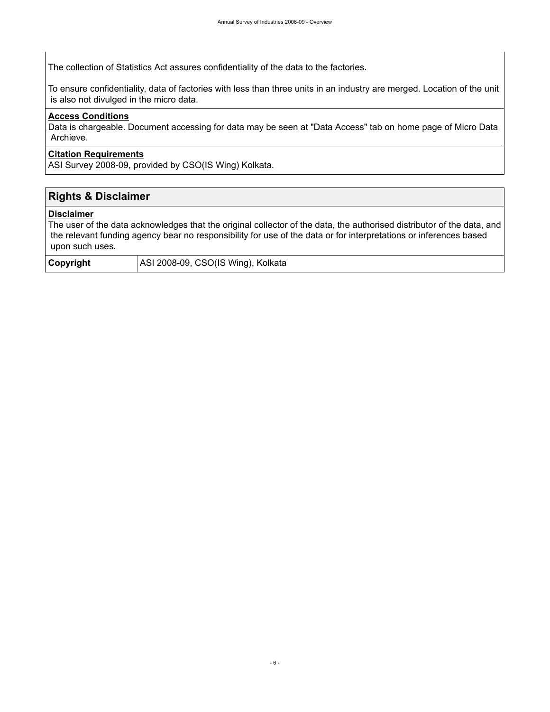The collection of Statistics Act assures confidentiality of the data to the factories.

To ensure confidentiality, data of factories with less than three units in an industry are merged. Location of the unit is also not divulged in the micro data.

### **Access Conditions**

Data is chargeable. Document accessing for data may be seen at "Data Access" tab on home page of Micro Data Archieve.

#### **Citation Requirements**

ASI Survey 2008-09, provided by CSO(IS Wing) Kolkata.

## <span id="page-9-0"></span>**Rights & Disclaimer**

#### **Disclaimer**

The user of the data acknowledges that the original collector of the data, the authorised distributor of the data, and the relevant funding agency bear no responsibility for use of the data or for interpretations or inferences based upon such uses.

| Copyright | ASI 2008-09, CSO(IS Wing), Kolkata |
|-----------|------------------------------------|
|-----------|------------------------------------|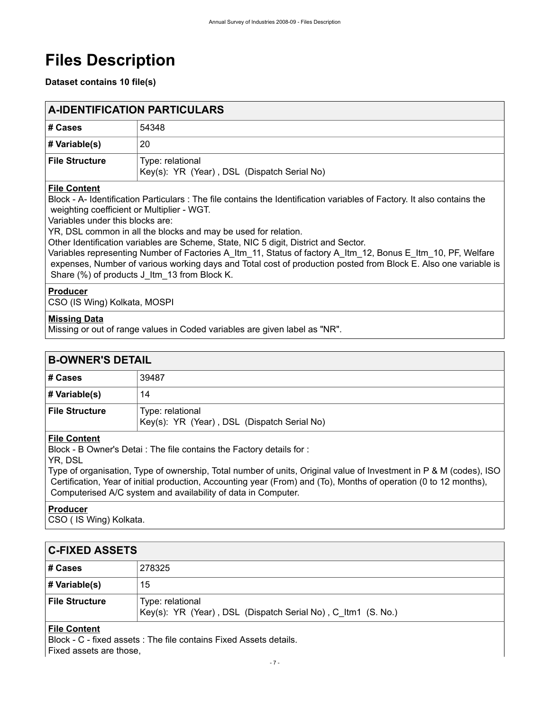# <span id="page-10-0"></span>**Files Description**

### **Dataset contains 10 file(s)**

<span id="page-10-1"></span>

| <b>A-IDENTIFICATION PARTICULARS</b> |                                                                 |
|-------------------------------------|-----------------------------------------------------------------|
| ∣# Cases                            | 54348                                                           |
| # Variable(s)                       | 20                                                              |
| ∣ File Structure                    | Type: relational<br>Key(s): YR (Year), DSL (Dispatch Serial No) |

### **File Content**

Block - A- Identification Particulars : The file contains the Identification variables of Factory. It also contains the weighting coefficient or Multiplier - WGT.

Variables under this blocks are:

YR, DSL common in all the blocks and may be used for relation.

Other Identification variables are Scheme, State, NIC 5 digit, District and Sector.

Variables representing Number of Factories A\_Itm\_11, Status of factory A\_Itm\_12, Bonus E\_Itm\_10, PF, Welfare expenses, Number of various working days and Total cost of production posted from Block E. Also one variable is Share (%) of products J\_Itm\_13 from Block K.

### **Producer**

CSO (IS Wing) Kolkata, MOSPI

### **Missing Data**

Missing or out of range values in Coded variables are given label as "NR".

<span id="page-10-2"></span>

| <b>B-OWNER'S DETAIL</b>                                                                    |                                                                 |
|--------------------------------------------------------------------------------------------|-----------------------------------------------------------------|
| # Cases                                                                                    | 39487                                                           |
| # Variable(s)                                                                              | 14                                                              |
| <b>File Structure</b>                                                                      | Type: relational<br>Key(s): YR (Year), DSL (Dispatch Serial No) |
| <b>File Content</b><br>Block - B Owner's Detai: The file contains the Factory details for: |                                                                 |

## YR, DSL

Type of organisation, Type of ownership, Total number of units, Original value of Investment in P & M (codes), ISO Certification, Year of initial production, Accounting year (From) and (To), Months of operation (0 to 12 months), Computerised A/C system and availability of data in Computer.

### **Producer**

CSO ( IS Wing) Kolkata.

## <span id="page-10-3"></span>**C-FIXED ASSETS**

| # Cases               | 278325                                                                           |
|-----------------------|----------------------------------------------------------------------------------|
| # Variable(s)         | 15                                                                               |
| <b>File Structure</b> | Type: relational<br>Key(s): YR (Year), DSL (Dispatch Serial No), C_Itm1 (S. No.) |

### **File Content**

Block - C - fixed assets : The file contains Fixed Assets details. Fixed assets are those,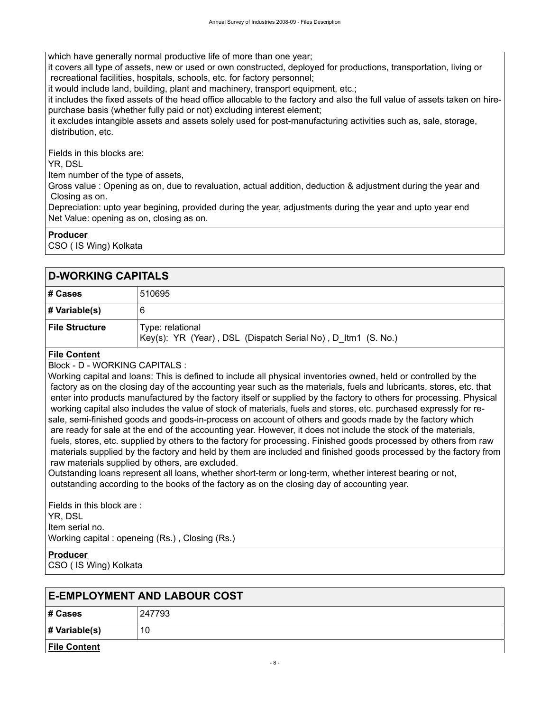which have generally normal productive life of more than one year;

it covers all type of assets, new or used or own constructed, deployed for productions, transportation, living or recreational facilities, hospitals, schools, etc. for factory personnel;

it would include land, building, plant and machinery, transport equipment, etc.;

it includes the fixed assets of the head office allocable to the factory and also the full value of assets taken on hirepurchase basis (whether fully paid or not) excluding interest element;

 it excludes intangible assets and assets solely used for post-manufacturing activities such as, sale, storage, distribution, etc.

Fields in this blocks are:

YR, DSL

Item number of the type of assets,

Gross value : Opening as on, due to revaluation, actual addition, deduction & adjustment during the year and Closing as on.

Depreciation: upto year begining, provided during the year, adjustments during the year and upto year end Net Value: opening as on, closing as on.

### **Producer**

CSO ( IS Wing) Kolkata

### <span id="page-11-0"></span>**D-WORKING CAPITALS**

| ∣# Cases         | 510695                                                                           |
|------------------|----------------------------------------------------------------------------------|
| # Variable(s)    | 6                                                                                |
| ∣ File Structure | Type: relational<br>Key(s): YR (Year), DSL (Dispatch Serial No), D_Itm1 (S. No.) |

### **File Content**

Block - D - WORKING CAPITALS :

Working capital and loans: This is defined to include all physical inventories owned, held or controlled by the factory as on the closing day of the accounting year such as the materials, fuels and lubricants, stores, etc. that enter into products manufactured by the factory itself or supplied by the factory to others for processing. Physical working capital also includes the value of stock of materials, fuels and stores, etc. purchased expressly for resale, semi-finished goods and goods-in-process on account of others and goods made by the factory which are ready for sale at the end of the accounting year. However, it does not include the stock of the materials, fuels, stores, etc. supplied by others to the factory for processing. Finished goods processed by others from raw materials supplied by the factory and held by them are included and finished goods processed by the factory from raw materials supplied by others, are excluded.

Outstanding loans represent all loans, whether short-term or long-term, whether interest bearing or not, outstanding according to the books of the factory as on the closing day of accounting year.

Fields in this block are : YR, DSL Item serial no. Working capital : openeing (Rs.) , Closing (Rs.)

**Producer** CSO ( IS Wing) Kolkata

<span id="page-11-1"></span>

| <b>E-EMPLOYMENT AND LABOUR COST</b> |        |  |  |  |
|-------------------------------------|--------|--|--|--|
| # Cases                             | 247793 |  |  |  |
| # Variable(s)                       | 10     |  |  |  |
| <b>File Content</b>                 |        |  |  |  |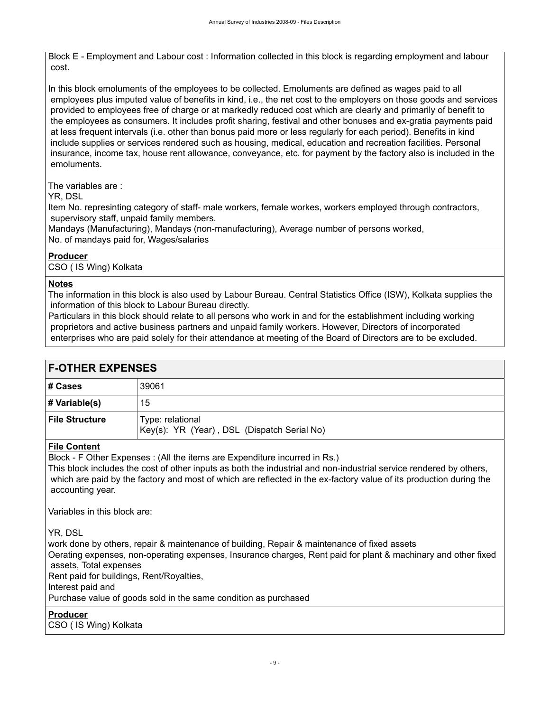Block E - Employment and Labour cost : Information collected in this block is regarding employment and labour cost.

In this block emoluments of the employees to be collected. Emoluments are defined as wages paid to all employees plus imputed value of benefits in kind, i.e., the net cost to the employers on those goods and services provided to employees free of charge or at markedly reduced cost which are clearly and primarily of benefit to the employees as consumers. It includes profit sharing, festival and other bonuses and ex-gratia payments paid at less frequent intervals (i.e. other than bonus paid more or less regularly for each period). Benefits in kind include supplies or services rendered such as housing, medical, education and recreation facilities. Personal insurance, income tax, house rent allowance, conveyance, etc. for payment by the factory also is included in the emoluments.

The variables are :

YR, DSL

Item No. represinting category of staff- male workers, female workes, workers employed through contractors, supervisory staff, unpaid family members.

Mandays (Manufacturing), Mandays (non-manufacturing), Average number of persons worked, No. of mandays paid for, Wages/salaries

### **Producer**

CSO ( IS Wing) Kolkata

### **Notes**

The information in this block is also used by Labour Bureau. Central Statistics Office (ISW), Kolkata supplies the information of this block to Labour Bureau directly.

Particulars in this block should relate to all persons who work in and for the establishment including working proprietors and active business partners and unpaid family workers. However, Directors of incorporated enterprises who are paid solely for their attendance at meeting of the Board of Directors are to be excluded.

<span id="page-12-0"></span>

| <b>F-OTHER EXPENSES</b> |                                                                 |  |  |  |
|-------------------------|-----------------------------------------------------------------|--|--|--|
| # Cases                 | 39061                                                           |  |  |  |
| # Variable(s)           | 15                                                              |  |  |  |
| <b>File Structure</b>   | Type: relational<br>Key(s): YR (Year), DSL (Dispatch Serial No) |  |  |  |
| <b>File Content</b>     |                                                                 |  |  |  |

Block - F Other Expenses : (All the items are Expenditure incurred in Rs.)

This block includes the cost of other inputs as both the industrial and non-industrial service rendered by others, which are paid by the factory and most of which are reflected in the ex-factory value of its production during the accounting year.

Variables in this block are:

YR, DSL

work done by others, repair & maintenance of building, Repair & maintenance of fixed assets Oerating expenses, non-operating expenses, Insurance charges, Rent paid for plant & machinary and other fixed assets, Total expenses Rent paid for buildings, Rent/Royalties, Interest paid and Purchase value of goods sold in the same condition as purchased

**Producer**

CSO ( IS Wing) Kolkata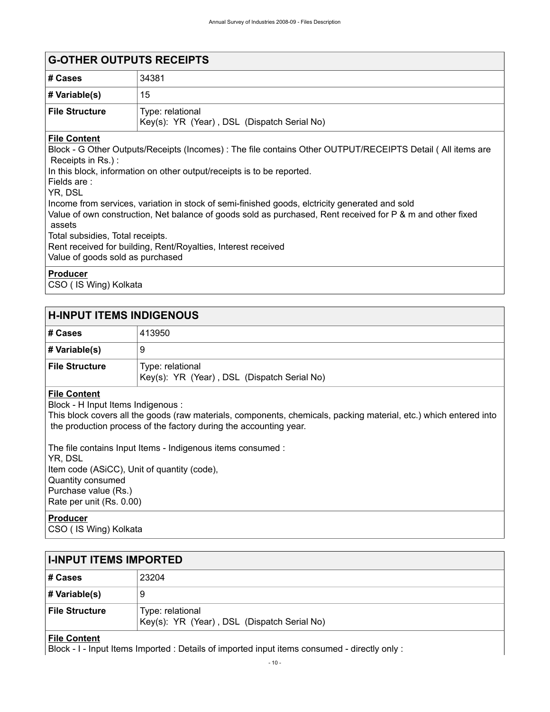<span id="page-13-0"></span>

| <b>G-OTHER OUTPUTS RECEIPTS</b>                                                                |                                                                                                                                                                                      |  |  |  |  |  |
|------------------------------------------------------------------------------------------------|--------------------------------------------------------------------------------------------------------------------------------------------------------------------------------------|--|--|--|--|--|
| # Cases                                                                                        | 34381                                                                                                                                                                                |  |  |  |  |  |
| # Variable(s)                                                                                  | 15                                                                                                                                                                                   |  |  |  |  |  |
| <b>File Structure</b>                                                                          | Type: relational<br>Key(s): YR (Year), DSL (Dispatch Serial No)                                                                                                                      |  |  |  |  |  |
| <b>File Content</b><br>Receipts in Rs.):<br>Fields are:<br>YR, DSL                             | Block - G Other Outputs/Receipts (Incomes) : The file contains Other OUTPUT/RECEIPTS Detail (All items are<br>In this block, information on other output/receipts is to be reported. |  |  |  |  |  |
| Income from services, variation in stock of semi-finished goods, elctricity generated and sold |                                                                                                                                                                                      |  |  |  |  |  |

Value of own construction, Net balance of goods sold as purchased, Rent received for P & m and other fixed assets Total subsidies, Total receipts. Rent received for building, Rent/Royalties, Interest received Value of goods sold as purchased

**Producer**

CSO ( IS Wing) Kolkata

### <span id="page-13-1"></span>**H-INPUT ITEMS INDIGENOUS**

| # Cases               | 413950                                                          |
|-----------------------|-----------------------------------------------------------------|
| # Variable(s)         | 9                                                               |
| <b>File Structure</b> | Type: relational<br>Key(s): YR (Year), DSL (Dispatch Serial No) |

### **File Content**

Block - H Input Items Indigenous :

This block covers all the goods (raw materials, components, chemicals, packing material, etc.) which entered into the production process of the factory during the accounting year.

The file contains Input Items - Indigenous items consumed : YR, DSL Item code (ASiCC), Unit of quantity (code), Quantity consumed Purchase value (Rs.) Rate per unit (Rs. 0.00)

### **Producer**

CSO ( IS Wing) Kolkata

<span id="page-13-2"></span>

| <b>I-INPUT ITEMS IMPORTED</b> |                                                                 |  |  |  |
|-------------------------------|-----------------------------------------------------------------|--|--|--|
| # Cases                       | 23204                                                           |  |  |  |
| # Variable(s)                 | 9                                                               |  |  |  |
| <b>File Structure</b>         | Type: relational<br>Key(s): YR (Year), DSL (Dispatch Serial No) |  |  |  |

### **File Content**

Block - I - Input Items Imported : Details of imported input items consumed - directly only :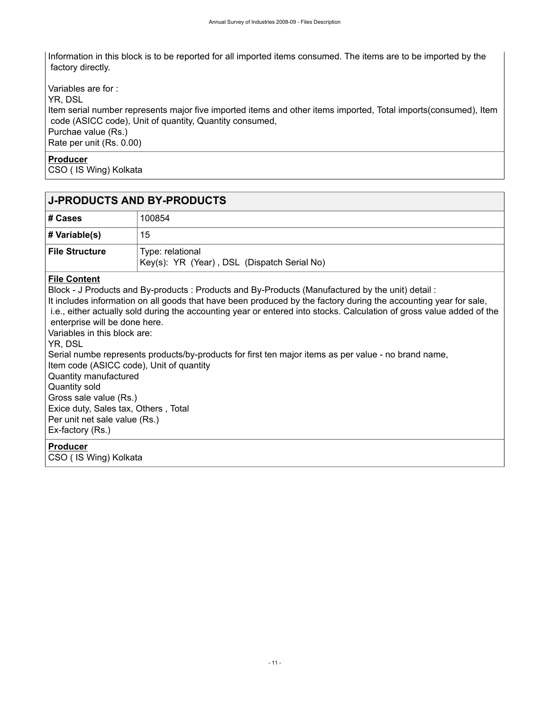Information in this block is to be reported for all imported items consumed. The items are to be imported by the factory directly.

Variables are for : YR, DSL Item serial number represents major five imported items and other items imported, Total imports(consumed), Item code (ASICC code), Unit of quantity, Quantity consumed, Purchae value (Rs.) Rate per unit (Rs. 0.00)

#### **Producer**

CSO ( IS Wing) Kolkata

## <span id="page-14-0"></span>**J-PRODUCTS AND BY-PRODUCTS**

| # Cases               | 100854                                                          |
|-----------------------|-----------------------------------------------------------------|
| # Variable(s)         | 15                                                              |
| <b>File Structure</b> | Type: relational<br>Key(s): YR (Year), DSL (Dispatch Serial No) |

#### **File Content**

Block - J Products and By-products : Products and By-Products (Manufactured by the unit) detail :

It includes information on all goods that have been produced by the factory during the accounting year for sale, i.e., either actually sold during the accounting year or entered into stocks. Calculation of gross value added of the enterprise will be done here.

Variables in this block are:

YR, DSL

Serial numbe represents products/by-products for first ten major items as per value - no brand name, Item code (ASICC code), Unit of quantity Quantity manufactured Quantity sold Gross sale value (Rs.) Exice duty, Sales tax, Others , Total Per unit net sale value (Rs.) Ex-factory (Rs.)

**Producer**

CSO ( IS Wing) Kolkata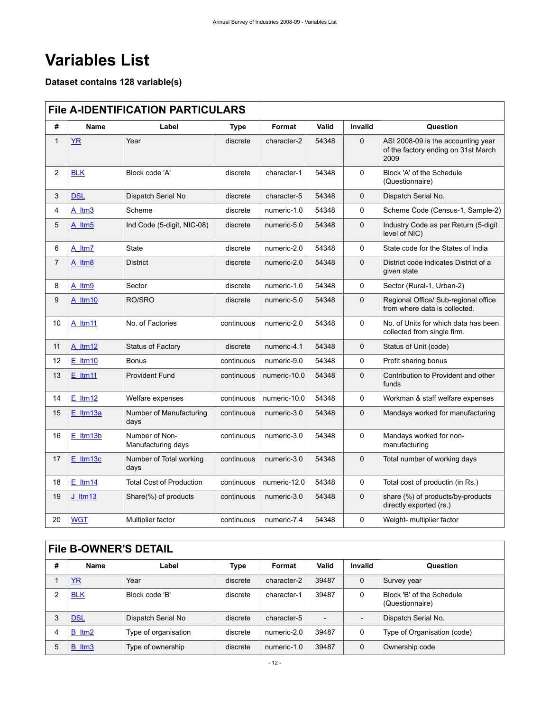# <span id="page-15-0"></span>**Variables List**

## **Dataset contains 128 variable(s)**

# <span id="page-15-1"></span>**File A-IDENTIFICATION PARTICULARS**

| #              | Name               | Label                                | <b>Type</b> | Format       | Valid | Invalid      | Question                                                                          |
|----------------|--------------------|--------------------------------------|-------------|--------------|-------|--------------|-----------------------------------------------------------------------------------|
| $\mathbf{1}$   | YR                 | Year                                 | discrete    | character-2  | 54348 | $\mathbf 0$  | ASI 2008-09 is the accounting year<br>of the factory ending on 31st March<br>2009 |
| $\overline{c}$ | <b>BLK</b>         | Block code 'A'                       | discrete    | character-1  | 54348 | 0            | Block 'A' of the Schedule<br>(Questionnaire)                                      |
| 3              | <b>DSL</b>         | Dispatch Serial No                   | discrete    | character-5  | 54348 | $\mathbf{0}$ | Dispatch Serial No.                                                               |
| 4              | A Itm <sub>3</sub> | Scheme                               | discrete    | numeric-1.0  | 54348 | $\Omega$     | Scheme Code (Census-1, Sample-2)                                                  |
| 5              | A Itm5             | Ind Code (5-digit, NIC-08)           | discrete    | numeric-5.0  | 54348 | $\mathbf{0}$ | Industry Code as per Return (5-digit<br>level of NIC)                             |
| 6              | A ltm7             | <b>State</b>                         | discrete    | numeric-2.0  | 54348 | 0            | State code for the States of India                                                |
| $\overline{7}$ | A Itm <sub>8</sub> | <b>District</b>                      | discrete    | numeric-2.0  | 54348 | $\mathbf 0$  | District code indicates District of a<br>given state                              |
| 8              | A ltm9             | Sector                               | discrete    | numeric-1.0  | 54348 | 0            | Sector (Rural-1, Urban-2)                                                         |
| 9              | A ltm10            | RO/SRO                               | discrete    | numeric-5.0  | 54348 | $\mathbf 0$  | Regional Office/ Sub-regional office<br>from where data is collected.             |
| 10             | A ltm11            | No. of Factories                     | continuous  | numeric-2.0  | 54348 | $\mathbf{0}$ | No. of Units for which data has been<br>collected from single firm.               |
| 11             | A ltm12            | <b>Status of Factory</b>             | discrete    | numeric-4.1  | 54348 | $\mathbf 0$  | Status of Unit (code)                                                             |
| 12             | $E$ ltm10          | <b>Bonus</b>                         | continuous  | numeric-9.0  | 54348 | 0            | Profit sharing bonus                                                              |
| 13             | $E$ Itm11          | <b>Provident Fund</b>                | continuous  | numeric-10.0 | 54348 | $\mathbf 0$  | Contribution to Provident and other<br>funds                                      |
| 14             | $E$ ltm12          | Welfare expenses                     | continuous  | numeric-10.0 | 54348 | 0            | Workman & staff welfare expenses                                                  |
| 15             | $E$ Itm13a         | Number of Manufacturing<br>days      | continuous  | numeric-3.0  | 54348 | $\mathbf 0$  | Mandays worked for manufacturing                                                  |
| 16             | $E$ ltm $13b$      | Number of Non-<br>Manufacturing days | continuous  | numeric-3.0  | 54348 | 0            | Mandays worked for non-<br>manufacturing                                          |
| 17             | $E$ ltm $13c$      | Number of Total working<br>days      | continuous  | numeric-3.0  | 54348 | $\mathbf 0$  | Total number of working days                                                      |
| 18             | $E$ _Itm14         | <b>Total Cost of Production</b>      | continuous  | numeric-12.0 | 54348 | 0            | Total cost of productin (in Rs.)                                                  |
| 19             | <u>J_Itm13</u>     | Share(%) of products                 | continuous  | numeric-3.0  | 54348 | $\mathbf 0$  | share (%) of products/by-products<br>directly exported (rs.)                      |
| 20             | <b>WGT</b>         | Multiplier factor                    | continuous  | numeric-7.4  | 54348 | 0            | Weight- multiplier factor                                                         |

<span id="page-15-2"></span>

|   | <b>File B-OWNER'S DETAIL</b> |                      |             |             |       |                          |                                              |  |  |
|---|------------------------------|----------------------|-------------|-------------|-------|--------------------------|----------------------------------------------|--|--|
| # | Name                         | Label                | <b>Type</b> | Format      | Valid | Invalid                  | Question                                     |  |  |
|   | <b>YR</b>                    | Year                 | discrete    | character-2 | 39487 | $\mathbf 0$              | Survey year                                  |  |  |
| 2 | <b>BLK</b>                   | Block code 'B'       | discrete    | character-1 | 39487 | 0                        | Block 'B' of the Schedule<br>(Questionnaire) |  |  |
| 3 | <b>DSL</b>                   | Dispatch Serial No   | discrete    | character-5 |       | $\overline{\phantom{a}}$ | Dispatch Serial No.                          |  |  |
| 4 | B ltm2                       | Type of organisation | discrete    | numeric-2.0 | 39487 | 0                        | Type of Organisation (code)                  |  |  |
| 5 | B ltm3                       | Type of ownership    | discrete    | numeric-1.0 | 39487 | $\mathbf{0}$             | Ownership code                               |  |  |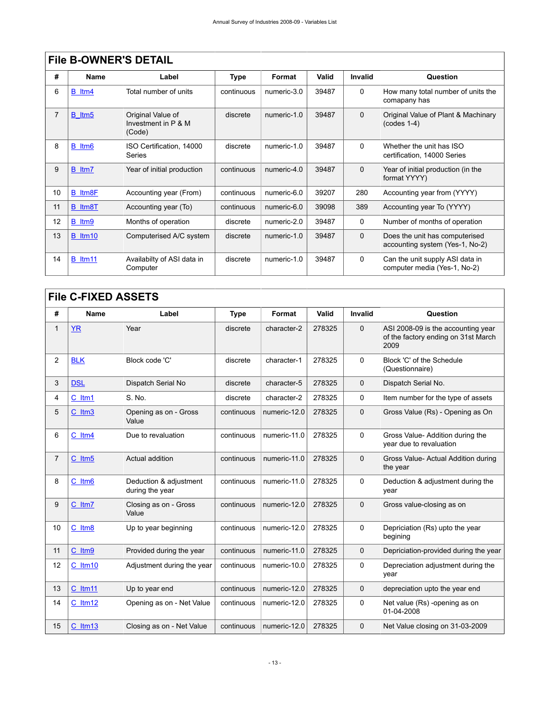| Name    | Label                                              | Type       | Format      | <b>Valid</b> | <b>Invalid</b> | Question                                                          |  |  |  |
|---------|----------------------------------------------------|------------|-------------|--------------|----------------|-------------------------------------------------------------------|--|--|--|
| B ltm4  | Total number of units                              | continuous | numeric-3.0 | 39487        | 0              | How many total number of units the<br>comapany has                |  |  |  |
| B ltm5  | Original Value of<br>Investment in P & M<br>(Code) | discrete   | numeric-1.0 | 39487        | $\Omega$       | Original Value of Plant & Machinary<br>$(codes 1-4)$              |  |  |  |
| B ltm6  | ISO Certification, 14000<br>Series                 | discrete   | numeric-1.0 | 39487        | 0              | Whether the unit has ISO<br>certification, 14000 Series           |  |  |  |
| B ltm7  | Year of initial production                         | continuous | numeric-4.0 | 39487        | $\Omega$       | Year of initial production (in the<br>format YYYY)                |  |  |  |
| B Itm8F | Accounting year (From)                             | continuous | numeric-6.0 | 39207        | 280            | Accounting year from (YYYY)                                       |  |  |  |
| B Itm8T | Accounting year (To)                               | continuous | numeric-6.0 | 39098        | 389            | Accounting year To (YYYY)                                         |  |  |  |
| B ltm9  | Months of operation                                | discrete   | numeric-2.0 | 39487        | 0              | Number of months of operation                                     |  |  |  |
| B ltm10 | Computerised A/C system                            | discrete   | numeric-1.0 | 39487        | $\mathbf 0$    | Does the unit has computerised<br>accounting system (Yes-1, No-2) |  |  |  |
| B ltm11 | Availabilty of ASI data in<br>Computer             | discrete   | numeric-1.0 | 39487        | 0              | Can the unit supply ASI data in<br>computer media (Yes-1, No-2)   |  |  |  |
|         |                                                    |            |             |              |                |                                                                   |  |  |  |

# <span id="page-16-0"></span>**File C-FIXED ASSETS**

| #              | <b>Name</b>  | Label                                     | <b>Type</b> | Format       | Valid  | <b>Invalid</b> | Question                                                                          |  |
|----------------|--------------|-------------------------------------------|-------------|--------------|--------|----------------|-----------------------------------------------------------------------------------|--|
| 1              | <b>YR</b>    | Year                                      | discrete    | character-2  | 278325 | $\mathbf 0$    | ASI 2008-09 is the accounting year<br>of the factory ending on 31st March<br>2009 |  |
| $\overline{c}$ | <b>BLK</b>   | Block code 'C'                            | discrete    | character-1  | 278325 | $\Omega$       | Block 'C' of the Schedule<br>(Questionnaire)                                      |  |
| 3              | <b>DSL</b>   | Dispatch Serial No                        | discrete    | character-5  | 278325 | $\Omega$       | Dispatch Serial No.                                                               |  |
| 4              | C ltm1       | S. No.                                    | discrete    | character-2  | 278325 | $\Omega$       | Item number for the type of assets                                                |  |
| 5              | C Itm3       | Opening as on - Gross<br>Value            | continuous  | numeric-12.0 | 278325 | $\Omega$       | Gross Value (Rs) - Opening as On                                                  |  |
| 6              | C ltm4       | Due to revaluation                        | continuous  | numeric-11.0 | 278325 | $\mathbf 0$    | Gross Value-Addition during the<br>year due to revaluation                        |  |
| 7              | C ltm5       | Actual addition                           | continuous  | numeric-11.0 | 278325 | $\Omega$       | Gross Value- Actual Addition during<br>the year                                   |  |
| 8              | C Itm6       | Deduction & adjustment<br>during the year | continuous  | numeric-11.0 | 278325 | $\Omega$       | Deduction & adjustment during the<br>vear                                         |  |
| 9              | C ltm7       | Closing as on - Gross<br>Value            | continuous  | numeric-12.0 | 278325 | $\Omega$       | Gross value-closing as on                                                         |  |
| 10             | C Itm8       | Up to year beginning                      | continuous  | numeric-12.0 | 278325 | 0              | Depriciation (Rs) upto the year<br>begining                                       |  |
| 11             | C ltm9       | Provided during the year                  | continuous  | numeric-11.0 | 278325 | $\mathbf 0$    | Depriciation-provided during the year                                             |  |
| 12             | $C$ ltm10    | Adjustment during the year                | continuous  | numeric-10.0 | 278325 | $\Omega$       | Depreciation adjustment during the<br>vear                                        |  |
| 13             | $C$ ltm $11$ | Up to year end                            | continuous  | numeric-12.0 | 278325 | $\Omega$       | depreciation upto the year end                                                    |  |
| 14             | C ltm12      | Opening as on - Net Value                 | continuous  | numeric-12.0 | 278325 | 0              | Net value (Rs) -opening as on<br>01-04-2008                                       |  |
| 15             | C ltm13      | Closing as on - Net Value                 | continuous  | numeric-12.0 | 278325 | $\mathbf 0$    | Net Value closing on 31-03-2009                                                   |  |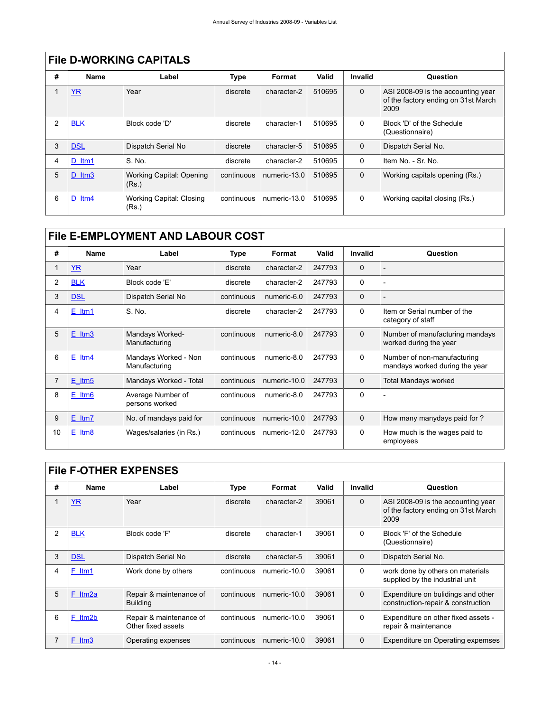|   | THE DEVICINATION VALUALO |                                   |            |              |        |                |                                                                                   |  |  |  |  |
|---|--------------------------|-----------------------------------|------------|--------------|--------|----------------|-----------------------------------------------------------------------------------|--|--|--|--|
| # | Name                     | Label                             | Type       | Format       | Valid  | <b>Invalid</b> | Question                                                                          |  |  |  |  |
|   | <b>YR</b>                | Year                              | discrete   | character-2  | 510695 | $\Omega$       | ASI 2008-09 is the accounting year<br>of the factory ending on 31st March<br>2009 |  |  |  |  |
| 2 | <b>BLK</b>               | Block code 'D'                    | discrete   | character-1  | 510695 | $\mathbf{0}$   | Block 'D' of the Schedule<br>(Questionnaire)                                      |  |  |  |  |
| 3 | <b>DSL</b>               | Dispatch Serial No                | discrete   | character-5  | 510695 | 0              | Dispatch Serial No.                                                               |  |  |  |  |
| 4 | D ltm1                   | S. No.                            | discrete   | character-2  | 510695 | 0              | Item No. - Sr. No.                                                                |  |  |  |  |
| 5 | $D$ ltm3                 | Working Capital: Opening<br>(Rs.) | continuous | numeric-13.0 | 510695 | $\mathbf 0$    | Working capitals opening (Rs.)                                                    |  |  |  |  |
| 6 | D ltm4                   | Working Capital: Closing<br>(Rs.) | continuous | numeric-13.0 | 510695 | $\mathbf 0$    | Working capital closing (Rs.)                                                     |  |  |  |  |

# <span id="page-17-0"></span>**File D-WORKING CAPITALS**

# <span id="page-17-1"></span>**File E-EMPLOYMENT AND LABOUR COST**

| #  | <b>Name</b> | Label                                 | <b>Type</b> | Format       | Valid  | Invalid     | Question                                                      |
|----|-------------|---------------------------------------|-------------|--------------|--------|-------------|---------------------------------------------------------------|
|    | <b>YR</b>   | Year                                  | discrete    | character-2  | 247793 | $\mathbf 0$ |                                                               |
| 2  | <b>BLK</b>  | Block code 'E'                        | discrete    | character-2  | 247793 | 0           | $\overline{a}$                                                |
| 3  | <b>DSL</b>  | Dispatch Serial No                    | continuous  | numeric-6.0  | 247793 | $\mathbf 0$ |                                                               |
| 4  | $E$ ltm1    | S. No.                                | discrete    | character-2  | 247793 | $\Omega$    | Item or Serial number of the<br>category of staff             |
| 5  | $E$ ltm $3$ | Mandays Worked-<br>Manufacturing      | continuous  | numeric-8.0  | 247793 | $\Omega$    | Number of manufacturing mandays<br>worked during the year     |
| 6  | $E$ ltm4    | Mandays Worked - Non<br>Manufacturing | continuous  | numeric-8.0  | 247793 | 0           | Number of non-manufacturing<br>mandays worked during the year |
| 7  | $E$ ltm5    | Mandays Worked - Total                | continuous  | numeric-10.0 | 247793 | $\Omega$    | <b>Total Mandays worked</b>                                   |
| 8  | $E$ ltm $6$ | Average Number of<br>persons worked   | continuous  | numeric-8.0  | 247793 | $\mathbf 0$ | ۰                                                             |
| 9  | $E$ ltm $7$ | No. of mandays paid for               | continuous  | numeric-10.0 | 247793 | $\Omega$    | How many manydays paid for?                                   |
| 10 | $E$ ltm $8$ | Wages/salaries (in Rs.)               | continuous  | numeric-12.0 | 247793 | 0           | How much is the wages paid to<br>employees                    |

<span id="page-17-2"></span>

|  | <b>File F-OTHER EXPENSES</b> |
|--|------------------------------|
|--|------------------------------|

| #              | <b>Name</b> | Label                                         | <b>Type</b> | Format       | Valid | Invalid     | Question                                                                          |
|----------------|-------------|-----------------------------------------------|-------------|--------------|-------|-------------|-----------------------------------------------------------------------------------|
|                | <b>YR</b>   | Year                                          | discrete    | character-2  | 39061 | $\Omega$    | ASI 2008-09 is the accounting year<br>of the factory ending on 31st March<br>2009 |
| $\mathfrak{p}$ | <b>BLK</b>  | Block code 'F'                                | discrete    | character-1  | 39061 | $\Omega$    | Block 'F' of the Schedule<br>(Questionnaire)                                      |
| 3              | <b>DSL</b>  | Dispatch Serial No                            | discrete    | character-5  | 39061 | $\mathbf 0$ | Dispatch Serial No.                                                               |
| 4              | F ltm1      | Work done by others                           | continuous  | numeric-10.0 | 39061 | $\mathbf 0$ | work done by others on materials<br>supplied by the industrial unit               |
| 5              | F<br>ltm2a  | Repair & maintenance of<br><b>Building</b>    | continuous  | numeric-10.0 | 39061 | $\mathbf 0$ | Expenditure on bulidings and other<br>construction-repair & construction          |
| 6              | F ltm2b     | Repair & maintenance of<br>Other fixed assets | continuous  | numeric-10.0 | 39061 | $\mathbf 0$ | Expenditure on other fixed assets -<br>repair & maintenance                       |
| 7              | F Itm3      | Operating expenses                            | continuous  | numeric-10.0 | 39061 | $\mathbf 0$ | Expenditure on Operating expemses                                                 |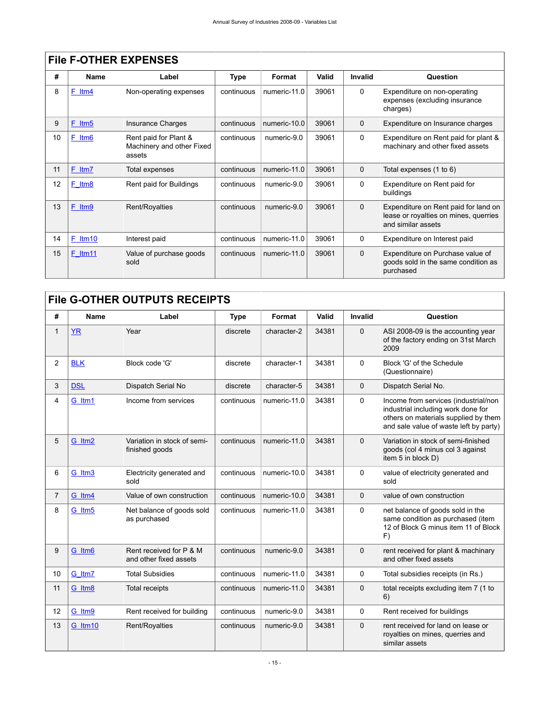|    |                    | <u>FIIG F-UITER EAPENSES</u>                                 |            |              |       |                |                                                                                                     |
|----|--------------------|--------------------------------------------------------------|------------|--------------|-------|----------------|-----------------------------------------------------------------------------------------------------|
| #  | <b>Name</b>        | Label                                                        | Type       | Format       | Valid | <b>Invalid</b> | Question                                                                                            |
| 8  | F<br>ltm4          | Non-operating expenses                                       | continuous | numeric-11.0 | 39061 | $\mathbf 0$    | Expenditure on non-operating<br>expenses (excluding insurance<br>charges)                           |
| 9  | F Itm5             | <b>Insurance Charges</b>                                     | continuous | numeric-10.0 | 39061 | $\mathbf 0$    | Expenditure on Insurance charges                                                                    |
| 10 | F Itm <sub>6</sub> | Rent paid for Plant &<br>Machinery and other Fixed<br>assets | continuous | numeric-9.0  | 39061 | $\Omega$       | Expenditure on Rent paid for plant &<br>machinary and other fixed assets                            |
| 11 | F Itm7             | Total expenses                                               | continuous | numeric-11.0 | 39061 | $\Omega$       | Total expenses (1 to 6)                                                                             |
| 12 | F Itm8             | Rent paid for Buildings                                      | continuous | numeric-9.0  | 39061 | $\mathbf{0}$   | Expenditure on Rent paid for<br>buildings                                                           |
| 13 | F Itm9             | Rent/Royalties                                               | continuous | numeric-9.0  | 39061 | $\Omega$       | Expenditure on Rent paid for land on<br>lease or royalties on mines, querries<br>and similar assets |
| 14 | $F$ ltm10          | Interest paid                                                | continuous | numeric-11.0 | 39061 | 0              | Expenditure on Interest paid                                                                        |
| 15 | $F$ Itm11          | Value of purchase goods<br>sold                              | continuous | numeric-11.0 | 39061 | $\mathbf 0$    | Expenditure on Purchase value of<br>goods sold in the same condition as<br>purchased                |

# **File F-OTHER EXPENSES**

# <span id="page-18-0"></span>**File G-OTHER OUTPUTS RECEIPTS**

| #  | Name       | Label                                             | <b>Type</b> | Format       | Valid | Invalid     | Question                                                                                                                                                     |
|----|------------|---------------------------------------------------|-------------|--------------|-------|-------------|--------------------------------------------------------------------------------------------------------------------------------------------------------------|
|    | <b>YR</b>  | Year                                              | discrete    | character-2  | 34381 | $\Omega$    | ASI 2008-09 is the accounting year<br>of the factory ending on 31st March<br>2009                                                                            |
| 2  | <b>BLK</b> | Block code 'G'                                    | discrete    | character-1  | 34381 | $\Omega$    | Block 'G' of the Schedule<br>(Questionnaire)                                                                                                                 |
| 3  | <b>DSL</b> | Dispatch Serial No                                | discrete    | character-5  | 34381 | $\Omega$    | Dispatch Serial No.                                                                                                                                          |
| 4  | G ltm1     | Income from services                              | continuous  | numeric-11.0 | 34381 | $\Omega$    | Income from services (industrial/non<br>industrial including work done for<br>others on materials supplied by them<br>and sale value of waste left by party) |
| 5  | G ltm2     | Variation in stock of semi-<br>finished goods     | continuous  | numeric-11.0 | 34381 | $\Omega$    | Variation in stock of semi-finished<br>goods (col 4 minus col 3 against<br>item 5 in block D)                                                                |
| 6  | G Itm3     | Electricity generated and<br>sold                 | continuous  | numeric-10.0 | 34381 | $\Omega$    | value of electricity generated and<br>sold                                                                                                                   |
| 7  | G ltm4     | Value of own construction                         | continuous  | numeric-10.0 | 34381 | $\Omega$    | value of own construction                                                                                                                                    |
| 8  | G ltm5     | Net balance of goods sold<br>as purchased         | continuous  | numeric-11.0 | 34381 | $\Omega$    | net balance of goods sold in the<br>same condition as purchased (item<br>12 of Block G minus item 11 of Block<br>F)                                          |
| 9  | G Itm6     | Rent received for P & M<br>and other fixed assets | continuous  | numeric-9.0  | 34381 | $\mathbf 0$ | rent received for plant & machinary<br>and other fixed assets                                                                                                |
| 10 | G ltm7     | <b>Total Subsidies</b>                            | continuous  | numeric-11.0 | 34381 | $\Omega$    | Total subsidies receipts (in Rs.)                                                                                                                            |
| 11 | G Itm8     | <b>Total receipts</b>                             | continuous  | numeric-11.0 | 34381 | $\Omega$    | total receipts excluding item 7 (1 to<br>6)                                                                                                                  |
| 12 | G ltm9     | Rent received for building                        | continuous  | numeric-9.0  | 34381 | $\Omega$    | Rent received for buildings                                                                                                                                  |
| 13 | G ltm10    | Rent/Royalties                                    | continuous  | numeric-9.0  | 34381 | $\Omega$    | rent received for land on lease or<br>royalties on mines, querries and<br>similar assets                                                                     |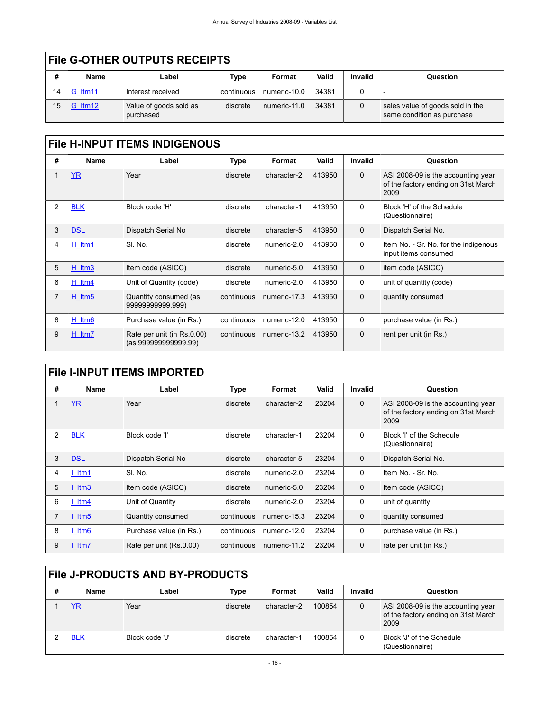|    | <b>File G-OTHER OUTPUTS RECEIPTS</b> |                                     |             |                                |       |             |                                                                |  |  |  |
|----|--------------------------------------|-------------------------------------|-------------|--------------------------------|-------|-------------|----------------------------------------------------------------|--|--|--|
| #  | <b>Name</b>                          | Label                               | <b>Type</b> | Format                         | Valid | Invalid     | Question                                                       |  |  |  |
| 14 | G ltm11                              | Interest received                   | continuous  | $\lceil$ numeric-10.0 $\lceil$ | 34381 | 0           |                                                                |  |  |  |
| 15 | <b>G_Itm12</b>                       | Value of goods sold as<br>purchased | discrete    | $\vert$ numeric-11.0 $\vert$   | 34381 | $\mathbf 0$ | sales value of goods sold in the<br>same condition as purchase |  |  |  |

<span id="page-19-0"></span>

| # | Name               | Label                                             | Type       | Format       | <b>Valid</b> | Invalid      | Question                                                                          |
|---|--------------------|---------------------------------------------------|------------|--------------|--------------|--------------|-----------------------------------------------------------------------------------|
|   | <b>YR</b>          | Year                                              | discrete   | character-2  | 413950       | $\Omega$     | ASI 2008-09 is the accounting year<br>of the factory ending on 31st March<br>2009 |
| 2 | <b>BLK</b>         | Block code 'H'                                    | discrete   | character-1  | 413950       | $\Omega$     | Block 'H' of the Schedule<br>(Questionnaire)                                      |
| 3 | <b>DSL</b>         | Dispatch Serial No                                | discrete   | character-5  | 413950       | $\Omega$     | Dispatch Serial No.                                                               |
| 4 | H ltm1             | SI. No.                                           | discrete   | numeric-2.0  | 413950       | 0            | Item No. - Sr. No. for the indigenous<br>input items consumed                     |
| 5 | $H$ ltm $3$        | Item code (ASICC)                                 | discrete   | numeric-5.0  | 413950       | $\mathbf 0$  | item code (ASICC)                                                                 |
| 6 | $H$ ltm4           | Unit of Quantity (code)                           | discrete   | numeric-2.0  | 413950       | $\mathbf{0}$ | unit of quantity (code)                                                           |
| 7 | $H$ ltm5           | Quantity consumed (as<br>9999999999.999)          | continuous | numeric-17.3 | 413950       | $\mathbf 0$  | quantity consumed                                                                 |
| 8 | H Itm <sub>6</sub> | Purchase value (in Rs.)                           | continuous | numeric-12.0 | 413950       | 0            | purchase value (in Rs.)                                                           |
| 9 | H Itm7             | Rate per unit (in Rs.0.00)<br>(as 99999999999.99) | continuous | numeric-13.2 | 413950       | $\Omega$     | rent per unit (in Rs.)                                                            |

## <span id="page-19-1"></span>**File I-INPUT ITEMS IMPORTED**

| #              | <b>Name</b>            | Label                   | <b>Type</b> | Format       | Valid | Invalid      | Question                                                                          |
|----------------|------------------------|-------------------------|-------------|--------------|-------|--------------|-----------------------------------------------------------------------------------|
|                | <b>YR</b>              | Year                    | discrete    | character-2  | 23204 | $\mathbf{0}$ | ASI 2008-09 is the accounting year<br>of the factory ending on 31st March<br>2009 |
| 2              | <b>BLK</b>             | Block code 'l'          | discrete    | character-1  | 23204 | $\mathbf{0}$ | Block 'I' of the Schedule<br>(Questionnaire)                                      |
| 3              | <b>DSL</b>             | Dispatch Serial No      | discrete    | character-5  | 23204 | $\Omega$     | Dispatch Serial No.                                                               |
| 4              | ltm1                   | SI. No.                 | discrete    | numeric-2.0  | 23204 | $\Omega$     | Item No. - Sr. No.                                                                |
| 5              | Itm3                   | Item code (ASICC)       | discrete    | numeric-5.0  | 23204 | $\mathbf 0$  | Item code (ASICC)                                                                 |
| 6              | $l$ ltm4               | Unit of Quantity        | discrete    | numeric-2.0  | 23204 | 0            | unit of quantity                                                                  |
| $\overline{7}$ | $l$ ltm5               | Quantity consumed       | continuous  | numeric-15.3 | 23204 | $\mathbf 0$  | quantity consumed                                                                 |
| 8              | $l$ ltm $6$            | Purchase value (in Rs.) | continuous  | numeric-12.0 | 23204 | 0            | purchase value (in Rs.)                                                           |
| 9              | $l$ ltm $\overline{7}$ | Rate per unit (Rs.0.00) | continuous  | numeric-11.2 | 23204 | $\mathbf 0$  | rate per unit (in Rs.)                                                            |

# <span id="page-19-2"></span>**File J-PRODUCTS AND BY-PRODUCTS**

| Name       | Label          | Type     | Format      | Valid  | Invalid | Question                                                                          |
|------------|----------------|----------|-------------|--------|---------|-----------------------------------------------------------------------------------|
| YR         | Year           | discrete | character-2 | 100854 | 0       | ASI 2008-09 is the accounting year<br>of the factory ending on 31st March<br>2009 |
| <b>BLK</b> | Block code 'J' | discrete | character-1 | 100854 |         | Block 'J' of the Schedule<br>(Questionnaire)                                      |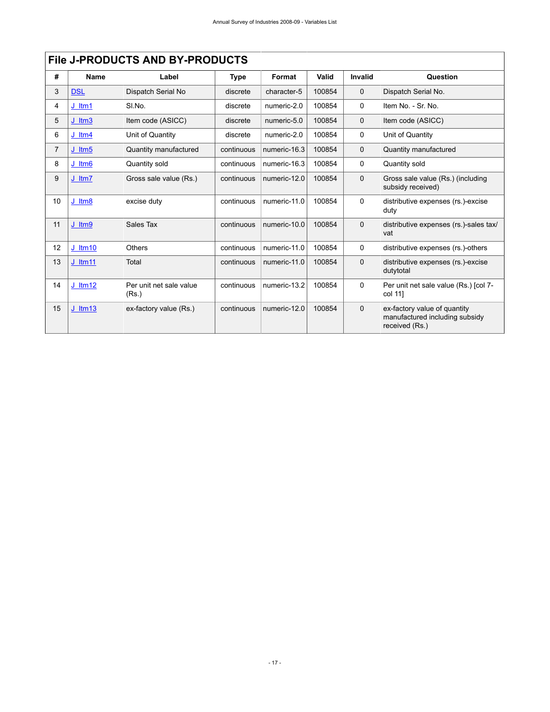|                |             | <b>File J-PRODUCTS AND BY-PRODUCTS</b> |             |              |        |             |                                                                                  |
|----------------|-------------|----------------------------------------|-------------|--------------|--------|-------------|----------------------------------------------------------------------------------|
| #              | <b>Name</b> | Label                                  | <b>Type</b> | Format       | Valid  | Invalid     | <b>Question</b>                                                                  |
| 3              | <b>DSL</b>  | Dispatch Serial No                     | discrete    | character-5  | 100854 | $\mathbf 0$ | Dispatch Serial No.                                                              |
| 4              | $J$ ltm1    | SI.No.                                 | discrete    | numeric-2.0  | 100854 | 0           | Item No. - Sr. No.                                                               |
| 5              | $J$ ltm $3$ | Item code (ASICC)                      | discrete    | numeric-5.0  | 100854 | $\Omega$    | Item code (ASICC)                                                                |
| 6              | $J$ ltm4    | Unit of Quantity                       | discrete    | numeric-2.0  | 100854 | 0           | Unit of Quantity                                                                 |
| $\overline{7}$ | $J$ ltm $5$ | Quantity manufactured                  | continuous  | numeric-16.3 | 100854 | $\Omega$    | Quantity manufactured                                                            |
| 8              | $J$ ltm $6$ | Quantity sold                          | continuous  | numeric-16.3 | 100854 | 0           | Quantity sold                                                                    |
| 9              | $J$ ltm $7$ | Gross sale value (Rs.)                 | continuous  | numeric-12.0 | 100854 | $\Omega$    | Gross sale value (Rs.) (including<br>subsidy received)                           |
| 10             | J Itm8      | excise duty                            | continuous  | numeric-11.0 | 100854 | 0           | distributive expenses (rs.)-excise<br>duty                                       |
| 11             | J Itm9      | Sales Tax                              | continuous  | numeric-10.0 | 100854 | $\mathbf 0$ | distributive expenses (rs.)-sales tax/<br>vat                                    |
| 12             | $J$ ltm10   | <b>Others</b>                          | continuous  | numeric-11.0 | 100854 | 0           | distributive expenses (rs.)-others                                               |
| 13             | J_Itm11     | Total                                  | continuous  | numeric-11.0 | 100854 | $\mathbf 0$ | distributive expenses (rs.)-excise<br>dutytotal                                  |
| 14             | J ltm12     | Per unit net sale value<br>(Rs.)       | continuous  | numeric-13.2 | 100854 | 0           | Per unit net sale value (Rs.) [col 7-<br>col 11]                                 |
| 15             | $J$ ltm13   | ex-factory value (Rs.)                 | continuous  | numeric-12.0 | 100854 | $\Omega$    | ex-factory value of quantity<br>manufactured including subsidy<br>received (Rs.) |

 $\sqrt{2}$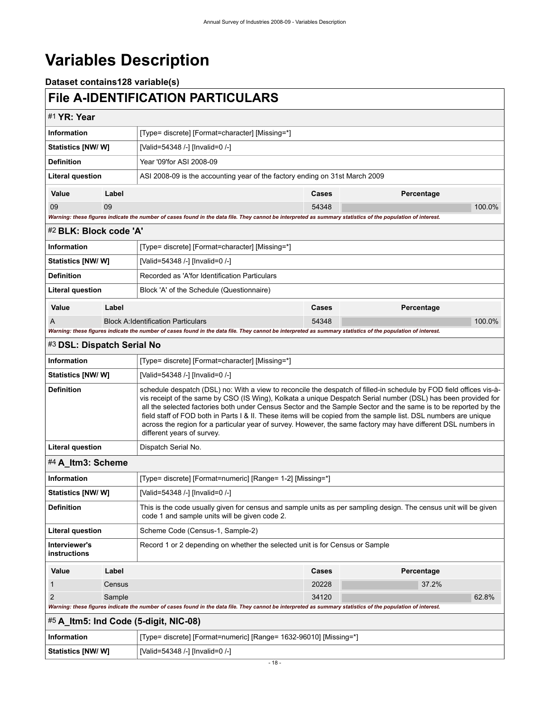# <span id="page-21-0"></span>**Variables Description**

**Dataset contains128 variable(s)**

# <span id="page-21-1"></span>**File A-IDENTIFICATION PARTICULARS**

<span id="page-21-6"></span><span id="page-21-5"></span><span id="page-21-4"></span><span id="page-21-3"></span><span id="page-21-2"></span>

| #1 YR: Year                                                                                                                                                                                                                                                                                                                                                                                                                                                                                                                                                                                                                                      |        |                                                                                                                                                                   |       |            |        |  |  |  |
|--------------------------------------------------------------------------------------------------------------------------------------------------------------------------------------------------------------------------------------------------------------------------------------------------------------------------------------------------------------------------------------------------------------------------------------------------------------------------------------------------------------------------------------------------------------------------------------------------------------------------------------------------|--------|-------------------------------------------------------------------------------------------------------------------------------------------------------------------|-------|------------|--------|--|--|--|
| <b>Information</b>                                                                                                                                                                                                                                                                                                                                                                                                                                                                                                                                                                                                                               |        | [Type= discrete] [Format=character] [Missing=*]                                                                                                                   |       |            |        |  |  |  |
| Statistics [NW/W]                                                                                                                                                                                                                                                                                                                                                                                                                                                                                                                                                                                                                                |        | [Valid=54348 /-] [Invalid=0 /-]                                                                                                                                   |       |            |        |  |  |  |
| <b>Definition</b>                                                                                                                                                                                                                                                                                                                                                                                                                                                                                                                                                                                                                                |        | Year '09'for ASI 2008-09                                                                                                                                          |       |            |        |  |  |  |
| <b>Literal question</b>                                                                                                                                                                                                                                                                                                                                                                                                                                                                                                                                                                                                                          |        | ASI 2008-09 is the accounting year of the factory ending on 31st March 2009                                                                                       |       |            |        |  |  |  |
| Value                                                                                                                                                                                                                                                                                                                                                                                                                                                                                                                                                                                                                                            | Label  |                                                                                                                                                                   | Cases | Percentage |        |  |  |  |
| 09                                                                                                                                                                                                                                                                                                                                                                                                                                                                                                                                                                                                                                               | 09     |                                                                                                                                                                   | 54348 |            | 100.0% |  |  |  |
|                                                                                                                                                                                                                                                                                                                                                                                                                                                                                                                                                                                                                                                  |        | Warning: these figures indicate the number of cases found in the data file. They cannot be interpreted as summary statistics of the population of interest.       |       |            |        |  |  |  |
| #2 BLK: Block code 'A'                                                                                                                                                                                                                                                                                                                                                                                                                                                                                                                                                                                                                           |        |                                                                                                                                                                   |       |            |        |  |  |  |
| <b>Information</b>                                                                                                                                                                                                                                                                                                                                                                                                                                                                                                                                                                                                                               |        | [Type= discrete] [Format=character] [Missing=*]                                                                                                                   |       |            |        |  |  |  |
| Statistics [NW/ W]                                                                                                                                                                                                                                                                                                                                                                                                                                                                                                                                                                                                                               |        | [Valid=54348 /-] [Invalid=0 /-]                                                                                                                                   |       |            |        |  |  |  |
| <b>Definition</b>                                                                                                                                                                                                                                                                                                                                                                                                                                                                                                                                                                                                                                |        | Recorded as 'A'for Identification Particulars                                                                                                                     |       |            |        |  |  |  |
| <b>Literal question</b>                                                                                                                                                                                                                                                                                                                                                                                                                                                                                                                                                                                                                          |        | Block 'A' of the Schedule (Questionnaire)                                                                                                                         |       |            |        |  |  |  |
| Value<br>Label                                                                                                                                                                                                                                                                                                                                                                                                                                                                                                                                                                                                                                   |        |                                                                                                                                                                   | Cases | Percentage |        |  |  |  |
| A                                                                                                                                                                                                                                                                                                                                                                                                                                                                                                                                                                                                                                                |        | <b>Block A: Identification Particulars</b>                                                                                                                        | 54348 |            | 100.0% |  |  |  |
|                                                                                                                                                                                                                                                                                                                                                                                                                                                                                                                                                                                                                                                  |        | Warning: these figures indicate the number of cases found in the data file. They cannot be interpreted as summary statistics of the population of interest.       |       |            |        |  |  |  |
| #3 DSL: Dispatch Serial No                                                                                                                                                                                                                                                                                                                                                                                                                                                                                                                                                                                                                       |        |                                                                                                                                                                   |       |            |        |  |  |  |
| <b>Information</b><br>[Type= discrete] [Format=character] [Missing=*]                                                                                                                                                                                                                                                                                                                                                                                                                                                                                                                                                                            |        |                                                                                                                                                                   |       |            |        |  |  |  |
| Statistics [NW/ W]                                                                                                                                                                                                                                                                                                                                                                                                                                                                                                                                                                                                                               |        | [Valid=54348 /-] [Invalid=0 /-]                                                                                                                                   |       |            |        |  |  |  |
| <b>Definition</b><br>schedule despatch (DSL) no: With a view to reconcile the despatch of filled-in schedule by FOD field offices vis-à-<br>vis receipt of the same by CSO (IS Wing), Kolkata a unique Despatch Serial number (DSL) has been provided for<br>all the selected factories both under Census Sector and the Sample Sector and the same is to be reported by the<br>field staff of FOD both in Parts I & II. These items will be copied from the sample list. DSL numbers are unique<br>across the region for a particular year of survey. However, the same factory may have different DSL numbers in<br>different years of survey. |        |                                                                                                                                                                   |       |            |        |  |  |  |
| <b>Literal question</b>                                                                                                                                                                                                                                                                                                                                                                                                                                                                                                                                                                                                                          |        | Dispatch Serial No.                                                                                                                                               |       |            |        |  |  |  |
| #4 A Itm3: Scheme                                                                                                                                                                                                                                                                                                                                                                                                                                                                                                                                                                                                                                |        |                                                                                                                                                                   |       |            |        |  |  |  |
| <b>Information</b>                                                                                                                                                                                                                                                                                                                                                                                                                                                                                                                                                                                                                               |        | [Type= discrete] [Format=numeric] [Range= 1-2] [Missing=*]                                                                                                        |       |            |        |  |  |  |
| Statistics [NW/ W]                                                                                                                                                                                                                                                                                                                                                                                                                                                                                                                                                                                                                               |        | [Valid=54348 /-] [Invalid=0 /-]                                                                                                                                   |       |            |        |  |  |  |
| Definition                                                                                                                                                                                                                                                                                                                                                                                                                                                                                                                                                                                                                                       |        | This is the code usually given for census and sample units as per sampling design. The census unit will be given<br>code 1 and sample units will be given code 2. |       |            |        |  |  |  |
| Literal question                                                                                                                                                                                                                                                                                                                                                                                                                                                                                                                                                                                                                                 |        | Scheme Code (Census-1, Sample-2)                                                                                                                                  |       |            |        |  |  |  |
| Interviewer's<br>instructions                                                                                                                                                                                                                                                                                                                                                                                                                                                                                                                                                                                                                    |        | Record 1 or 2 depending on whether the selected unit is for Census or Sample                                                                                      |       |            |        |  |  |  |
| Value                                                                                                                                                                                                                                                                                                                                                                                                                                                                                                                                                                                                                                            | Label  |                                                                                                                                                                   | Cases | Percentage |        |  |  |  |
|                                                                                                                                                                                                                                                                                                                                                                                                                                                                                                                                                                                                                                                  | Census |                                                                                                                                                                   | 20228 | 37.2%      |        |  |  |  |
| $\overline{2}$<br>Sample                                                                                                                                                                                                                                                                                                                                                                                                                                                                                                                                                                                                                         |        |                                                                                                                                                                   | 34120 |            | 62.8%  |  |  |  |
|                                                                                                                                                                                                                                                                                                                                                                                                                                                                                                                                                                                                                                                  |        | Warning: these figures indicate the number of cases found in the data file. They cannot be interpreted as summary statistics of the population of interest.       |       |            |        |  |  |  |
|                                                                                                                                                                                                                                                                                                                                                                                                                                                                                                                                                                                                                                                  |        | #5 A_Itm5: Ind Code (5-digit, NIC-08)                                                                                                                             |       |            |        |  |  |  |
| <b>Information</b>                                                                                                                                                                                                                                                                                                                                                                                                                                                                                                                                                                                                                               |        | [Type= discrete] [Format=numeric] [Range= 1632-96010] [Missing=*]                                                                                                 |       |            |        |  |  |  |
| Statistics [NW/W]                                                                                                                                                                                                                                                                                                                                                                                                                                                                                                                                                                                                                                |        | [Valid=54348 /-] [Invalid=0 /-]                                                                                                                                   |       |            |        |  |  |  |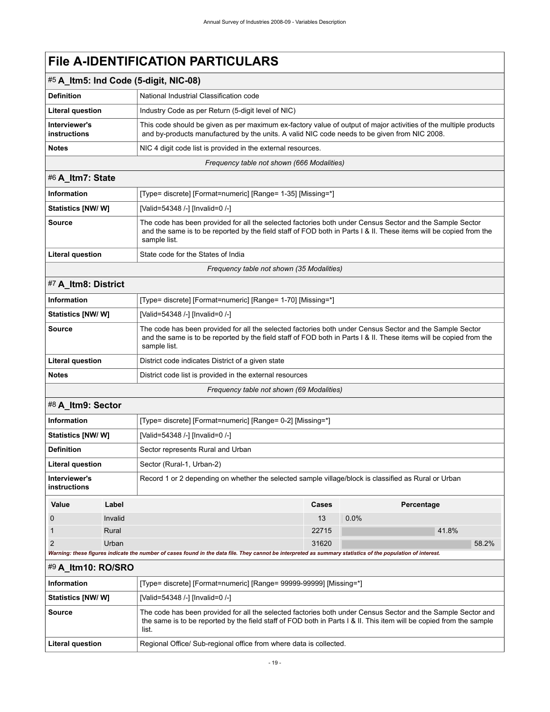| $#5$ A Itm5: Ind Code (5-digit, NIC-08)    |                                                                                                                                                                                                                  |  |  |
|--------------------------------------------|------------------------------------------------------------------------------------------------------------------------------------------------------------------------------------------------------------------|--|--|
| <b>Definition</b>                          | National Industrial Classification code                                                                                                                                                                          |  |  |
| <b>Literal question</b>                    | Industry Code as per Return (5-digit level of NIC)                                                                                                                                                               |  |  |
| Interviewer's<br>instructions              | This code should be given as per maximum ex-factory value of output of major activities of the multiple products<br>and by-products manufactured by the units. A valid NIC code needs to be given from NIC 2008. |  |  |
| <b>Notes</b>                               | NIC 4 digit code list is provided in the external resources.                                                                                                                                                     |  |  |
| Frequency table not shown (666 Modalities) |                                                                                                                                                                                                                  |  |  |

<span id="page-22-0"></span>

| #6 A Itm7: State        |                                                                                                                                                                                                                                                |
|-------------------------|------------------------------------------------------------------------------------------------------------------------------------------------------------------------------------------------------------------------------------------------|
| Information             | [Type= discrete] [Format=numeric] [Range= 1-35] [Missing=*]                                                                                                                                                                                    |
| Statistics [NW/ W]      | [Valid=54348 /-] [Invalid=0 /-]                                                                                                                                                                                                                |
| <b>Source</b>           | The code has been provided for all the selected factories both under Census Sector and the Sample Sector<br>and the same is to be reported by the field staff of FOD both in Parts I & II. These items will be copied from the<br>sample list. |
| <b>Literal question</b> | State code for the States of India                                                                                                                                                                                                             |
|                         |                                                                                                                                                                                                                                                |

*Frequency table not shown (35 Modalities)*

## <span id="page-22-1"></span>#7 **A\_Itm8: District**

| <b>Information</b>                        | [Type= discrete] [Format=numeric] [Range= 1-70] [Missing=*]                                                                                                                                                                                    |  |
|-------------------------------------------|------------------------------------------------------------------------------------------------------------------------------------------------------------------------------------------------------------------------------------------------|--|
| <b>Statistics [NW/W]</b>                  | [Valid=54348 /-] [Invalid=0 /-]                                                                                                                                                                                                                |  |
| <b>Source</b>                             | The code has been provided for all the selected factories both under Census Sector and the Sample Sector<br>and the same is to be reported by the field staff of FOD both in Parts I & II. These items will be copied from the<br>sample list. |  |
| Literal question                          | District code indicates District of a given state                                                                                                                                                                                              |  |
| <b>Notes</b>                              | District code list is provided in the external resources                                                                                                                                                                                       |  |
| Frequency table not shown (69 Modalities) |                                                                                                                                                                                                                                                |  |

### <span id="page-22-2"></span>#8 **A\_Itm9: Sector**

| <b>Information</b>            |                                                                                                                                                             | [Type= discrete] [Format=numeric] [Range= 0-2] [Missing=*]                                           |       |            |       |       |
|-------------------------------|-------------------------------------------------------------------------------------------------------------------------------------------------------------|------------------------------------------------------------------------------------------------------|-------|------------|-------|-------|
| <b>Statistics [NW/ W]</b>     |                                                                                                                                                             | [Valid=54348 /-] [Invalid=0 /-]                                                                      |       |            |       |       |
| <b>Definition</b>             |                                                                                                                                                             | Sector represents Rural and Urban                                                                    |       |            |       |       |
| <b>Literal question</b>       |                                                                                                                                                             | Sector (Rural-1, Urban-2)                                                                            |       |            |       |       |
| Interviewer's<br>instructions |                                                                                                                                                             | Record 1 or 2 depending on whether the selected sample village/block is classified as Rural or Urban |       |            |       |       |
| Value                         | Label                                                                                                                                                       |                                                                                                      | Cases | Percentage |       |       |
| $\Omega$                      | Invalid                                                                                                                                                     |                                                                                                      | 13    | 0.0%       |       |       |
|                               | Rural                                                                                                                                                       |                                                                                                      | 22715 |            | 41.8% |       |
| 2                             | Urban                                                                                                                                                       |                                                                                                      | 31620 |            |       | 58.2% |
|                               | Warning: these figures indicate the number of cases found in the data file. They cannot be interpreted as summary statistics of the population of interest. |                                                                                                      |       |            |       |       |

## <span id="page-22-3"></span>#9 **A\_Itm10: RO/SRO**

| <b>Information</b>        | [Type= discrete] [Format=numeric] [Range= 99999-99999] [Missing=*]                                                                                                                                                                           |
|---------------------------|----------------------------------------------------------------------------------------------------------------------------------------------------------------------------------------------------------------------------------------------|
| <b>Statistics [NW/ W]</b> | [Valid=54348 /-] [Invalid=0 /-]                                                                                                                                                                                                              |
| Source                    | The code has been provided for all the selected factories both under Census Sector and the Sample Sector and<br>the same is to be reported by the field staff of FOD both in Parts I & II. This item will be copied from the sample<br>list. |
| Literal question          | Regional Office/ Sub-regional office from where data is collected.                                                                                                                                                                           |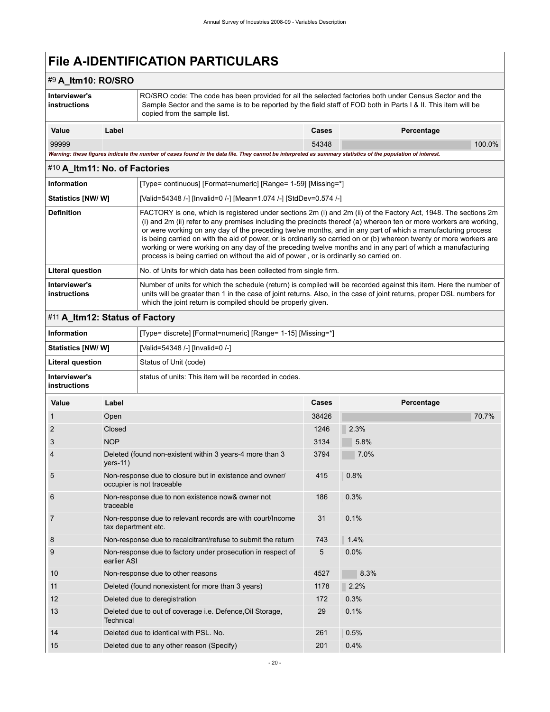## #9 **A\_Itm10: RO/SRO**

| Interviewer's<br>instructions<br>copied from the sample list. |       | RO/SRO code: The code has been provided for all the selected factories both under Census Sector and the<br>Sample Sector and the same is to be reported by the field staff of FOD both in Parts I & II. This item will be |       |            |        |
|---------------------------------------------------------------|-------|---------------------------------------------------------------------------------------------------------------------------------------------------------------------------------------------------------------------------|-------|------------|--------|
| Value                                                         | Label |                                                                                                                                                                                                                           | Cases | Percentage |        |
| 99999                                                         |       |                                                                                                                                                                                                                           | 54348 |            | 100.0% |

*Warning: these figures indicate the number of cases found in the data file. They cannot be interpreted as summary statistics of the population of interest.*

## <span id="page-23-0"></span>#10 **A\_Itm11: No. of Factories**

| Information                   | [Type= continuous] [Format=numeric] [Range= 1-59] [Missing=*]                                                                                                                                                                                                                                                                                                                                                                                                                                                                                                                                                                                                                      |  |  |  |
|-------------------------------|------------------------------------------------------------------------------------------------------------------------------------------------------------------------------------------------------------------------------------------------------------------------------------------------------------------------------------------------------------------------------------------------------------------------------------------------------------------------------------------------------------------------------------------------------------------------------------------------------------------------------------------------------------------------------------|--|--|--|
| Statistics [NW/W]             | [Valid=54348 /-] [Invalid=0 /-] [Mean=1.074 /-] [StdDev=0.574 /-]                                                                                                                                                                                                                                                                                                                                                                                                                                                                                                                                                                                                                  |  |  |  |
| <b>Definition</b>             | FACTORY is one, which is registered under sections 2m (i) and 2m (ii) of the Factory Act, 1948. The sections 2m<br>(i) and 2m (ii) refer to any premises including the precincts thereof (a) whereon ten or more workers are working.<br>or were working on any day of the preceding twelve months, and in any part of which a manufacturing process<br>is being carried on with the aid of power, or is ordinarily so carried on or (b) whereon twenty or more workers are<br>working or were working on any day of the preceding twelve months and in any part of which a manufacturing<br>process is being carried on without the aid of power, or is ordinarily so carried on. |  |  |  |
| Literal question              | No. of Units for which data has been collected from single firm.                                                                                                                                                                                                                                                                                                                                                                                                                                                                                                                                                                                                                   |  |  |  |
| Interviewer's<br>instructions | Number of units for which the schedule (return) is compiled will be recorded against this item. Here the number of<br>units will be greater than 1 in the case of joint returns. Also, in the case of joint returns, proper DSL numbers for<br>which the joint return is compiled should be properly given.                                                                                                                                                                                                                                                                                                                                                                        |  |  |  |

## <span id="page-23-1"></span>#11 **A\_Itm12: Status of Factory**

| <b>Information</b>            | [Type= discrete] [Format=numeric] [Range= 1-15] [Missing=*] |
|-------------------------------|-------------------------------------------------------------|
| <b>Statistics [NW/W]</b>      | [Valid=54348 /-] [Invalid=0 /-]                             |
| Literal question              | Status of Unit (code)                                       |
| Interviewer's<br>instructions | status of units: This item will be recorded in codes.       |

| Value | Label                                                                                | Cases | Percentage |
|-------|--------------------------------------------------------------------------------------|-------|------------|
| 1     | Open                                                                                 | 38426 | 70.7%      |
| 2     | Closed                                                                               | 1246  | 2.3%       |
| 3     | <b>NOP</b>                                                                           | 3134  | 5.8%       |
| 4     | Deleted (found non-existent within 3 years-4 more than 3<br>$vers-11)$               | 3794  | 7.0%       |
| 5     | Non-response due to closure but in existence and owner/<br>occupier is not traceable | 415   | 0.8%       |
| 6     | Non-response due to non existence now& owner not<br>traceable                        | 186   | 0.3%       |
| 7     | Non-response due to relevant records are with court/Income<br>tax department etc.    | 31    | 0.1%       |
| 8     | Non-response due to recalcitrant/refuse to submit the return                         | 743   | 1.4%       |
| 9     | Non-response due to factory under prosecution in respect of<br>earlier ASI           | 5     | 0.0%       |
| 10    | Non-response due to other reasons                                                    | 4527  | 8.3%       |
| 11    | Deleted (found nonexistent for more than 3 years)                                    | 1178  | 2.2%       |
| 12    | Deleted due to deregistration                                                        | 172   | 0.3%       |
| 13    | Deleted due to out of coverage i.e. Defence, Oil Storage,<br>Technical               | 29    | 0.1%       |
| 14    | Deleted due to identical with PSL, No.                                               | 261   | 0.5%       |
| 15    | Deleted due to any other reason (Specify)                                            | 201   | 0.4%       |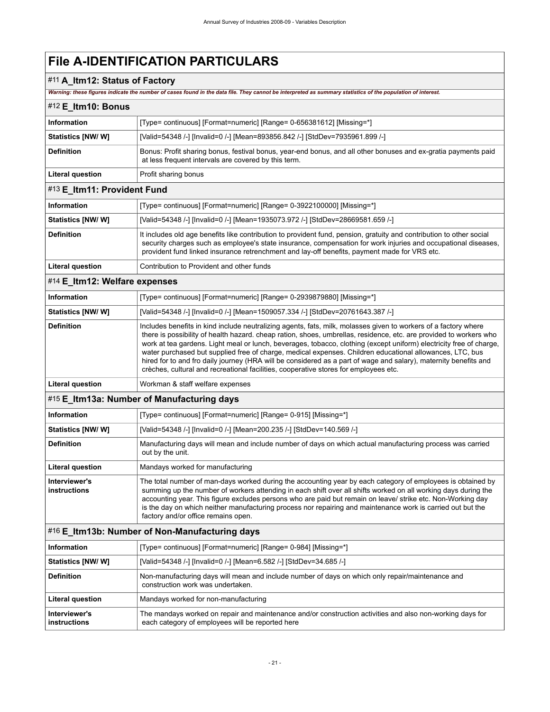# #11 **A\_Itm12: Status of Factory**

*Warning: these figures indicate the number of cases found in the data file. They cannot be interpreted as summary statistics of the population of interest.*

<span id="page-24-4"></span><span id="page-24-3"></span><span id="page-24-2"></span><span id="page-24-1"></span><span id="page-24-0"></span>

| warning: these ngures indicate the humber of cases found in the data file. They cannot be interpreted as summary statistics of the population of interest. |                                                                                                                                                                                                                                                                                                                                                                                                                                                                                                                                                                                                                                                                                      |  |  |  |
|------------------------------------------------------------------------------------------------------------------------------------------------------------|--------------------------------------------------------------------------------------------------------------------------------------------------------------------------------------------------------------------------------------------------------------------------------------------------------------------------------------------------------------------------------------------------------------------------------------------------------------------------------------------------------------------------------------------------------------------------------------------------------------------------------------------------------------------------------------|--|--|--|
| #12 E_Itm10: Bonus                                                                                                                                         |                                                                                                                                                                                                                                                                                                                                                                                                                                                                                                                                                                                                                                                                                      |  |  |  |
| <b>Information</b>                                                                                                                                         | [Type= continuous] [Format=numeric] [Range= 0-656381612] [Missing=*]                                                                                                                                                                                                                                                                                                                                                                                                                                                                                                                                                                                                                 |  |  |  |
| Statistics [NW/ W]                                                                                                                                         | [Valid=54348 /-] [Invalid=0 /-] [Mean=893856.842 /-] [StdDev=7935961.899 /-]                                                                                                                                                                                                                                                                                                                                                                                                                                                                                                                                                                                                         |  |  |  |
| <b>Definition</b>                                                                                                                                          | Bonus: Profit sharing bonus, festival bonus, year-end bonus, and all other bonuses and ex-gratia payments paid<br>at less frequent intervals are covered by this term.                                                                                                                                                                                                                                                                                                                                                                                                                                                                                                               |  |  |  |
| <b>Literal question</b>                                                                                                                                    | Profit sharing bonus                                                                                                                                                                                                                                                                                                                                                                                                                                                                                                                                                                                                                                                                 |  |  |  |
| #13 E_Itm11: Provident Fund                                                                                                                                |                                                                                                                                                                                                                                                                                                                                                                                                                                                                                                                                                                                                                                                                                      |  |  |  |
| <b>Information</b>                                                                                                                                         | [Type= continuous] [Format=numeric] [Range= 0-3922100000] [Missing=*]                                                                                                                                                                                                                                                                                                                                                                                                                                                                                                                                                                                                                |  |  |  |
| Statistics [NW/W]                                                                                                                                          | [Valid=54348 /-] [Invalid=0 /-] [Mean=1935073.972 /-] [StdDev=28669581.659 /-]                                                                                                                                                                                                                                                                                                                                                                                                                                                                                                                                                                                                       |  |  |  |
| <b>Definition</b>                                                                                                                                          | It includes old age benefits like contribution to provident fund, pension, gratuity and contribution to other social<br>security charges such as employee's state insurance, compensation for work injuries and occupational diseases,<br>provident fund linked insurance retrenchment and lay-off benefits, payment made for VRS etc.                                                                                                                                                                                                                                                                                                                                               |  |  |  |
| <b>Literal question</b>                                                                                                                                    | Contribution to Provident and other funds                                                                                                                                                                                                                                                                                                                                                                                                                                                                                                                                                                                                                                            |  |  |  |
| #14 E_Itm12: Welfare expenses                                                                                                                              |                                                                                                                                                                                                                                                                                                                                                                                                                                                                                                                                                                                                                                                                                      |  |  |  |
| <b>Information</b>                                                                                                                                         | [Type= continuous] [Format=numeric] [Range= 0-2939879880] [Missing=*]                                                                                                                                                                                                                                                                                                                                                                                                                                                                                                                                                                                                                |  |  |  |
| Statistics [NW/W]                                                                                                                                          | [Valid=54348 /-] [Invalid=0 /-] [Mean=1509057.334 /-] [StdDev=20761643.387 /-]                                                                                                                                                                                                                                                                                                                                                                                                                                                                                                                                                                                                       |  |  |  |
| <b>Definition</b>                                                                                                                                          | Includes benefits in kind include neutralizing agents, fats, milk, molasses given to workers of a factory where<br>there is possibility of health hazard, cheap ration, shoes, umbrellas, residence, etc. are provided to workers who<br>work at tea gardens. Light meal or lunch, beverages, tobacco, clothing (except uniform) electricity free of charge,<br>water purchased but supplied free of charge, medical expenses. Children educational allowances, LTC, bus<br>hired for to and fro daily journey (HRA will be considered as a part of wage and salary), maternity benefits and<br>crèches, cultural and recreational facilities, cooperative stores for employees etc. |  |  |  |
| <b>Literal question</b>                                                                                                                                    | Workman & staff welfare expenses                                                                                                                                                                                                                                                                                                                                                                                                                                                                                                                                                                                                                                                     |  |  |  |
|                                                                                                                                                            | #15 E_Itm13a: Number of Manufacturing days                                                                                                                                                                                                                                                                                                                                                                                                                                                                                                                                                                                                                                           |  |  |  |
| <b>Information</b>                                                                                                                                         | [Type= continuous] [Format=numeric] [Range= 0-915] [Missing=*]                                                                                                                                                                                                                                                                                                                                                                                                                                                                                                                                                                                                                       |  |  |  |
| Statistics [NW/W]                                                                                                                                          | [Valid=54348 /-] [Invalid=0 /-] [Mean=200.235 /-] [StdDev=140.569 /-]                                                                                                                                                                                                                                                                                                                                                                                                                                                                                                                                                                                                                |  |  |  |
| <b>Definition</b>                                                                                                                                          | Manufacturing days will mean and include number of days on which actual manufacturing process was carried<br>out by the unit.                                                                                                                                                                                                                                                                                                                                                                                                                                                                                                                                                        |  |  |  |
| <b>Literal question</b>                                                                                                                                    | Mandays worked for manufacturing                                                                                                                                                                                                                                                                                                                                                                                                                                                                                                                                                                                                                                                     |  |  |  |
| Interviewer's<br>instructions                                                                                                                              | The total number of man-days worked during the accounting year by each category of employees is obtained by<br>summing up the number of workers attending in each shift over all shifts worked on all working days during the<br>accounting year. This figure excludes persons who are paid but remain on leave/ strike etc. Non-Working day<br>is the day on which neither manufacturing process nor repairing and maintenance work is carried out but the<br>factory and/or office remains open.                                                                                                                                                                                   |  |  |  |
|                                                                                                                                                            | #16 E_Itm13b: Number of Non-Manufacturing days                                                                                                                                                                                                                                                                                                                                                                                                                                                                                                                                                                                                                                       |  |  |  |
| <b>Information</b>                                                                                                                                         | [Type= continuous] [Format=numeric] [Range= 0-984] [Missing=*]                                                                                                                                                                                                                                                                                                                                                                                                                                                                                                                                                                                                                       |  |  |  |
| Statistics [NW/W]                                                                                                                                          | [Valid=54348 /-] [Invalid=0 /-] [Mean=6.582 /-] [StdDev=34.685 /-]                                                                                                                                                                                                                                                                                                                                                                                                                                                                                                                                                                                                                   |  |  |  |
| <b>Definition</b>                                                                                                                                          | Non-manufacturing days will mean and include number of days on which only repair/maintenance and<br>construction work was undertaken.                                                                                                                                                                                                                                                                                                                                                                                                                                                                                                                                                |  |  |  |
| <b>Literal question</b>                                                                                                                                    | Mandays worked for non-manufacturing                                                                                                                                                                                                                                                                                                                                                                                                                                                                                                                                                                                                                                                 |  |  |  |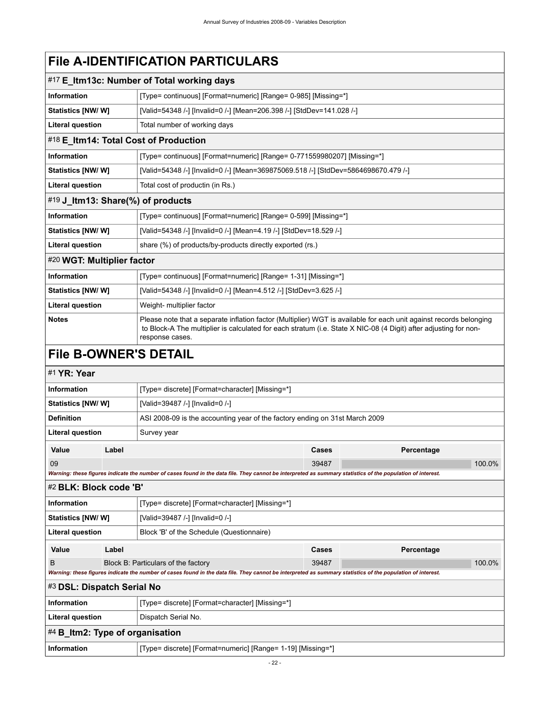<span id="page-25-3"></span><span id="page-25-2"></span><span id="page-25-1"></span>

| #17 E_Itm13c: Number of Total working days |                                                                                                                                                                                                                                        |  |  |  |
|--------------------------------------------|----------------------------------------------------------------------------------------------------------------------------------------------------------------------------------------------------------------------------------------|--|--|--|
| <b>Information</b>                         | [Type= continuous] [Format=numeric] [Range= 0-985] [Missing=*]                                                                                                                                                                         |  |  |  |
| Statistics [NW/ W]                         | [Valid=54348 /-] [Invalid=0 /-] [Mean=206.398 /-] [StdDev=141.028 /-]                                                                                                                                                                  |  |  |  |
| <b>Literal question</b>                    | Total number of working days                                                                                                                                                                                                           |  |  |  |
| #18 E_Itm14: Total Cost of Production      |                                                                                                                                                                                                                                        |  |  |  |
| <b>Information</b>                         | [Type= continuous] [Format=numeric] [Range= 0-771559980207] [Missing=*]                                                                                                                                                                |  |  |  |
| Statistics [NW/ W]                         | [Valid=54348 /-] [Invalid=0 /-] [Mean=369875069.518 /-] [StdDev=5864698670.479 /-]                                                                                                                                                     |  |  |  |
| <b>Literal question</b>                    | Total cost of productin (in Rs.)                                                                                                                                                                                                       |  |  |  |
| #19 J_Itm13: Share(%) of products          |                                                                                                                                                                                                                                        |  |  |  |
| <b>Information</b>                         | [Type= continuous] [Format=numeric] [Range= 0-599] [Missing=*]                                                                                                                                                                         |  |  |  |
| Statistics [NW/ W]                         | [Valid=54348 /-] [Invalid=0 /-] [Mean=4.19 /-] [StdDev=18.529 /-]                                                                                                                                                                      |  |  |  |
| <b>Literal question</b>                    | share (%) of products/by-products directly exported (rs.)                                                                                                                                                                              |  |  |  |
| #20 WGT: Multiplier factor                 |                                                                                                                                                                                                                                        |  |  |  |
| <b>Information</b>                         | [Type= continuous] [Format=numeric] [Range= 1-31] [Missing=*]                                                                                                                                                                          |  |  |  |
| <b>Statistics [NW/ W]</b>                  | [Valid=54348 /-] [Invalid=0 /-] [Mean=4.512 /-] [StdDev=3.625 /-]                                                                                                                                                                      |  |  |  |
| <b>Literal question</b>                    | Weight- multiplier factor                                                                                                                                                                                                              |  |  |  |
| <b>Notes</b>                               | Please note that a separate inflation factor (Multiplier) WGT is available for each unit against records belonging<br>to Block-A The multiplier is calculated for each stratum (i.e. State X NIC-08 (4 Digit) after adjusting for non- |  |  |  |

# <span id="page-25-4"></span><span id="page-25-0"></span>**File B-OWNER'S DETAIL**

response cases.

# <span id="page-25-5"></span>#1 **YR: Year**

<span id="page-25-8"></span><span id="page-25-7"></span><span id="page-25-6"></span>

| #1 YR: Year                                                  |                                                                             |                                                                                                                                                             |       |            |        |
|--------------------------------------------------------------|-----------------------------------------------------------------------------|-------------------------------------------------------------------------------------------------------------------------------------------------------------|-------|------------|--------|
| <b>Information</b>                                           |                                                                             | [Type= discrete] [Format=character] [Missing=*]                                                                                                             |       |            |        |
| <b>Statistics [NW/ W]</b><br>[Valid=39487 /-] [Invalid=0 /-] |                                                                             |                                                                                                                                                             |       |            |        |
| <b>Definition</b>                                            | ASI 2008-09 is the accounting year of the factory ending on 31st March 2009 |                                                                                                                                                             |       |            |        |
| <b>Literal question</b>                                      |                                                                             | Survey year                                                                                                                                                 |       |            |        |
| Value                                                        | Label                                                                       |                                                                                                                                                             | Cases | Percentage |        |
| 09                                                           |                                                                             |                                                                                                                                                             | 39487 |            | 100.0% |
|                                                              |                                                                             | Warning: these figures indicate the number of cases found in the data file. They cannot be interpreted as summary statistics of the population of interest. |       |            |        |
| #2 BLK: Block code 'B'                                       |                                                                             |                                                                                                                                                             |       |            |        |
| Information                                                  |                                                                             | [Type= discrete] [Format=character] [Missing=*]                                                                                                             |       |            |        |
| <b>Statistics [NW/ W]</b>                                    | [Valid=39487 /-] [Invalid=0 /-]                                             |                                                                                                                                                             |       |            |        |
| <b>Literal question</b>                                      |                                                                             | Block 'B' of the Schedule (Questionnaire)                                                                                                                   |       |            |        |
| Value                                                        | Label                                                                       |                                                                                                                                                             | Cases | Percentage |        |
| B                                                            |                                                                             | Block B: Particulars of the factory                                                                                                                         | 39487 |            | 100.0% |
|                                                              |                                                                             | Warning: these figures indicate the number of cases found in the data file. They cannot be interpreted as summary statistics of the population of interest. |       |            |        |
| #3 DSL: Dispatch Serial No                                   |                                                                             |                                                                                                                                                             |       |            |        |
| Information                                                  |                                                                             | [Type= discrete] [Format=character] [Missing=*]                                                                                                             |       |            |        |
| <b>Literal question</b><br>Dispatch Serial No.               |                                                                             |                                                                                                                                                             |       |            |        |
| #4 B_Itm2: Type of organisation                              |                                                                             |                                                                                                                                                             |       |            |        |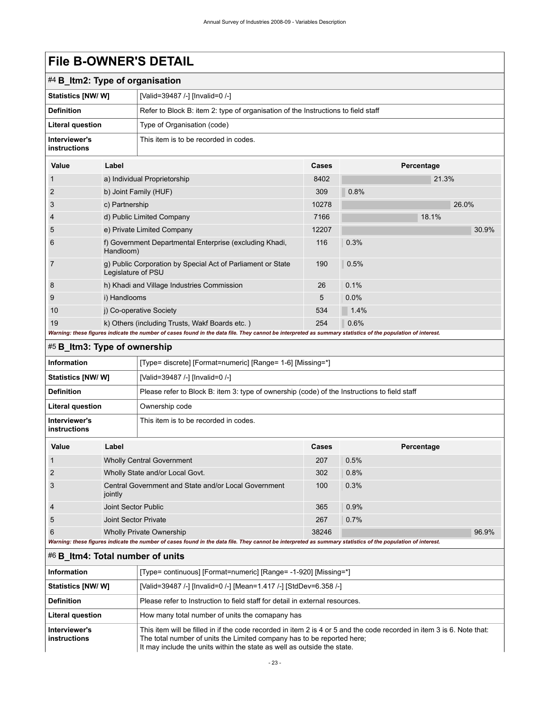| ───────────                     |                      |                                                                                                                                                             |       |            |  |  |  |
|---------------------------------|----------------------|-------------------------------------------------------------------------------------------------------------------------------------------------------------|-------|------------|--|--|--|
| #4 B_ltm2: Type of organisation |                      |                                                                                                                                                             |       |            |  |  |  |
| Statistics [NW/ W]              |                      | [Valid=39487 /-] [Invalid=0 /-]                                                                                                                             |       |            |  |  |  |
| <b>Definition</b>               |                      | Refer to Block B: item 2: type of organisation of the Instructions to field staff                                                                           |       |            |  |  |  |
| Literal question                |                      | Type of Organisation (code)                                                                                                                                 |       |            |  |  |  |
| Interviewer's<br>instructions   |                      | This item is to be recorded in codes.                                                                                                                       |       |            |  |  |  |
| Value                           | Label                |                                                                                                                                                             | Cases | Percentage |  |  |  |
| 1                               |                      | a) Individual Proprietorship                                                                                                                                | 8402  | 21.3%      |  |  |  |
| $\overline{2}$                  |                      | b) Joint Family (HUF)                                                                                                                                       | 309   | 0.8%       |  |  |  |
| 3                               | c) Partnership       |                                                                                                                                                             | 10278 | 26.0%      |  |  |  |
| 4                               |                      | d) Public Limited Company                                                                                                                                   | 7166  | 18.1%      |  |  |  |
| 5                               |                      | e) Private Limited Company                                                                                                                                  | 12207 | 30.9%      |  |  |  |
| 6                               | Handloom)            | f) Government Departmental Enterprise (excluding Khadi,                                                                                                     | 116   | 0.3%       |  |  |  |
| 7                               | Legislature of PSU   | g) Public Corporation by Special Act of Parliament or State                                                                                                 | 190   | 0.5%       |  |  |  |
| 8                               |                      | h) Khadi and Village Industries Commission                                                                                                                  | 26    | 0.1%       |  |  |  |
| 9                               | i) Handlooms         |                                                                                                                                                             | 5     | 0.0%       |  |  |  |
| 10                              |                      | j) Co-operative Society                                                                                                                                     | 534   | 1.4%       |  |  |  |
| 19                              |                      | k) Others (including Trusts, Wakf Boards etc.)                                                                                                              | 254   | 0.6%       |  |  |  |
|                                 |                      | Warning: these figures indicate the number of cases found in the data file. They cannot be interpreted as summary statistics of the population of interest. |       |            |  |  |  |
| #5 B_Itm3: Type of ownership    |                      |                                                                                                                                                             |       |            |  |  |  |
| Information                     |                      | [Type= discrete] [Format=numeric] [Range= 1-6] [Missing=*]                                                                                                  |       |            |  |  |  |
| Statistics [NW/ W]              |                      | [Valid=39487 /-] [Invalid=0 /-]                                                                                                                             |       |            |  |  |  |
| <b>Definition</b>               |                      | Please refer to Block B: item 3: type of ownership (code) of the Instructions to field staff                                                                |       |            |  |  |  |
| Literal question                |                      | Ownership code                                                                                                                                              |       |            |  |  |  |
| Interviewer's<br>instructions   |                      | This item is to be recorded in codes.                                                                                                                       |       |            |  |  |  |
| Value                           | Label                |                                                                                                                                                             | Cases | Percentage |  |  |  |
| 1                               |                      | <b>Wholly Central Government</b>                                                                                                                            | 207   | 0.5%       |  |  |  |
| 2                               |                      | Wholly State and/or Local Govt.                                                                                                                             | 302   | 0.8%       |  |  |  |
| 3                               | jointly              | Central Government and State and/or Local Government                                                                                                        | 100   | 0.3%       |  |  |  |
| 4                               | Joint Sector Public  |                                                                                                                                                             | 365   | 0.9%       |  |  |  |
| 5                               | Joint Sector Private |                                                                                                                                                             | 267   | 0.7%       |  |  |  |

## <span id="page-26-1"></span>#6 **B\_Itm4: Total number of units**

| Information                   | [Type= continuous] [Format=numeric] [Range= -1-920] [Missing=*]                                                                                                                                                                                                            |
|-------------------------------|----------------------------------------------------------------------------------------------------------------------------------------------------------------------------------------------------------------------------------------------------------------------------|
| <b>Statistics [NW/ W]</b>     | [Valid=39487 /-] [Invalid=0 /-] [Mean=1.417 /-] [StdDev=6.358 /-]                                                                                                                                                                                                          |
| <b>Definition</b>             | Please refer to Instruction to field staff for detail in external resources.                                                                                                                                                                                               |
| <b>Literal question</b>       | How many total number of units the comapany has                                                                                                                                                                                                                            |
| Interviewer's<br>instructions | This item will be filled in if the code recorded in item 2 is 4 or 5 and the code recorded in item 3 is 6. Note that:<br>The total number of units the Limited company has to be reported here:<br>It may include the units within the state as well as outside the state. |

<span id="page-26-0"></span>6 Wholly Private Ownership 38246 38246 96.9%

*Warning: these figures indicate the number of cases found in the data file. They cannot be interpreted as summary statistics of the population of interest.*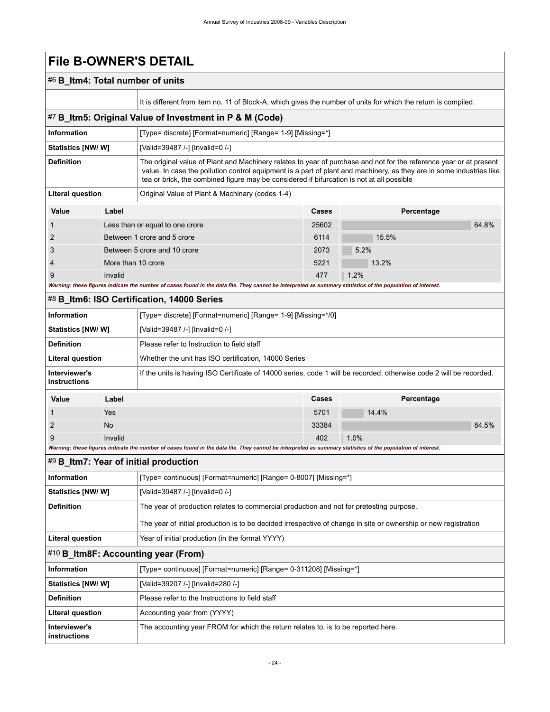## #6 **B\_Itm4: Total number of units**

<span id="page-27-3"></span><span id="page-27-2"></span>**instructions**

It is different from item no. 11 of Block-A, which gives the number of units for which the return is compiled.

<span id="page-27-1"></span><span id="page-27-0"></span>

|                               |                    | It is different from item no. 11 of Block-A, which gives the number of units for which the return is compiled.                                                                                                                                                                                                                          |       |       |            |       |  |
|-------------------------------|--------------------|-----------------------------------------------------------------------------------------------------------------------------------------------------------------------------------------------------------------------------------------------------------------------------------------------------------------------------------------|-------|-------|------------|-------|--|
|                               |                    | #7 B_Itm5: Original Value of Investment in P & M (Code)                                                                                                                                                                                                                                                                                 |       |       |            |       |  |
| <b>Information</b>            |                    | [Type= discrete] [Format=numeric] [Range= 1-9] [Missing=*]                                                                                                                                                                                                                                                                              |       |       |            |       |  |
| <b>Statistics [NW/ W]</b>     |                    | [Valid=39487 /-] [Invalid=0 /-]                                                                                                                                                                                                                                                                                                         |       |       |            |       |  |
| <b>Definition</b>             |                    | The original value of Plant and Machinery relates to year of purchase and not for the reference year or at present<br>value. In case the pollution control equipment is a part of plant and machinery, as they are in some industries like<br>tea or brick, the combined figure may be considered if bifurcation is not at all possible |       |       |            |       |  |
| <b>Literal question</b>       |                    | Original Value of Plant & Machinary (codes 1-4)                                                                                                                                                                                                                                                                                         |       |       |            |       |  |
| Value                         | Label              |                                                                                                                                                                                                                                                                                                                                         | Cases |       | Percentage |       |  |
| 1                             |                    | Less than or equal to one crore                                                                                                                                                                                                                                                                                                         | 25602 |       |            | 64.8% |  |
| 2                             |                    | Between 1 crore and 5 crore                                                                                                                                                                                                                                                                                                             | 6114  | 15.5% |            |       |  |
| 3                             |                    | Between 5 crore and 10 crore                                                                                                                                                                                                                                                                                                            | 2073  | 5.2%  |            |       |  |
| 4                             | More than 10 crore |                                                                                                                                                                                                                                                                                                                                         | 5221  | 13.2% |            |       |  |
| 9                             | Invalid            |                                                                                                                                                                                                                                                                                                                                         | 477   | 1.2%  |            |       |  |
|                               |                    | Warning: these figures indicate the number of cases found in the data file. They cannot be interpreted as summary statistics of the population of interest.                                                                                                                                                                             |       |       |            |       |  |
|                               |                    | #8 B_Itm6: ISO Certification, 14000 Series                                                                                                                                                                                                                                                                                              |       |       |            |       |  |
| <b>Information</b>            |                    | [Type= discrete] [Format=numeric] [Range= 1-9] [Missing=*/0]                                                                                                                                                                                                                                                                            |       |       |            |       |  |
| Statistics [NW/W]             |                    | [Valid=39487 /-] [Invalid=0 /-]                                                                                                                                                                                                                                                                                                         |       |       |            |       |  |
| <b>Definition</b>             |                    | Please refer to Instruction to field staff                                                                                                                                                                                                                                                                                              |       |       |            |       |  |
| <b>Literal question</b>       |                    | Whether the unit has ISO certification, 14000 Series                                                                                                                                                                                                                                                                                    |       |       |            |       |  |
|                               |                    |                                                                                                                                                                                                                                                                                                                                         |       |       |            |       |  |
| Interviewer's<br>instructions |                    | If the units is having ISO Certificate of 14000 series, code 1 will be recorded, otherwise code 2 will be recorded.                                                                                                                                                                                                                     |       |       |            |       |  |
| Value                         | Label              |                                                                                                                                                                                                                                                                                                                                         | Cases |       | Percentage |       |  |
| 1                             | Yes                |                                                                                                                                                                                                                                                                                                                                         | 5701  | 14.4% |            |       |  |
| 2                             | No                 |                                                                                                                                                                                                                                                                                                                                         | 33384 |       |            | 84.5% |  |
| 9                             | Invalid            |                                                                                                                                                                                                                                                                                                                                         | 402   | 1.0%  |            |       |  |
|                               |                    | Warning: these figures indicate the number of cases found in the data file. They cannot be interpreted as summary statistics of the population of interest.                                                                                                                                                                             |       |       |            |       |  |
|                               |                    | #9 B_ltm7: Year of initial production                                                                                                                                                                                                                                                                                                   |       |       |            |       |  |
| Information                   |                    | [Type= continuous] [Format=numeric] [Range= 0-8007] [Missing=*]                                                                                                                                                                                                                                                                         |       |       |            |       |  |
| <b>Statistics [NW/W]</b>      |                    | [Valid=39487 /-] [Invalid=0 /-]                                                                                                                                                                                                                                                                                                         |       |       |            |       |  |
| <b>Definition</b>             |                    | The year of production relates to commercial production and not for pretesting purpose.                                                                                                                                                                                                                                                 |       |       |            |       |  |
|                               |                    | The year of initial production is to be decided irrespective of change in site or ownership or new registration                                                                                                                                                                                                                         |       |       |            |       |  |
| <b>Literal question</b>       |                    | Year of initial production (in the format YYYY)                                                                                                                                                                                                                                                                                         |       |       |            |       |  |
|                               |                    | #10 B_Itm8F: Accounting year (From)                                                                                                                                                                                                                                                                                                     |       |       |            |       |  |
| Information                   |                    | [Type= continuous] [Format=numeric] [Range= 0-311208] [Missing=*]                                                                                                                                                                                                                                                                       |       |       |            |       |  |
| Statistics [NW/W]             |                    | [Valid=39207 /-] [Invalid=280 /-]                                                                                                                                                                                                                                                                                                       |       |       |            |       |  |
| <b>Definition</b>             |                    | Please refer to the Instructions to field staff                                                                                                                                                                                                                                                                                         |       |       |            |       |  |
| <b>Literal question</b>       |                    | Accounting year from (YYYY)                                                                                                                                                                                                                                                                                                             |       |       |            |       |  |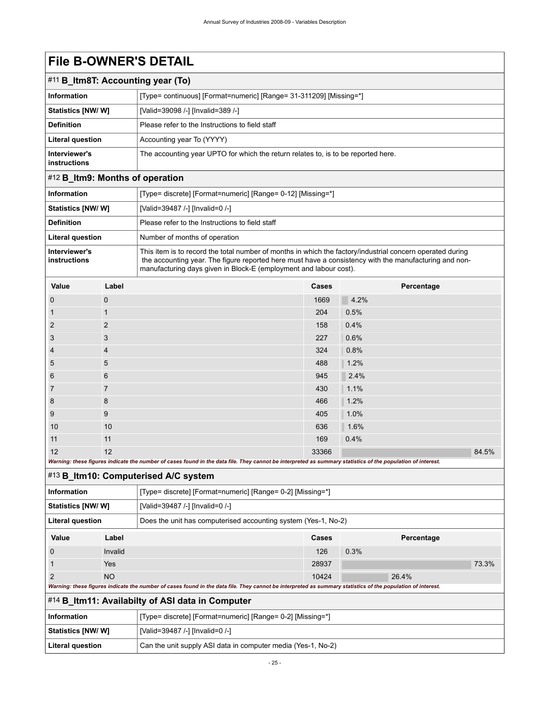<span id="page-28-0"></span>

| $\#11$ B_Itm8T: Accounting year (To) |                                                                                   |  |
|--------------------------------------|-----------------------------------------------------------------------------------|--|
| <b>Information</b>                   | [Type= continuous] [Format=numeric] [Range= 31-311209] [Missing=*]                |  |
| <b>Statistics [NW/W]</b>             | [Valid=39098 /-] [Invalid=389 /-]                                                 |  |
| <b>Definition</b>                    | Please refer to the Instructions to field staff                                   |  |
| Literal question                     | Accounting year To (YYYY)                                                         |  |
| Interviewer's<br><b>instructions</b> | The accounting year UPTO for which the return relates to, is to be reported here. |  |

# <span id="page-28-1"></span>#12 **B\_Itm9: Months of operation**

| <b>Information</b>            | [Type= discrete] [Format=numeric] [Range= 0-12] [Missing=*]                                                                                                                                                                                                                             |
|-------------------------------|-----------------------------------------------------------------------------------------------------------------------------------------------------------------------------------------------------------------------------------------------------------------------------------------|
| <b>Statistics [NW/W]</b>      | [Valid=39487 /-] [Invalid=0 /-]                                                                                                                                                                                                                                                         |
| <b>Definition</b>             | Please refer to the Instructions to field staff                                                                                                                                                                                                                                         |
| <b>Literal question</b>       | Number of months of operation                                                                                                                                                                                                                                                           |
| Interviewer's<br>instructions | This item is to record the total number of months in which the factory/industrial concern operated during<br>the accounting year. The figure reported here must have a consistency with the manufacturing and non-<br>manufacturing days given in Block-E (employment and labour cost). |

| Value          | Label               | Cases | Percentage |
|----------------|---------------------|-------|------------|
| $\mathbf 0$    | $\mathsf{O}\xspace$ | 1669  | 4.2%       |
| $\mathbf{1}$   | $\mathbf{1}$        | 204   | 0.5%       |
| $\overline{2}$ | 2                   | 158   | 0.4%       |
| $\mathbf{3}$   | $\mathbf{3}$        | 227   | 0.6%       |
| $\overline{4}$ | $\overline{4}$      | 324   | 0.8%       |
| 5              | $5\phantom{.0}$     | 488   | 1.2%       |
| 6              | $6\phantom{1}$      | 945   | 2.4%       |
| $\overline{7}$ | $\overline{7}$      | 430   | 1.1%       |
| 8              | 8                   | 466   | 1.2%       |
| 9              | 9                   | 405   | 1.0%       |
| 10             | 10                  | 636   | 1.6%       |
| 11             | 11                  | 169   | 0.4%       |
| 12             | 12                  | 33366 | 84.5%      |

*Warning: these figures indicate the number of cases found in the data file. They cannot be interpreted as summary statistics of the population of interest.*

## <span id="page-28-2"></span>#13 **B\_Itm10: Computerised A/C system**

| <b>Information</b>       |                                                                                                                                                             | [Type= discrete] [Format=numeric] [Range= 0-2] [Missing=*]     |       |            |  |
|--------------------------|-------------------------------------------------------------------------------------------------------------------------------------------------------------|----------------------------------------------------------------|-------|------------|--|
| <b>Statistics [NW/W]</b> |                                                                                                                                                             | [Valid=39487 /-] [Invalid=0 /-]                                |       |            |  |
| Literal question         |                                                                                                                                                             | Does the unit has computerised accounting system (Yes-1, No-2) |       |            |  |
| Value                    | Label                                                                                                                                                       |                                                                | Cases | Percentage |  |
| $\Omega$                 | Invalid                                                                                                                                                     |                                                                | 126   | 0.3%       |  |
|                          | Yes                                                                                                                                                         |                                                                | 28937 | 73.3%      |  |
| 2<br><b>NO</b>           |                                                                                                                                                             | 10424                                                          | 26.4% |            |  |
|                          | Warning: these figures indicate the number of cases found in the data file. They cannot be interpreted as summary statistics of the population of interest. |                                                                |       |            |  |

<span id="page-28-3"></span>

| #14 B_Itm11: Availabilty of ASI data in Computer |  |  |
|--------------------------------------------------|--|--|
|--------------------------------------------------|--|--|

| Information               | [Type= discrete] [Format=numeric] [Range= 0-2] [Missing=*]   |
|---------------------------|--------------------------------------------------------------|
| <b>Statistics [NW/ W]</b> | [Valid=39487 /-] [Invalid=0 /-]                              |
| Literal question          | Can the unit supply ASI data in computer media (Yes-1, No-2) |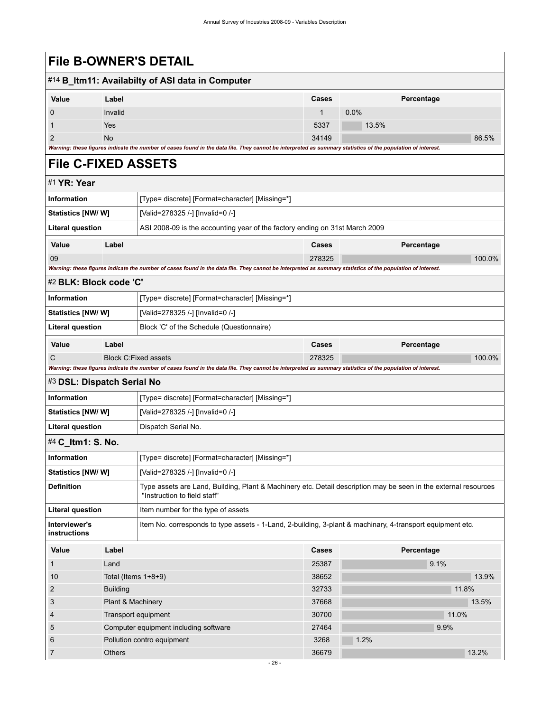<span id="page-29-4"></span><span id="page-29-3"></span><span id="page-29-2"></span><span id="page-29-1"></span><span id="page-29-0"></span>

|                               |                   | <b>File B-OWNER'S DETAIL</b>                                                                                                                                |                                  |         |            |  |  |
|-------------------------------|-------------------|-------------------------------------------------------------------------------------------------------------------------------------------------------------|----------------------------------|---------|------------|--|--|
|                               |                   | #14 B_Itm11: Availabilty of ASI data in Computer                                                                                                            |                                  |         |            |  |  |
| Value                         | Label             |                                                                                                                                                             | <b>Cases</b>                     |         | Percentage |  |  |
| 0                             | Invalid           |                                                                                                                                                             | $\mathbf{1}$                     | $0.0\%$ |            |  |  |
| 1                             | Yes               |                                                                                                                                                             | 5337                             | 13.5%   |            |  |  |
| $\overline{2}$                | <b>No</b>         |                                                                                                                                                             | 34149                            |         | 86.5%      |  |  |
|                               |                   | Warning: these figures indicate the number of cases found in the data file. They cannot be interpreted as summary statistics of the population of interest. |                                  |         |            |  |  |
| <b>File C-FIXED ASSETS</b>    |                   |                                                                                                                                                             |                                  |         |            |  |  |
| #1 YR: Year                   |                   |                                                                                                                                                             |                                  |         |            |  |  |
| <b>Information</b>            |                   | [Type= discrete] [Format=character] [Missing=*]                                                                                                             |                                  |         |            |  |  |
| <b>Statistics [NW/W]</b>      |                   | [Valid=278325 /-] [Invalid=0 /-]                                                                                                                            |                                  |         |            |  |  |
| <b>Literal question</b>       |                   | ASI 2008-09 is the accounting year of the factory ending on 31st March 2009                                                                                 |                                  |         |            |  |  |
| Value                         | Label             |                                                                                                                                                             | Cases                            |         | Percentage |  |  |
| 09                            |                   |                                                                                                                                                             | 278325                           |         | 100.0%     |  |  |
|                               |                   | Warning: these figures indicate the number of cases found in the data file. They cannot be interpreted as summary statistics of the population of interest. |                                  |         |            |  |  |
| #2 BLK: Block code 'C'        |                   |                                                                                                                                                             |                                  |         |            |  |  |
| <b>Information</b>            |                   | [Type= discrete] [Format=character] [Missing=*]                                                                                                             |                                  |         |            |  |  |
| <b>Statistics [NW/W]</b>      |                   | [Valid=278325 /-] [Invalid=0 /-]                                                                                                                            |                                  |         |            |  |  |
| <b>Literal question</b>       |                   | Block 'C' of the Schedule (Questionnaire)                                                                                                                   |                                  |         |            |  |  |
| Value                         | Label             |                                                                                                                                                             | Cases                            |         | Percentage |  |  |
| C                             |                   | <b>Block C:Fixed assets</b>                                                                                                                                 | 278325                           |         | 100.0%     |  |  |
| #3 DSL: Dispatch Serial No    |                   | Warning: these figures indicate the number of cases found in the data file. They cannot be interpreted as summary statistics of the population of interest. |                                  |         |            |  |  |
| <b>Information</b>            |                   | [Type= discrete] [Format=character] [Missing=*]                                                                                                             |                                  |         |            |  |  |
| Statistics [NW/W]             |                   |                                                                                                                                                             |                                  |         |            |  |  |
|                               |                   |                                                                                                                                                             | [Valid=278325 /-] [Invalid=0 /-] |         |            |  |  |
| <b>Literal question</b>       |                   | Dispatch Serial No.                                                                                                                                         |                                  |         |            |  |  |
| #4 C ltm1: S. No.             |                   |                                                                                                                                                             |                                  |         |            |  |  |
| Information                   |                   | [Type= discrete] [Format=character] [Missing=*]                                                                                                             |                                  |         |            |  |  |
| Statistics [NW/W]             |                   |                                                                                                                                                             | [Valid=278325 /-] [Invalid=0 /-] |         |            |  |  |
| <b>Definition</b>             |                   | Type assets are Land, Building, Plant & Machinery etc. Detail description may be seen in the external resources<br>"Instruction to field staff"             |                                  |         |            |  |  |
| <b>Literal question</b>       |                   | Item number for the type of assets                                                                                                                          |                                  |         |            |  |  |
| Interviewer's<br>instructions |                   | Item No. corresponds to type assets - 1-Land, 2-building, 3-plant & machinary, 4-transport equipment etc.                                                   |                                  |         |            |  |  |
| Value                         | Label             |                                                                                                                                                             | Cases                            |         | Percentage |  |  |
| 1                             | Land              |                                                                                                                                                             | 25387                            |         | 9.1%       |  |  |
| 10                            |                   | Total (Items $1+8+9$ )                                                                                                                                      | 38652                            |         | 13.9%      |  |  |
| 2                             | <b>Building</b>   |                                                                                                                                                             | 32733                            |         | 11.8%      |  |  |
| 3                             | Plant & Machinery |                                                                                                                                                             | 37668                            |         | 13.5%      |  |  |
| 4                             |                   | Transport equipment                                                                                                                                         | 30700                            |         | 11.0%      |  |  |
| 5                             |                   | Computer equipment including software                                                                                                                       | 27464                            |         | 9.9%       |  |  |
| 6                             |                   | Pollution contro equipment                                                                                                                                  | 3268                             | 1.2%    |            |  |  |
| 7                             | Others            |                                                                                                                                                             | 36679                            |         | 13.2%      |  |  |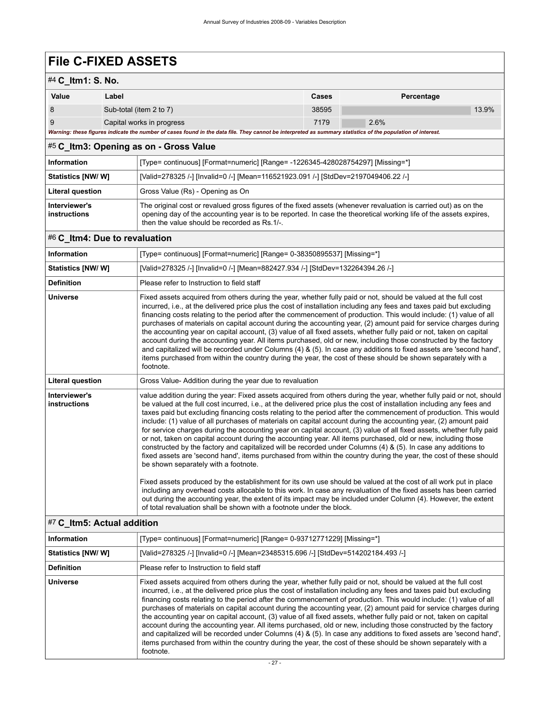# **File C-FIXED ASSETS**

# #4 **C\_Itm1: S. No.**

| $\pi$ v iliiii. J. NV. |                                                                                                                                                             |       |            |       |
|------------------------|-------------------------------------------------------------------------------------------------------------------------------------------------------------|-------|------------|-------|
| Value                  | Label                                                                                                                                                       | Cases | Percentage |       |
|                        | Sub-total (item 2 to 7)                                                                                                                                     | 38595 |            | 13.9% |
|                        | Capital works in progress                                                                                                                                   | 7179  | 2.6%       |       |
|                        | Warning: these figures indicate the number of cases found in the data file. They cannot be interpreted as summary statistics of the population of interest. |       |            |       |

## <span id="page-30-0"></span>#5 **C\_Itm3: Opening as on - Gross Value**

| Information                   | [Type= continuous] [Format=numeric] [Range= -1226345-428028754297] [Missing=*]                                                                                                                                                                                                       |
|-------------------------------|--------------------------------------------------------------------------------------------------------------------------------------------------------------------------------------------------------------------------------------------------------------------------------------|
| <b>Statistics [NW/W]</b>      | [Valid=278325 /-] [Invalid=0 /-] [Mean=116521923.091 /-] [StdDev=2197049406.22 /-]                                                                                                                                                                                                   |
| <b>Literal question</b>       | Gross Value (Rs) - Opening as On                                                                                                                                                                                                                                                     |
| Interviewer's<br>instructions | The original cost or revalued gross figures of the fixed assets (whenever revaluation is carried out) as on the<br>opening day of the accounting year is to be reported. In case the theoretical working life of the assets expires,<br>then the value should be recorded as Rs.1/-. |

## <span id="page-30-1"></span>#6 **C\_Itm4: Due to revaluation**

| Information                   | [Type= continuous] [Format=numeric] [Range= 0-38350895537] [Missing=*]                                                                                                                                                                                                                                                                                                                                                                                                                                                                                                                                                                                                                                                                                                                                                                                                                                                                                                                                                                                                                                                                                                                                                                                                                                                                                                                                                                          |
|-------------------------------|-------------------------------------------------------------------------------------------------------------------------------------------------------------------------------------------------------------------------------------------------------------------------------------------------------------------------------------------------------------------------------------------------------------------------------------------------------------------------------------------------------------------------------------------------------------------------------------------------------------------------------------------------------------------------------------------------------------------------------------------------------------------------------------------------------------------------------------------------------------------------------------------------------------------------------------------------------------------------------------------------------------------------------------------------------------------------------------------------------------------------------------------------------------------------------------------------------------------------------------------------------------------------------------------------------------------------------------------------------------------------------------------------------------------------------------------------|
| Statistics [NW/W]             | [Valid=278325 /-] [Invalid=0 /-] [Mean=882427.934 /-] [StdDev=132264394.26 /-]                                                                                                                                                                                                                                                                                                                                                                                                                                                                                                                                                                                                                                                                                                                                                                                                                                                                                                                                                                                                                                                                                                                                                                                                                                                                                                                                                                  |
| <b>Definition</b>             | Please refer to Instruction to field staff                                                                                                                                                                                                                                                                                                                                                                                                                                                                                                                                                                                                                                                                                                                                                                                                                                                                                                                                                                                                                                                                                                                                                                                                                                                                                                                                                                                                      |
| <b>Universe</b>               | Fixed assets acquired from others during the year, whether fully paid or not, should be valued at the full cost<br>incurred, i.e., at the delivered price plus the cost of installation including any fees and taxes paid but excluding<br>financing costs relating to the period after the commencement of production. This would include: (1) value of all<br>purchases of materials on capital account during the accounting year, (2) amount paid for service charges during<br>the accounting year on capital account, (3) value of all fixed assets, whether fully paid or not, taken on capital<br>account during the accounting year. All items purchased, old or new, including those constructed by the factory<br>and capitalized will be recorded under Columns (4) & (5). In case any additions to fixed assets are 'second hand',<br>items purchased from within the country during the year, the cost of these should be shown separately with a<br>footnote.                                                                                                                                                                                                                                                                                                                                                                                                                                                                    |
| <b>Literal question</b>       | Gross Value-Addition during the year due to revaluation                                                                                                                                                                                                                                                                                                                                                                                                                                                                                                                                                                                                                                                                                                                                                                                                                                                                                                                                                                                                                                                                                                                                                                                                                                                                                                                                                                                         |
| Interviewer's<br>instructions | value addition during the year: Fixed assets acquired from others during the year, whether fully paid or not, should<br>be valued at the full cost incurred, i.e., at the delivered price plus the cost of installation including any fees and<br>taxes paid but excluding financing costs relating to the period after the commencement of production. This would<br>include: (1) value of all purchases of materials on capital account during the accounting year, (2) amount paid<br>for service charges during the accounting year on capital account, (3) value of all fixed assets, whether fully paid<br>or not, taken on capital account during the accounting year. All items purchased, old or new, including those<br>constructed by the factory and capitalized will be recorded under Columns (4) & (5). In case any additions to<br>fixed assets are 'second hand', items purchased from within the country during the year, the cost of these should<br>be shown separately with a footnote.<br>Fixed assets produced by the establishment for its own use should be valued at the cost of all work put in place<br>including any overhead costs allocable to this work. In case any revaluation of the fixed assets has been carried<br>out during the accounting year, the extent of its impact may be included under Column (4). However, the extent<br>of total revaluation shall be shown with a footnote under the block. |

## <span id="page-30-2"></span>#7 **C\_Itm5: Actual addition**

| Information       | [Type= continuous] [Format=numeric] [Range= 0-93712771229] [Missing=*]                                                                                                                                                                                                                                                                                                                                                                                                                                                                                                                                                                                                                                                                                                                                                                                                                                                                                                       |  |  |  |  |
|-------------------|------------------------------------------------------------------------------------------------------------------------------------------------------------------------------------------------------------------------------------------------------------------------------------------------------------------------------------------------------------------------------------------------------------------------------------------------------------------------------------------------------------------------------------------------------------------------------------------------------------------------------------------------------------------------------------------------------------------------------------------------------------------------------------------------------------------------------------------------------------------------------------------------------------------------------------------------------------------------------|--|--|--|--|
| Statistics [NW/W] | [Valid=278325 /-] [Invalid=0 /-] [Mean=23485315.696 /-] [StdDev=514202184.493 /-]                                                                                                                                                                                                                                                                                                                                                                                                                                                                                                                                                                                                                                                                                                                                                                                                                                                                                            |  |  |  |  |
| <b>Definition</b> | Please refer to Instruction to field staff                                                                                                                                                                                                                                                                                                                                                                                                                                                                                                                                                                                                                                                                                                                                                                                                                                                                                                                                   |  |  |  |  |
| <b>Universe</b>   | Fixed assets acquired from others during the year, whether fully paid or not, should be valued at the full cost<br>incurred, i.e., at the delivered price plus the cost of installation including any fees and taxes paid but excluding<br>financing costs relating to the period after the commencement of production. This would include: (1) value of all<br>purchases of materials on capital account during the accounting year, (2) amount paid for service charges during<br>the accounting year on capital account, (3) value of all fixed assets, whether fully paid or not, taken on capital<br>account during the accounting year. All items purchased, old or new, including those constructed by the factory<br>and capitalized will be recorded under Columns (4) & (5). In case any additions to fixed assets are 'second hand',<br>items purchased from within the country during the year, the cost of these should be shown separately with a<br>footnote. |  |  |  |  |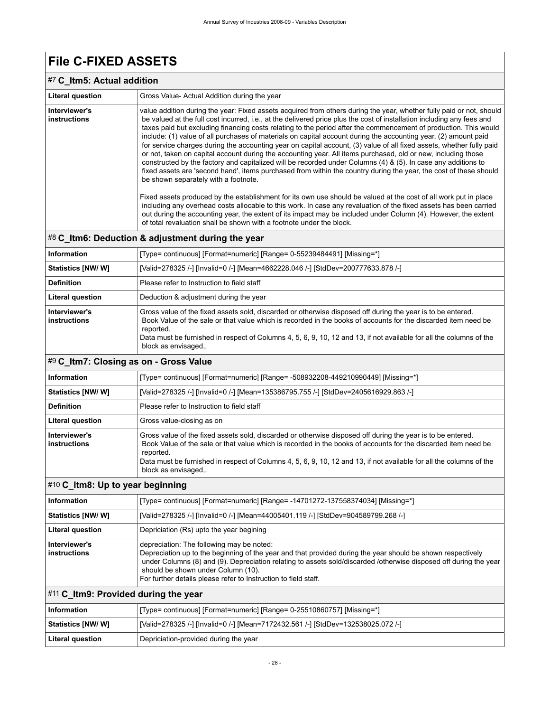# **File C-FIXED ASSETS**

## #7 **C\_Itm5: Actual addition**

| <b>Literal question</b>              | Gross Value-Actual Addition during the year                                                                                                                                                                                                                                                                                                                                                                                                                                                                                                                                                                                                                                                                                                                                                                                                                                                                                                                                                                  |
|--------------------------------------|--------------------------------------------------------------------------------------------------------------------------------------------------------------------------------------------------------------------------------------------------------------------------------------------------------------------------------------------------------------------------------------------------------------------------------------------------------------------------------------------------------------------------------------------------------------------------------------------------------------------------------------------------------------------------------------------------------------------------------------------------------------------------------------------------------------------------------------------------------------------------------------------------------------------------------------------------------------------------------------------------------------|
| Interviewer's<br><b>instructions</b> | value addition during the year: Fixed assets acquired from others during the year, whether fully paid or not, should<br>be valued at the full cost incurred, i.e., at the delivered price plus the cost of installation including any fees and<br>taxes paid but excluding financing costs relating to the period after the commencement of production. This would<br>include: (1) value of all purchases of materials on capital account during the accounting year, (2) amount paid<br>for service charges during the accounting year on capital account, (3) value of all fixed assets, whether fully paid<br>or not, taken on capital account during the accounting year. All items purchased, old or new, including those<br>constructed by the factory and capitalized will be recorded under Columns (4) & (5). In case any additions to<br>fixed assets are 'second hand', items purchased from within the country during the year, the cost of these should<br>be shown separately with a footnote. |
|                                      | Fixed assets produced by the establishment for its own use should be valued at the cost of all work put in place<br>including any overhead costs allocable to this work. In case any revaluation of the fixed assets has been carried<br>out during the accounting year, the extent of its impact may be included under Column (4). However, the extent<br>of total revaluation shall be shown with a footnote under the block.                                                                                                                                                                                                                                                                                                                                                                                                                                                                                                                                                                              |

## <span id="page-31-0"></span>#8 **C\_Itm6: Deduction & adjustment during the year**

| Information                   | [Type= continuous] [Format=numeric] [Range= 0-55239484491] [Missing=*]                                                                                                                                                                                                                                                                                                                  |  |  |  |  |
|-------------------------------|-----------------------------------------------------------------------------------------------------------------------------------------------------------------------------------------------------------------------------------------------------------------------------------------------------------------------------------------------------------------------------------------|--|--|--|--|
| <b>Statistics [NW/W]</b>      | [Valid=278325 /-] [Invalid=0 /-] [Mean=4662228.046 /-] [StdDev=200777633.878 /-]                                                                                                                                                                                                                                                                                                        |  |  |  |  |
| <b>Definition</b>             | Please refer to Instruction to field staff                                                                                                                                                                                                                                                                                                                                              |  |  |  |  |
| <b>Literal question</b>       | Deduction & adjustment during the year                                                                                                                                                                                                                                                                                                                                                  |  |  |  |  |
| Interviewer's<br>instructions | Gross value of the fixed assets sold, discarded or otherwise disposed off during the year is to be entered.<br>Book Value of the sale or that value which is recorded in the books of accounts for the discarded item need be<br>reported.<br>Data must be furnished in respect of Columns 4, 5, 6, 9, 10, 12 and 13, if not available for all the columns of the<br>block as envisaged |  |  |  |  |

# <span id="page-31-1"></span>#9 **C\_Itm7: Closing as on - Gross Value**

| <b>Information</b>            | [Type= continuous] [Format=numeric] [Range= -508932208-449210990449] [Missing=*]                                                                                                                                                                                                                                                                                                        |
|-------------------------------|-----------------------------------------------------------------------------------------------------------------------------------------------------------------------------------------------------------------------------------------------------------------------------------------------------------------------------------------------------------------------------------------|
| <b>Statistics [NW/W]</b>      | [Valid=278325 /-] [Invalid=0 /-] [Mean=135386795.755 /-] [StdDev=2405616929.863 /-]                                                                                                                                                                                                                                                                                                     |
| <b>Definition</b>             | Please refer to Instruction to field staff                                                                                                                                                                                                                                                                                                                                              |
| <b>Literal question</b>       | Gross value-closing as on                                                                                                                                                                                                                                                                                                                                                               |
| Interviewer's<br>instructions | Gross value of the fixed assets sold, discarded or otherwise disposed off during the year is to be entered.<br>Book Value of the sale or that value which is recorded in the books of accounts for the discarded item need be<br>reported.<br>Data must be furnished in respect of Columns 4, 5, 6, 9, 10, 12 and 13, if not available for all the columns of the<br>block as envisaged |

## <span id="page-31-2"></span>#10 **C\_Itm8: Up to year beginning**

| Information                   | [Type= continuous] [Format=numeric] [Range= -14701272-137558374034] [Missing=*]                                                                                                                                                                                                                                                                                                        |  |  |  |  |
|-------------------------------|----------------------------------------------------------------------------------------------------------------------------------------------------------------------------------------------------------------------------------------------------------------------------------------------------------------------------------------------------------------------------------------|--|--|--|--|
| <b>Statistics [NW/ W]</b>     | [Valid=278325 /-] [Invalid=0 /-] [Mean=44005401.119 /-] [StdDev=904589799.268 /-]                                                                                                                                                                                                                                                                                                      |  |  |  |  |
| <b>Literal question</b>       | Depriciation (Rs) upto the year begining                                                                                                                                                                                                                                                                                                                                               |  |  |  |  |
| Interviewer's<br>instructions | depreciation: The following may be noted:<br>Depreciation up to the beginning of the year and that provided during the year should be shown respectively<br>under Columns (8) and (9). Depreciation relating to assets sold/discarded /otherwise disposed off during the year<br>should be shown under Column (10).<br>For further details please refer to Instruction to field staff. |  |  |  |  |

## <span id="page-31-3"></span>#11 **C\_Itm9: Provided during the year**

| ∣ Information      | [Type= continuous] [Format=numeric] [Range= 0-25510860757] [Missing=*]           |
|--------------------|----------------------------------------------------------------------------------|
| Statistics [NW/ W] | 「Nalid=278325 /-] [Invalid=0 /-] [Mean=7172432.561 /-] [StdDev=132538025.072 /-] |
| Literal question   | Depriciation-provided during the year                                            |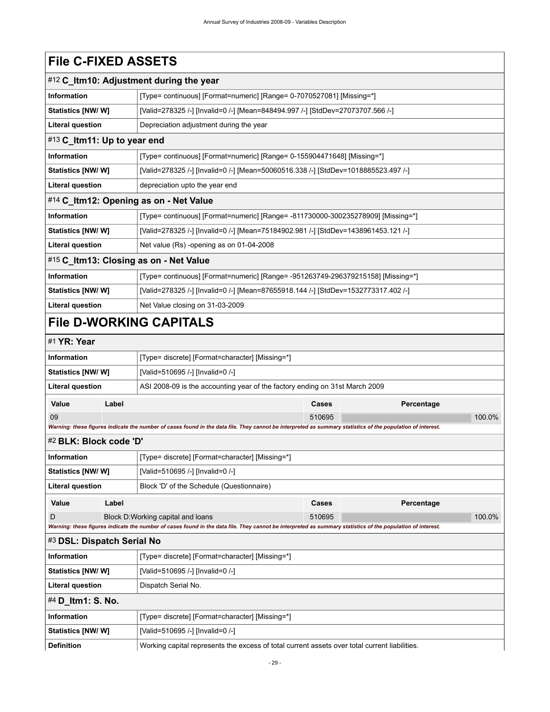# **File C-FIXED ASSETS**

<span id="page-32-8"></span><span id="page-32-7"></span><span id="page-32-6"></span><span id="page-32-5"></span><span id="page-32-4"></span><span id="page-32-3"></span><span id="page-32-2"></span><span id="page-32-1"></span><span id="page-32-0"></span>

|                             |                                                                                               | #12 C_Itm10: Adjustment during the year                                                                                                                     |        |  |            |        |
|-----------------------------|-----------------------------------------------------------------------------------------------|-------------------------------------------------------------------------------------------------------------------------------------------------------------|--------|--|------------|--------|
| <b>Information</b>          |                                                                                               | [Type= continuous] [Format=numeric] [Range= 0-7070527081] [Missing=*]                                                                                       |        |  |            |        |
| Statistics [NW/ W]          |                                                                                               | [Valid=278325 /-] [Invalid=0 /-] [Mean=848494.997 /-] [StdDev=27073707.566 /-]                                                                              |        |  |            |        |
| <b>Literal question</b>     |                                                                                               | Depreciation adjustment during the year                                                                                                                     |        |  |            |        |
| #13 C_Itm11: Up to year end |                                                                                               |                                                                                                                                                             |        |  |            |        |
| Information                 |                                                                                               | [Type= continuous] [Format=numeric] [Range= 0-155904471648] [Missing=*]                                                                                     |        |  |            |        |
| <b>Statistics [NW/W]</b>    |                                                                                               | [Valid=278325 /-] [Invalid=0 /-] [Mean=50060516.338 /-] [StdDev=1018885523.497 /-]                                                                          |        |  |            |        |
| <b>Literal question</b>     |                                                                                               | depreciation upto the year end                                                                                                                              |        |  |            |        |
|                             |                                                                                               | #14 C_Itm12: Opening as on - Net Value                                                                                                                      |        |  |            |        |
| <b>Information</b>          |                                                                                               | [Type= continuous] [Format=numeric] [Range= -811730000-300235278909] [Missing=*]                                                                            |        |  |            |        |
| <b>Statistics [NW/W]</b>    |                                                                                               | [Valid=278325 /-] [Invalid=0 /-] [Mean=75184902.981 /-] [StdDev=1438961453.121 /-]                                                                          |        |  |            |        |
| <b>Literal question</b>     |                                                                                               | Net value (Rs) -opening as on 01-04-2008                                                                                                                    |        |  |            |        |
|                             |                                                                                               | #15 C_Itm13: Closing as on - Net Value                                                                                                                      |        |  |            |        |
| <b>Information</b>          |                                                                                               | [Type= continuous] [Format=numeric] [Range= -951263749-296379215158] [Missing=*]                                                                            |        |  |            |        |
| Statistics [NW/ W]          |                                                                                               | [Valid=278325 /-] [Invalid=0 /-] [Mean=87655918.144 /-] [StdDev=1532773317.402 /-]                                                                          |        |  |            |        |
| <b>Literal question</b>     |                                                                                               | Net Value closing on 31-03-2009                                                                                                                             |        |  |            |        |
|                             |                                                                                               | <b>File D-WORKING CAPITALS</b>                                                                                                                              |        |  |            |        |
| #1 YR: Year                 |                                                                                               |                                                                                                                                                             |        |  |            |        |
| <b>Information</b>          |                                                                                               | [Type= discrete] [Format=character] [Missing=*]                                                                                                             |        |  |            |        |
| <b>Statistics [NW/W]</b>    |                                                                                               | [Valid=510695 /-] [Invalid=0 /-]                                                                                                                            |        |  |            |        |
| <b>Literal question</b>     |                                                                                               | ASI 2008-09 is the accounting year of the factory ending on 31st March 2009                                                                                 |        |  |            |        |
| Value                       | Label                                                                                         |                                                                                                                                                             | Cases  |  | Percentage |        |
| 09                          |                                                                                               |                                                                                                                                                             | 510695 |  |            | 100.0% |
|                             |                                                                                               | Warning: these figures indicate the number of cases found in the data file. They cannot be interpreted as summary statistics of the population of interest. |        |  |            |        |
| #2 BLK: Block code 'D'      |                                                                                               |                                                                                                                                                             |        |  |            |        |
| <b>Information</b>          |                                                                                               | [Type= discrete] [Format=character] [Missing=*]                                                                                                             |        |  |            |        |
| Statistics [NW/ W]          |                                                                                               | [Valid=510695 /-] [Invalid=0 /-]                                                                                                                            |        |  |            |        |
| Literal question            |                                                                                               | Block 'D' of the Schedule (Questionnaire)                                                                                                                   |        |  |            |        |
| Value                       | Label                                                                                         |                                                                                                                                                             | Cases  |  | Percentage |        |
| D                           |                                                                                               | Block D: Working capital and loans                                                                                                                          | 510695 |  |            | 100.0% |
|                             |                                                                                               | Warning: these figures indicate the number of cases found in the data file. They cannot be interpreted as summary statistics of the population of interest. |        |  |            |        |
| #3 DSL: Dispatch Serial No  |                                                                                               |                                                                                                                                                             |        |  |            |        |
| <b>Information</b>          |                                                                                               | [Type= discrete] [Format=character] [Missing=*]                                                                                                             |        |  |            |        |
| Statistics [NW/W]           |                                                                                               | [Valid=510695 /-] [Invalid=0 /-]                                                                                                                            |        |  |            |        |
| <b>Literal question</b>     |                                                                                               | Dispatch Serial No.                                                                                                                                         |        |  |            |        |
| #4 D_Itm1: S. No.           |                                                                                               |                                                                                                                                                             |        |  |            |        |
| Information                 |                                                                                               | [Type= discrete] [Format=character] [Missing=*]                                                                                                             |        |  |            |        |
| Statistics [NW/W]           |                                                                                               | [Valid=510695 /-] [Invalid=0 /-]                                                                                                                            |        |  |            |        |
| <b>Definition</b>           | Working capital represents the excess of total current assets over total current liabilities. |                                                                                                                                                             |        |  |            |        |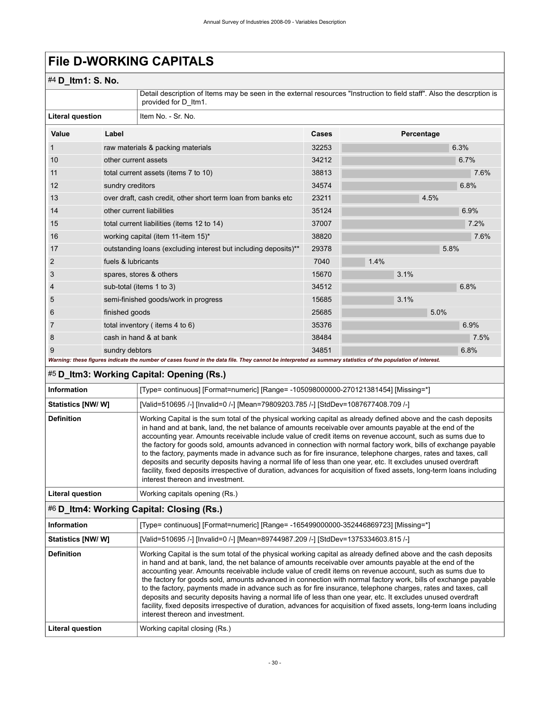# **File D-WORKING CAPITALS**

# #4 **D\_Itm1: S. No.**

Detail description of Items may be seen in the external resources "Instruction to field staff". Also the descrption is provided for D\_Itm1.

| Literal question |                      | Item No. - Sr. No.                                                                                                                                          |       |            |      |      |
|------------------|----------------------|-------------------------------------------------------------------------------------------------------------------------------------------------------------|-------|------------|------|------|
| Value            | Label                |                                                                                                                                                             | Cases | Percentage |      |      |
|                  |                      | raw materials & packing materials                                                                                                                           | 32253 |            |      | 6.3% |
| 10               | other current assets |                                                                                                                                                             | 34212 |            |      | 6.7% |
| 11               |                      | total current assets (items 7 to 10)                                                                                                                        | 38813 |            |      | 7.6% |
| 12               | sundry creditors     |                                                                                                                                                             | 34574 |            |      | 6.8% |
| 13               |                      | over draft, cash credit, other short term loan from banks etc                                                                                               | 23211 |            | 4.5% |      |
| 14               |                      | other current liabilities                                                                                                                                   | 35124 |            |      | 6.9% |
| 15               |                      | total current liabilities (items 12 to 14)                                                                                                                  | 37007 |            |      | 7.2% |
| 16               |                      | working capital (item 11-item 15)*                                                                                                                          | 38820 |            |      | 7.6% |
| 17               |                      | outstanding loans (excluding interest but including deposits)**                                                                                             | 29378 |            | 5.8% |      |
| 2                | fuels & lubricants   |                                                                                                                                                             | 7040  | 1.4%       |      |      |
| 3                |                      | spares, stores & others                                                                                                                                     | 15670 | 3.1%       |      |      |
| 4                |                      | sub-total (items 1 to 3)                                                                                                                                    | 34512 |            |      | 6.8% |
| 5                |                      | semi-finished goods/work in progress                                                                                                                        | 15685 | 3.1%       |      |      |
| 6                | finished goods       |                                                                                                                                                             | 25685 |            | 5.0% |      |
| 7                |                      | total inventory (items 4 to 6)                                                                                                                              | 35376 |            |      | 6.9% |
| 8                |                      | cash in hand & at bank                                                                                                                                      | 38484 |            |      | 7.5% |
| 9                | sundry debtors       |                                                                                                                                                             | 34851 |            |      | 6.8% |
|                  |                      | Warning: these figures indicate the number of cases found in the data file. They cannot be interpreted as summary statistics of the population of interest. |       |            |      |      |

## <span id="page-33-0"></span>#5 **D\_Itm3: Working Capital: Opening (Rs.)**

| Information               | [Type= continuous] [Format=numeric] [Range= -105098000000-270121381454] [Missing=*]                                                                                                                                                                                                                                                                                                                                                                                                                                                                                                                                                                                                                                                                                                                                                                      |
|---------------------------|----------------------------------------------------------------------------------------------------------------------------------------------------------------------------------------------------------------------------------------------------------------------------------------------------------------------------------------------------------------------------------------------------------------------------------------------------------------------------------------------------------------------------------------------------------------------------------------------------------------------------------------------------------------------------------------------------------------------------------------------------------------------------------------------------------------------------------------------------------|
| <b>Statistics [NW/ W]</b> | [Valid=510695 /-] [Invalid=0 /-] [Mean=79809203.785 /-] [StdDev=1087677408.709 /-]                                                                                                                                                                                                                                                                                                                                                                                                                                                                                                                                                                                                                                                                                                                                                                       |
| <b>Definition</b>         | Working Capital is the sum total of the physical working capital as already defined above and the cash deposits<br>in hand and at bank, land, the net balance of amounts receivable over amounts payable at the end of the<br>accounting year. Amounts receivable include value of credit items on revenue account, such as sums due to<br>the factory for goods sold, amounts advanced in connection with normal factory work, bills of exchange payable<br>to the factory, payments made in advance such as for fire insurance, telephone charges, rates and taxes, call<br>deposits and security deposits having a normal life of less than one year, etc. It excludes unused overdraft<br>facility, fixed deposits irrespective of duration, advances for acquisition of fixed assets, long-term loans including<br>interest thereon and investment. |
| Literal question          | Working capitals opening (Rs.)                                                                                                                                                                                                                                                                                                                                                                                                                                                                                                                                                                                                                                                                                                                                                                                                                           |

### <span id="page-33-1"></span>#6 **D\_Itm4: Working Capital: Closing (Rs.)**

| <b>Information</b>      | [Type= continuous] [Format=numeric] [Range= -165499000000-352446869723] [Missing=*]                                                                                                                                                                                                                                                                                                                                                                                                                                                                                                                                                                                                                                                                                                                                                                      |
|-------------------------|----------------------------------------------------------------------------------------------------------------------------------------------------------------------------------------------------------------------------------------------------------------------------------------------------------------------------------------------------------------------------------------------------------------------------------------------------------------------------------------------------------------------------------------------------------------------------------------------------------------------------------------------------------------------------------------------------------------------------------------------------------------------------------------------------------------------------------------------------------|
| Statistics [NW/ W]      | [Valid=510695 /-] [Invalid=0 /-] [Mean=89744987.209 /-] [StdDev=1375334603.815 /-]                                                                                                                                                                                                                                                                                                                                                                                                                                                                                                                                                                                                                                                                                                                                                                       |
| <b>Definition</b>       | Working Capital is the sum total of the physical working capital as already defined above and the cash deposits<br>in hand and at bank, land, the net balance of amounts receivable over amounts payable at the end of the<br>accounting year. Amounts receivable include value of credit items on revenue account, such as sums due to<br>the factory for goods sold, amounts advanced in connection with normal factory work, bills of exchange payable<br>to the factory, payments made in advance such as for fire insurance, telephone charges, rates and taxes, call<br>deposits and security deposits having a normal life of less than one year, etc. It excludes unused overdraft<br>facility, fixed deposits irrespective of duration, advances for acquisition of fixed assets, long-term loans including<br>interest thereon and investment. |
| <b>Literal question</b> | Working capital closing (Rs.)                                                                                                                                                                                                                                                                                                                                                                                                                                                                                                                                                                                                                                                                                                                                                                                                                            |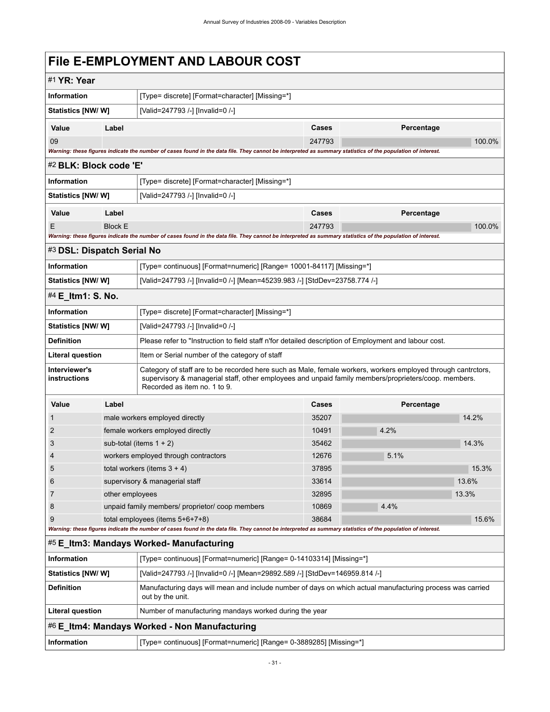# <span id="page-34-0"></span>**File E-EMPLOYMENT AND LABOUR COST**

<span id="page-34-6"></span><span id="page-34-5"></span><span id="page-34-4"></span><span id="page-34-3"></span><span id="page-34-2"></span><span id="page-34-1"></span>

| #1 YR: Year                                   |                                                                                                                                                                                                                                                      |                                                                                                                                                             |        |            |        |  |  |  |
|-----------------------------------------------|------------------------------------------------------------------------------------------------------------------------------------------------------------------------------------------------------------------------------------------------------|-------------------------------------------------------------------------------------------------------------------------------------------------------------|--------|------------|--------|--|--|--|
| <b>Information</b>                            |                                                                                                                                                                                                                                                      | [Type= discrete] [Format=character] [Missing=*]                                                                                                             |        |            |        |  |  |  |
| Statistics [NW/W]                             |                                                                                                                                                                                                                                                      | [Valid=247793 /-] [Invalid=0 /-]                                                                                                                            |        |            |        |  |  |  |
| Value                                         | Label                                                                                                                                                                                                                                                |                                                                                                                                                             | Cases  | Percentage |        |  |  |  |
| 09                                            |                                                                                                                                                                                                                                                      |                                                                                                                                                             | 247793 |            | 100.0% |  |  |  |
|                                               |                                                                                                                                                                                                                                                      | Warning: these figures indicate the number of cases found in the data file. They cannot be interpreted as summary statistics of the population of interest. |        |            |        |  |  |  |
| #2 BLK: Block code 'E'                        |                                                                                                                                                                                                                                                      |                                                                                                                                                             |        |            |        |  |  |  |
| Information                                   |                                                                                                                                                                                                                                                      | [Type= discrete] [Format=character] [Missing=*]                                                                                                             |        |            |        |  |  |  |
| Statistics [NW/W]                             |                                                                                                                                                                                                                                                      | [Valid=247793 /-] [Invalid=0 /-]                                                                                                                            |        |            |        |  |  |  |
| Value                                         | Label                                                                                                                                                                                                                                                |                                                                                                                                                             | Cases  | Percentage |        |  |  |  |
| Ε                                             | <b>Block E</b>                                                                                                                                                                                                                                       |                                                                                                                                                             | 247793 |            | 100.0% |  |  |  |
|                                               |                                                                                                                                                                                                                                                      | Warning: these figures indicate the number of cases found in the data file. They cannot be interpreted as summary statistics of the population of interest. |        |            |        |  |  |  |
| #3 DSL: Dispatch Serial No                    |                                                                                                                                                                                                                                                      |                                                                                                                                                             |        |            |        |  |  |  |
| Information                                   |                                                                                                                                                                                                                                                      | [Type= continuous] [Format=numeric] [Range= 10001-84117] [Missing=*]                                                                                        |        |            |        |  |  |  |
| Statistics [NW/W]                             |                                                                                                                                                                                                                                                      | [Valid=247793 /-] [Invalid=0 /-] [Mean=45239.983 /-] [StdDev=23758.774 /-]                                                                                  |        |            |        |  |  |  |
| #4 E_Itm1: S. No.                             |                                                                                                                                                                                                                                                      |                                                                                                                                                             |        |            |        |  |  |  |
| Information                                   |                                                                                                                                                                                                                                                      | [Type= discrete] [Format=character] [Missing=*]                                                                                                             |        |            |        |  |  |  |
| <b>Statistics [NW/ W]</b>                     |                                                                                                                                                                                                                                                      | [Valid=247793 /-] [Invalid=0 /-]                                                                                                                            |        |            |        |  |  |  |
| <b>Definition</b>                             | Please refer to "Instruction to field staff n'for detailed description of Employment and labour cost.                                                                                                                                                |                                                                                                                                                             |        |            |        |  |  |  |
| Literal question                              |                                                                                                                                                                                                                                                      | Item or Serial number of the category of staff                                                                                                              |        |            |        |  |  |  |
| Interviewer's<br>instructions                 | Category of staff are to be recorded here such as Male, female workers, workers employed through cantrctors,<br>supervisory & managerial staff, other employees and unpaid family members/proprieters/coop. members.<br>Recorded as item no. 1 to 9. |                                                                                                                                                             |        |            |        |  |  |  |
| Value                                         | Label                                                                                                                                                                                                                                                |                                                                                                                                                             | Cases  | Percentage |        |  |  |  |
| 1                                             |                                                                                                                                                                                                                                                      | male workers employed directly                                                                                                                              | 35207  |            | 14.2%  |  |  |  |
| 2                                             |                                                                                                                                                                                                                                                      | female workers employed directly                                                                                                                            | 10491  | 4.2%       |        |  |  |  |
| 3                                             |                                                                                                                                                                                                                                                      | sub-total (items $1 + 2$ )                                                                                                                                  | 35462  |            | 14.3%  |  |  |  |
| 4                                             |                                                                                                                                                                                                                                                      | workers employed through contractors                                                                                                                        | 12676  | 5.1%       |        |  |  |  |
| 5                                             |                                                                                                                                                                                                                                                      | total workers (items $3 + 4$ )                                                                                                                              | 37895  |            | 15.3%  |  |  |  |
| 6                                             |                                                                                                                                                                                                                                                      | supervisory & managerial staff                                                                                                                              | 33614  |            | 13.6%  |  |  |  |
| 7                                             | other employees                                                                                                                                                                                                                                      |                                                                                                                                                             | 32895  |            | 13.3%  |  |  |  |
| 8                                             |                                                                                                                                                                                                                                                      | unpaid family members/ proprietor/ coop members                                                                                                             | 10869  | 4.4%       |        |  |  |  |
| 9                                             |                                                                                                                                                                                                                                                      | total employees (items 5+6+7+8)                                                                                                                             | 38684  |            | 15.6%  |  |  |  |
|                                               |                                                                                                                                                                                                                                                      | Warning: these figures indicate the number of cases found in the data file. They cannot be interpreted as summary statistics of the population of interest. |        |            |        |  |  |  |
|                                               |                                                                                                                                                                                                                                                      | #5 E_Itm3: Mandays Worked- Manufacturing                                                                                                                    |        |            |        |  |  |  |
| Information                                   |                                                                                                                                                                                                                                                      | [Type= continuous] [Format=numeric] [Range= 0-14103314] [Missing=*]                                                                                         |        |            |        |  |  |  |
| <b>Statistics [NW/W]</b>                      |                                                                                                                                                                                                                                                      | [Valid=247793 /-] [Invalid=0 /-] [Mean=29892.589 /-] [StdDev=146959.814 /-]                                                                                 |        |            |        |  |  |  |
| <b>Definition</b>                             | Manufacturing days will mean and include number of days on which actual manufacturing process was carried<br>out by the unit.                                                                                                                        |                                                                                                                                                             |        |            |        |  |  |  |
| <b>Literal question</b>                       |                                                                                                                                                                                                                                                      | Number of manufacturing mandays worked during the year                                                                                                      |        |            |        |  |  |  |
| #6 E_Itm4: Mandays Worked - Non Manufacturing |                                                                                                                                                                                                                                                      |                                                                                                                                                             |        |            |        |  |  |  |
| Information                                   |                                                                                                                                                                                                                                                      | [Type= continuous] [Format=numeric] [Range= 0-3889285] [Missing=*]                                                                                          |        |            |        |  |  |  |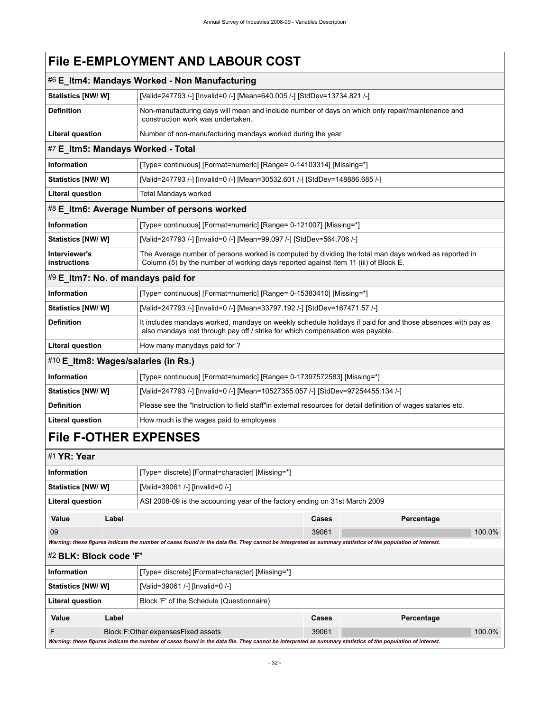# **File E-EMPLOYMENT AND LABOUR COST**

<span id="page-35-3"></span><span id="page-35-2"></span><span id="page-35-1"></span>

|                               |                                                                        | #6 E_Itm4: Mandays Worked - Non Manufacturing                                                                                                                                                |                                                                                                               |            |  |  |  |
|-------------------------------|------------------------------------------------------------------------|----------------------------------------------------------------------------------------------------------------------------------------------------------------------------------------------|---------------------------------------------------------------------------------------------------------------|------------|--|--|--|
| <b>Statistics [NW/ W]</b>     |                                                                        |                                                                                                                                                                                              | [Valid=247793 /-] [Invalid=0 /-] [Mean=640.005 /-] [StdDev=13734.821 /-]                                      |            |  |  |  |
| <b>Definition</b>             |                                                                        | Non-manufacturing days will mean and include number of days on which only repair/maintenance and<br>construction work was undertaken.                                                        |                                                                                                               |            |  |  |  |
| <b>Literal question</b>       |                                                                        | Number of non-manufacturing mandays worked during the year                                                                                                                                   |                                                                                                               |            |  |  |  |
|                               |                                                                        | #7 E_Itm5: Mandays Worked - Total                                                                                                                                                            |                                                                                                               |            |  |  |  |
| <b>Information</b>            |                                                                        | [Type= continuous] [Format=numeric] [Range= 0-14103314] [Missing=*]                                                                                                                          |                                                                                                               |            |  |  |  |
| <b>Statistics [NW/W]</b>      |                                                                        | [Valid=247793 /-] [Invalid=0 /-] [Mean=30532.601 /-] [StdDev=148886.685 /-]                                                                                                                  |                                                                                                               |            |  |  |  |
| <b>Literal question</b>       |                                                                        | <b>Total Mandays worked</b>                                                                                                                                                                  |                                                                                                               |            |  |  |  |
|                               |                                                                        | #8 E_Itm6: Average Number of persons worked                                                                                                                                                  |                                                                                                               |            |  |  |  |
| <b>Information</b>            |                                                                        | [Type= continuous] [Format=numeric] [Range= 0-121007] [Missing=*]                                                                                                                            |                                                                                                               |            |  |  |  |
| <b>Statistics [NW/W]</b>      |                                                                        | [Valid=247793 /-] [Invalid=0 /-] [Mean=99.097 /-] [StdDev=564.706 /-]                                                                                                                        |                                                                                                               |            |  |  |  |
| Interviewer's<br>instructions |                                                                        | The Average number of persons worked is computed by dividing the total man days worked as reported in<br>Column (5) by the number of working days reported against Item 11 (iii) of Block E. |                                                                                                               |            |  |  |  |
|                               |                                                                        | #9 E_Itm7: No. of mandays paid for                                                                                                                                                           |                                                                                                               |            |  |  |  |
| <b>Information</b>            |                                                                        | [Type= continuous] [Format=numeric] [Range= 0-15383410] [Missing=*]                                                                                                                          |                                                                                                               |            |  |  |  |
| <b>Statistics [NW/W]</b>      |                                                                        | [Valid=247793 /-] [Invalid=0 /-] [Mean=33797.192 /-] [StdDev=167471.57 /-]                                                                                                                   |                                                                                                               |            |  |  |  |
| <b>Definition</b>             |                                                                        | It includes mandays worked, mandays on weekly schedule holidays if paid for and those absences with pay as<br>also mandays lost through pay off / strike for which compensation was payable. |                                                                                                               |            |  |  |  |
| <b>Literal question</b>       | How many manydays paid for ?                                           |                                                                                                                                                                                              |                                                                                                               |            |  |  |  |
|                               |                                                                        | #10 E_Itm8: Wages/salaries (in Rs.)                                                                                                                                                          |                                                                                                               |            |  |  |  |
| <b>Information</b>            | [Type= continuous] [Format=numeric] [Range= 0-17397572583] [Missing=*] |                                                                                                                                                                                              |                                                                                                               |            |  |  |  |
| Statistics [NW/ W]            |                                                                        |                                                                                                                                                                                              | [Valid=247793 /-] [Invalid=0 /-] [Mean=10527355.057 /-] [StdDev=97254455.134 /-]                              |            |  |  |  |
| <b>Definition</b>             |                                                                        |                                                                                                                                                                                              | Please see the "Instruction to field staff"in external resources for detail definition of wages salaries etc. |            |  |  |  |
| <b>Literal question</b>       |                                                                        | How much is the wages paid to employees                                                                                                                                                      |                                                                                                               |            |  |  |  |
|                               |                                                                        | <b>File F-OTHER EXPENSES</b>                                                                                                                                                                 |                                                                                                               |            |  |  |  |
| #1 YR: Year                   |                                                                        |                                                                                                                                                                                              |                                                                                                               |            |  |  |  |
| <b>Information</b>            |                                                                        | [Type= discrete] [Format=character] [Missing=*]                                                                                                                                              |                                                                                                               |            |  |  |  |
| <b>Statistics [NW/ W]</b>     |                                                                        | [Valid=39061 /-] [Invalid=0 /-]                                                                                                                                                              |                                                                                                               |            |  |  |  |
| <b>Literal question</b>       |                                                                        | ASI 2008-09 is the accounting year of the factory ending on 31st March 2009                                                                                                                  |                                                                                                               |            |  |  |  |
| Value                         | Label                                                                  |                                                                                                                                                                                              | Cases                                                                                                         | Percentage |  |  |  |
| 09                            |                                                                        |                                                                                                                                                                                              | 39061                                                                                                         | 100.0%     |  |  |  |
|                               |                                                                        | Warning: these figures indicate the number of cases found in the data file. They cannot be interpreted as summary statistics of the population of interest.                                  |                                                                                                               |            |  |  |  |
| #2 BLK: Block code 'F'        |                                                                        |                                                                                                                                                                                              |                                                                                                               |            |  |  |  |
| Information                   |                                                                        | [Type= discrete] [Format=character] [Missing=*]                                                                                                                                              |                                                                                                               |            |  |  |  |
|                               | Statistics [NW/W]<br>[Valid=39061 /-] [Invalid=0 /-]                   |                                                                                                                                                                                              |                                                                                                               |            |  |  |  |
| <b>Literal question</b>       |                                                                        | Block 'F' of the Schedule (Questionnaire)                                                                                                                                                    |                                                                                                               |            |  |  |  |

F Block F:Other expensesFixed assets 39061 39061 2000 39061 39061 39061 39061 39061 39061 39061 39061 39061 39061 39061 39061 39061 39061 39061 39061 39061 39061 39061 39061 39061 39061 39061 39061 39061 39061 39061 39061 *Warning: these figures indicate the number of cases found in the data file. They cannot be interpreted as summary statistics of the population of interest.*

<span id="page-35-6"></span><span id="page-35-5"></span><span id="page-35-4"></span><span id="page-35-0"></span>**Value Label Cases Percentage**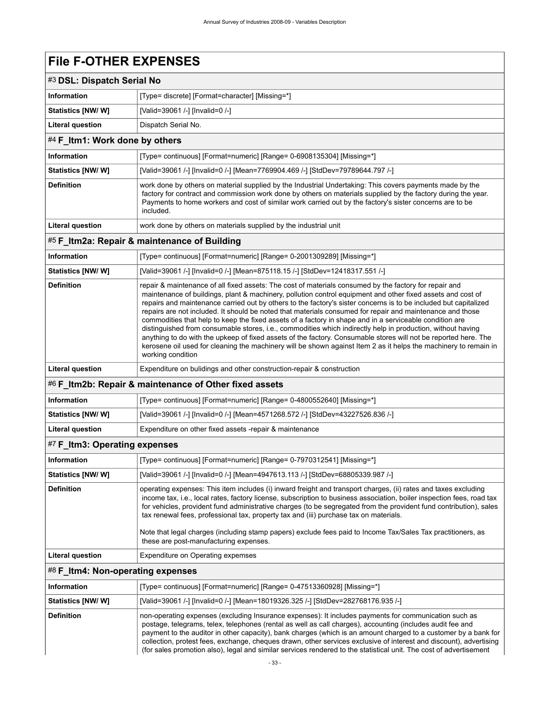# **File F-OTHER EXPENSES**

<span id="page-36-1"></span><span id="page-36-0"></span>

|                                | #3 DSL: Dispatch Serial No                                                                                                                                                                                                                                                                                                                         |  |  |  |  |
|--------------------------------|----------------------------------------------------------------------------------------------------------------------------------------------------------------------------------------------------------------------------------------------------------------------------------------------------------------------------------------------------|--|--|--|--|
| <b>Information</b>             | [Type= discrete] [Format=character] [Missing=*]                                                                                                                                                                                                                                                                                                    |  |  |  |  |
| <b>Statistics [NW/ W]</b>      | [Valid=39061 /-] [Invalid=0 /-]                                                                                                                                                                                                                                                                                                                    |  |  |  |  |
| <b>Literal question</b>        | Dispatch Serial No.                                                                                                                                                                                                                                                                                                                                |  |  |  |  |
| #4 F_Itm1: Work done by others |                                                                                                                                                                                                                                                                                                                                                    |  |  |  |  |
| <b>Information</b>             | [Type= continuous] [Format=numeric] [Range= 0-6908135304] [Missing=*]                                                                                                                                                                                                                                                                              |  |  |  |  |
| <b>Statistics [NW/W]</b>       | [Valid=39061 /-] [Invalid=0 /-] [Mean=7769904.469 /-] [StdDev=79789644.797 /-]                                                                                                                                                                                                                                                                     |  |  |  |  |
| <b>Definition</b>              | work done by others on material supplied by the Industrial Undertaking: This covers payments made by the<br>factory for contract and commission work done by others on materials supplied by the factory during the year.<br>Payments to home workers and cost of similar work carried out by the factory's sister concerns are to be<br>included. |  |  |  |  |
| Literal question               | work done by others on materials supplied by the industrial unit                                                                                                                                                                                                                                                                                   |  |  |  |  |
|                                | #5 F_Itm2a: Repair & maintenance of Building                                                                                                                                                                                                                                                                                                       |  |  |  |  |
| <b>Information</b>             | [Type= continuous] [Format=numeric] [Range= 0-2001309289] [Missing=*]                                                                                                                                                                                                                                                                              |  |  |  |  |
| Statistics [NW/W]              | [Valid=39061 /-] [Invalid=0 /-] [Mean=875118.15 /-] [StdDev=12418317.551 /-]                                                                                                                                                                                                                                                                       |  |  |  |  |

<span id="page-36-2"></span>

| <b>Definition</b>                                      | repair & maintenance of all fixed assets: The cost of materials consumed by the factory for repair and<br>maintenance of buildings, plant & machinery, pollution control equipment and other fixed assets and cost of<br>repairs and maintenance carried out by others to the factory's sister concerns is to be included but capitalized<br>repairs are not included. It should be noted that materials consumed for repair and maintenance and those<br>commodities that help to keep the fixed assets of a factory in shape and in a serviceable condition are<br>distinguished from consumable stores, i.e., commodities which indirectly help in production, without having<br>anything to do with the upkeep of fixed assets of the factory. Consumable stores will not be reported here. The<br>kerosene oil used for cleaning the machinery will be shown against Item 2 as it helps the machinery to remain in<br>working condition |  |
|--------------------------------------------------------|----------------------------------------------------------------------------------------------------------------------------------------------------------------------------------------------------------------------------------------------------------------------------------------------------------------------------------------------------------------------------------------------------------------------------------------------------------------------------------------------------------------------------------------------------------------------------------------------------------------------------------------------------------------------------------------------------------------------------------------------------------------------------------------------------------------------------------------------------------------------------------------------------------------------------------------------|--|
| <b>Literal question</b>                                | Expenditure on bulidings and other construction-repair & construction                                                                                                                                                                                                                                                                                                                                                                                                                                                                                                                                                                                                                                                                                                                                                                                                                                                                        |  |
| #6 F Itm2b: Repair & maintenance of Other fixed assets |                                                                                                                                                                                                                                                                                                                                                                                                                                                                                                                                                                                                                                                                                                                                                                                                                                                                                                                                              |  |
| <b>Information</b>                                     | [Type= continuous] [Format=numeric] [Range= 0-4800552640] [Missing=*]                                                                                                                                                                                                                                                                                                                                                                                                                                                                                                                                                                                                                                                                                                                                                                                                                                                                        |  |

<span id="page-36-3"></span>

| Statistics [NW/ W] | [Valid=39061 /-] [Invalid=0 /-] [Mean=4571268.572 /-] [StdDev=43227526.836 /-] |  |  |
|--------------------|--------------------------------------------------------------------------------|--|--|

**Literal question** Expenditure on other fixed assets -repair & maintenance

#### <span id="page-36-4"></span>#7 **F\_Itm3: Operating expenses**

| <b>Information</b>      | [Type= continuous] [Format=numeric] [Range= 0-7970312541] [Missing=*]                                                                                                                                                                                                                                                                                                                                                                                                                                                                                                                                              |  |  |  |  |
|-------------------------|--------------------------------------------------------------------------------------------------------------------------------------------------------------------------------------------------------------------------------------------------------------------------------------------------------------------------------------------------------------------------------------------------------------------------------------------------------------------------------------------------------------------------------------------------------------------------------------------------------------------|--|--|--|--|
| Statistics [NW/ W]      | [Valid=39061 /-] [Invalid=0 /-] [Mean=4947613.113 /-] [StdDev=68805339.987 /-]                                                                                                                                                                                                                                                                                                                                                                                                                                                                                                                                     |  |  |  |  |
| <b>Definition</b>       | operating expenses: This item includes (i) inward freight and transport charges, (ii) rates and taxes excluding<br>income tax, i.e., local rates, factory license, subscription to business association, boiler inspection fees, road tax<br>for vehicles, provident fund administrative charges (to be segregated from the provident fund contribution), sales<br>tax renewal fees, professional tax, property tax and (iii) purchase tax on materials.<br>Note that legal charges (including stamp papers) exclude fees paid to Income Tax/Sales Tax practitioners, as<br>these are post-manufacturing expenses. |  |  |  |  |
| <b>Literal question</b> | Expenditure on Operating expemses                                                                                                                                                                                                                                                                                                                                                                                                                                                                                                                                                                                  |  |  |  |  |

## <span id="page-36-5"></span>#8 **F\_Itm4: Non-operating expenses**

| <b>Information</b>       | [Type= continuous] [Format=numeric] [Range= 0-47513360928] [Missing=*]                                                                                                                                                                                                                                                                                                                                                                                                                                                                                                             |
|--------------------------|------------------------------------------------------------------------------------------------------------------------------------------------------------------------------------------------------------------------------------------------------------------------------------------------------------------------------------------------------------------------------------------------------------------------------------------------------------------------------------------------------------------------------------------------------------------------------------|
| <b>Statistics [NW/W]</b> | [Valid=39061 /-] [Invalid=0 /-] [Mean=18019326.325 /-] [StdDev=282768176.935 /-]                                                                                                                                                                                                                                                                                                                                                                                                                                                                                                   |
| <b>Definition</b>        | non-operating expenses (excluding Insurance expenses): It includes payments for communication such as<br>postage, telegrams, telex, telephones (rental as well as call charges), accounting (includes audit fee and<br>payment to the auditor in other capacity), bank charges (which is an amount charged to a customer by a bank for<br>collection, protest fees, exchange, cheques drawn, other services exclusive of interest and discount), advertising<br>(for sales promotion also), legal and similar services rendered to the statistical unit. The cost of advertisement |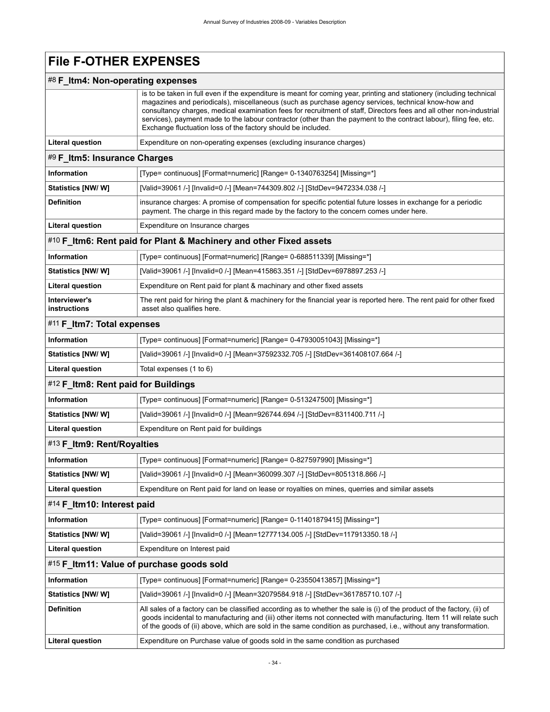# **File F-OTHER EXPENSES**

## #8 **F\_Itm4: Non-operating expenses**

<span id="page-37-6"></span><span id="page-37-5"></span><span id="page-37-4"></span><span id="page-37-3"></span><span id="page-37-2"></span><span id="page-37-1"></span><span id="page-37-0"></span>

|                                     | is to be taken in full even if the expenditure is meant for coming year, printing and stationery (including technical<br>magazines and periodicals), miscellaneous (such as purchase agency services, technical know-how and<br>consultancy charges, medical examination fees for recruitment of staff, Directors fees and all other non-industrial<br>services), payment made to the labour contractor (other than the payment to the contract labour), filing fee, etc.<br>Exchange fluctuation loss of the factory should be included. |
|-------------------------------------|-------------------------------------------------------------------------------------------------------------------------------------------------------------------------------------------------------------------------------------------------------------------------------------------------------------------------------------------------------------------------------------------------------------------------------------------------------------------------------------------------------------------------------------------|
| <b>Literal question</b>             | Expenditure on non-operating expenses (excluding insurance charges)                                                                                                                                                                                                                                                                                                                                                                                                                                                                       |
| #9 F_Itm5: Insurance Charges        |                                                                                                                                                                                                                                                                                                                                                                                                                                                                                                                                           |
| <b>Information</b>                  | [Type= continuous] [Format=numeric] [Range= 0-1340763254] [Missing=*]                                                                                                                                                                                                                                                                                                                                                                                                                                                                     |
| <b>Statistics [NW/ W]</b>           | [Valid=39061 /-] [Invalid=0 /-] [Mean=744309.802 /-] [StdDev=9472334.038 /-]                                                                                                                                                                                                                                                                                                                                                                                                                                                              |
| <b>Definition</b>                   | insurance charges: A promise of compensation for specific potential future losses in exchange for a periodic<br>payment. The charge in this regard made by the factory to the concern comes under here.                                                                                                                                                                                                                                                                                                                                   |
| <b>Literal question</b>             | Expenditure on Insurance charges                                                                                                                                                                                                                                                                                                                                                                                                                                                                                                          |
|                                     | #10 F_Itm6: Rent paid for Plant & Machinery and other Fixed assets                                                                                                                                                                                                                                                                                                                                                                                                                                                                        |
| Information                         | [Type= continuous] [Format=numeric] [Range= 0-688511339] [Missing=*]                                                                                                                                                                                                                                                                                                                                                                                                                                                                      |
| <b>Statistics [NW/W]</b>            | [Valid=39061 /-] [Invalid=0 /-] [Mean=415863.351 /-] [StdDev=6978897.253 /-]                                                                                                                                                                                                                                                                                                                                                                                                                                                              |
| <b>Literal question</b>             | Expenditure on Rent paid for plant & machinary and other fixed assets                                                                                                                                                                                                                                                                                                                                                                                                                                                                     |
| Interviewer's<br>instructions       | The rent paid for hiring the plant & machinery for the financial year is reported here. The rent paid for other fixed<br>asset also qualifies here.                                                                                                                                                                                                                                                                                                                                                                                       |
| #11 F_Itm7: Total expenses          |                                                                                                                                                                                                                                                                                                                                                                                                                                                                                                                                           |
| Information                         | [Type= continuous] [Format=numeric] [Range= 0-47930051043] [Missing=*]                                                                                                                                                                                                                                                                                                                                                                                                                                                                    |
| Statistics [NW/ W]                  | [Valid=39061 /-] [Invalid=0 /-] [Mean=37592332.705 /-] [StdDev=361408107.664 /-]                                                                                                                                                                                                                                                                                                                                                                                                                                                          |
| <b>Literal question</b>             | Total expenses (1 to 6)                                                                                                                                                                                                                                                                                                                                                                                                                                                                                                                   |
| #12 F_Itm8: Rent paid for Buildings |                                                                                                                                                                                                                                                                                                                                                                                                                                                                                                                                           |
| Information                         | [Type= continuous] [Format=numeric] [Range= 0-513247500] [Missing=*]                                                                                                                                                                                                                                                                                                                                                                                                                                                                      |
| <b>Statistics [NW/ W]</b>           | [Valid=39061 /-] [Invalid=0 /-] [Mean=926744.694 /-] [StdDev=8311400.711 /-]                                                                                                                                                                                                                                                                                                                                                                                                                                                              |
| <b>Literal question</b>             | Expenditure on Rent paid for buildings                                                                                                                                                                                                                                                                                                                                                                                                                                                                                                    |
| #13 F_Itm9: Rent/Royalties          |                                                                                                                                                                                                                                                                                                                                                                                                                                                                                                                                           |
| <b>Information</b>                  | [Type= continuous] [Format=numeric] [Range= 0-827597990] [Missing=*]                                                                                                                                                                                                                                                                                                                                                                                                                                                                      |
| <b>Statistics [NW/ W]</b>           | [Valid=39061 /-] [Invalid=0 /-] [Mean=360099.307 /-] [StdDev=8051318.866 /-]                                                                                                                                                                                                                                                                                                                                                                                                                                                              |
| <b>Literal question</b>             | Expenditure on Rent paid for land on lease or royalties on mines, querries and similar assets                                                                                                                                                                                                                                                                                                                                                                                                                                             |
| #14 F Itm10: Interest paid          |                                                                                                                                                                                                                                                                                                                                                                                                                                                                                                                                           |
| <b>Information</b>                  | [Type= continuous] [Format=numeric] [Range= 0-11401879415] [Missing=*]                                                                                                                                                                                                                                                                                                                                                                                                                                                                    |
| <b>Statistics [NW/W]</b>            | [Valid=39061 /-] [Invalid=0 /-] [Mean=12777134.005 /-] [StdDev=117913350.18 /-]                                                                                                                                                                                                                                                                                                                                                                                                                                                           |
| <b>Literal question</b>             | Expenditure on Interest paid                                                                                                                                                                                                                                                                                                                                                                                                                                                                                                              |
|                                     | #15 F_Itm11: Value of purchase goods sold                                                                                                                                                                                                                                                                                                                                                                                                                                                                                                 |
| <b>Information</b>                  | [Type= continuous] [Format=numeric] [Range= 0-23550413857] [Missing=*]                                                                                                                                                                                                                                                                                                                                                                                                                                                                    |
| Statistics [NW/W]                   | [Valid=39061 /-] [Invalid=0 /-] [Mean=32079584.918 /-] [StdDev=361785710.107 /-]                                                                                                                                                                                                                                                                                                                                                                                                                                                          |
| <b>Definition</b>                   | All sales of a factory can be classified according as to whether the sale is (i) of the product of the factory, (ii) of<br>goods incidental to manufacturing and (iii) other items not connected with manufacturing. Item 11 will relate such<br>of the goods of (ii) above, which are sold in the same condition as purchased, i.e., without any transformation.                                                                                                                                                                         |
| <b>Literal question</b>             | Expenditure on Purchase value of goods sold in the same condition as purchased                                                                                                                                                                                                                                                                                                                                                                                                                                                            |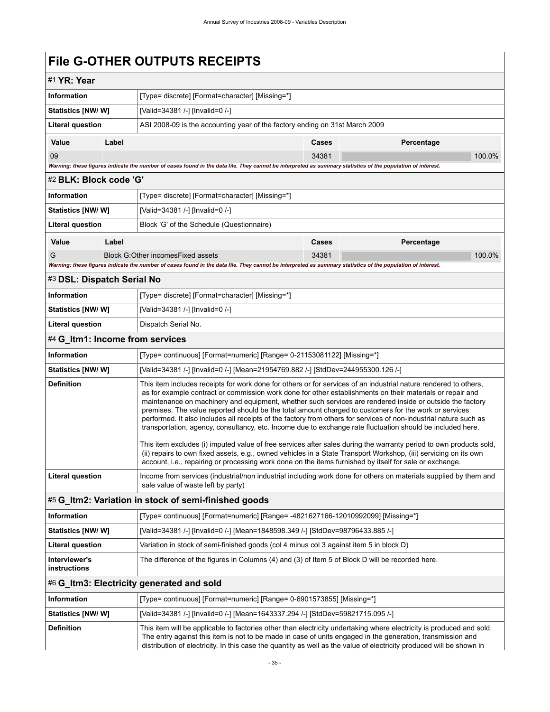# <span id="page-38-0"></span>**File G-OTHER OUTPUTS RECEIPTS**

<span id="page-38-6"></span><span id="page-38-5"></span><span id="page-38-4"></span><span id="page-38-3"></span><span id="page-38-2"></span><span id="page-38-1"></span>

| #1 YR: Year                     |       |                                                                                                                                                                                                                                                                                                                                                                                                                                                                                                                                                                                                                                                                                                                                                                                                                                                                                                                                                                                                                                            |       |            |        |  |  |  |
|---------------------------------|-------|--------------------------------------------------------------------------------------------------------------------------------------------------------------------------------------------------------------------------------------------------------------------------------------------------------------------------------------------------------------------------------------------------------------------------------------------------------------------------------------------------------------------------------------------------------------------------------------------------------------------------------------------------------------------------------------------------------------------------------------------------------------------------------------------------------------------------------------------------------------------------------------------------------------------------------------------------------------------------------------------------------------------------------------------|-------|------------|--------|--|--|--|
| <b>Information</b>              |       | [Type= discrete] [Format=character] [Missing=*]                                                                                                                                                                                                                                                                                                                                                                                                                                                                                                                                                                                                                                                                                                                                                                                                                                                                                                                                                                                            |       |            |        |  |  |  |
| Statistics [NW/ W]              |       | [Valid=34381 /-] [Invalid=0 /-]                                                                                                                                                                                                                                                                                                                                                                                                                                                                                                                                                                                                                                                                                                                                                                                                                                                                                                                                                                                                            |       |            |        |  |  |  |
| <b>Literal question</b>         |       | ASI 2008-09 is the accounting year of the factory ending on 31st March 2009                                                                                                                                                                                                                                                                                                                                                                                                                                                                                                                                                                                                                                                                                                                                                                                                                                                                                                                                                                |       |            |        |  |  |  |
| Value                           | Label |                                                                                                                                                                                                                                                                                                                                                                                                                                                                                                                                                                                                                                                                                                                                                                                                                                                                                                                                                                                                                                            | Cases | Percentage |        |  |  |  |
| 09                              |       |                                                                                                                                                                                                                                                                                                                                                                                                                                                                                                                                                                                                                                                                                                                                                                                                                                                                                                                                                                                                                                            | 34381 |            | 100.0% |  |  |  |
|                                 |       | Warning: these figures indicate the number of cases found in the data file. They cannot be interpreted as summary statistics of the population of interest.                                                                                                                                                                                                                                                                                                                                                                                                                                                                                                                                                                                                                                                                                                                                                                                                                                                                                |       |            |        |  |  |  |
| #2 BLK: Block code 'G'          |       |                                                                                                                                                                                                                                                                                                                                                                                                                                                                                                                                                                                                                                                                                                                                                                                                                                                                                                                                                                                                                                            |       |            |        |  |  |  |
| <b>Information</b>              |       | [Type= discrete] [Format=character] [Missing=*]                                                                                                                                                                                                                                                                                                                                                                                                                                                                                                                                                                                                                                                                                                                                                                                                                                                                                                                                                                                            |       |            |        |  |  |  |
| Statistics [NW/W]               |       | [Valid=34381 /-] [Invalid=0 /-]                                                                                                                                                                                                                                                                                                                                                                                                                                                                                                                                                                                                                                                                                                                                                                                                                                                                                                                                                                                                            |       |            |        |  |  |  |
| <b>Literal question</b>         |       | Block 'G' of the Schedule (Questionnaire)                                                                                                                                                                                                                                                                                                                                                                                                                                                                                                                                                                                                                                                                                                                                                                                                                                                                                                                                                                                                  |       |            |        |  |  |  |
| Value                           | Label |                                                                                                                                                                                                                                                                                                                                                                                                                                                                                                                                                                                                                                                                                                                                                                                                                                                                                                                                                                                                                                            | Cases | Percentage |        |  |  |  |
| G                               |       | Block G:Other incomes Fixed assets                                                                                                                                                                                                                                                                                                                                                                                                                                                                                                                                                                                                                                                                                                                                                                                                                                                                                                                                                                                                         | 34381 |            | 100.0% |  |  |  |
|                                 |       | Warning: these figures indicate the number of cases found in the data file. They cannot be interpreted as summary statistics of the population of interest.                                                                                                                                                                                                                                                                                                                                                                                                                                                                                                                                                                                                                                                                                                                                                                                                                                                                                |       |            |        |  |  |  |
| #3 DSL: Dispatch Serial No      |       |                                                                                                                                                                                                                                                                                                                                                                                                                                                                                                                                                                                                                                                                                                                                                                                                                                                                                                                                                                                                                                            |       |            |        |  |  |  |
| <b>Information</b>              |       | [Type= discrete] [Format=character] [Missing=*]                                                                                                                                                                                                                                                                                                                                                                                                                                                                                                                                                                                                                                                                                                                                                                                                                                                                                                                                                                                            |       |            |        |  |  |  |
| Statistics [NW/ W]              |       | [Valid=34381 /-] [Invalid=0 /-]                                                                                                                                                                                                                                                                                                                                                                                                                                                                                                                                                                                                                                                                                                                                                                                                                                                                                                                                                                                                            |       |            |        |  |  |  |
| <b>Literal question</b>         |       | Dispatch Serial No.                                                                                                                                                                                                                                                                                                                                                                                                                                                                                                                                                                                                                                                                                                                                                                                                                                                                                                                                                                                                                        |       |            |        |  |  |  |
| #4 G_Itm1: Income from services |       |                                                                                                                                                                                                                                                                                                                                                                                                                                                                                                                                                                                                                                                                                                                                                                                                                                                                                                                                                                                                                                            |       |            |        |  |  |  |
| <b>Information</b>              |       | [Type= continuous] [Format=numeric] [Range= 0-21153081122] [Missing=*]                                                                                                                                                                                                                                                                                                                                                                                                                                                                                                                                                                                                                                                                                                                                                                                                                                                                                                                                                                     |       |            |        |  |  |  |
| Statistics [NW/ W]              |       | [Valid=34381 /-] [Invalid=0 /-] [Mean=21954769.882 /-] [StdDev=244955300.126 /-]                                                                                                                                                                                                                                                                                                                                                                                                                                                                                                                                                                                                                                                                                                                                                                                                                                                                                                                                                           |       |            |        |  |  |  |
| <b>Definition</b>               |       | This item includes receipts for work done for others or for services of an industrial nature rendered to others,<br>as for example contract or commission work done for other establishments on their materials or repair and<br>maintenance on machinery and equipment, whether such services are rendered inside or outside the factory<br>premises. The value reported should be the total amount charged to customers for the work or services<br>performed. It also includes all receipts of the factory from others for services of non-industrial nature such as<br>transportation, agency, consultancy, etc. Income due to exchange rate fluctuation should be included here.<br>This item excludes (i) imputed value of free services after sales during the warranty period to own products sold,<br>(ii) repairs to own fixed assets, e.g., owned vehicles in a State Transport Workshop, (iii) servicing on its own<br>account, i.e., repairing or processing work done on the items furnished by itself for sale or exchange. |       |            |        |  |  |  |
| <b>Literal question</b>         |       | Income from services (industrial/non industrial including work done for others on materials supplied by them and<br>sale value of waste left by party)                                                                                                                                                                                                                                                                                                                                                                                                                                                                                                                                                                                                                                                                                                                                                                                                                                                                                     |       |            |        |  |  |  |
|                                 |       | #5 G_Itm2: Variation in stock of semi-finished goods                                                                                                                                                                                                                                                                                                                                                                                                                                                                                                                                                                                                                                                                                                                                                                                                                                                                                                                                                                                       |       |            |        |  |  |  |
| Information                     |       | [Type= continuous] [Format=numeric] [Range= -4821627166-12010992099] [Missing=*]                                                                                                                                                                                                                                                                                                                                                                                                                                                                                                                                                                                                                                                                                                                                                                                                                                                                                                                                                           |       |            |        |  |  |  |
| <b>Statistics [NW/W]</b>        |       | [Valid=34381 /-] [Invalid=0 /-] [Mean=1848598.349 /-] [StdDev=98796433.885 /-]                                                                                                                                                                                                                                                                                                                                                                                                                                                                                                                                                                                                                                                                                                                                                                                                                                                                                                                                                             |       |            |        |  |  |  |
| <b>Literal question</b>         |       | Variation in stock of semi-finished goods (col 4 minus col 3 against item 5 in block D)                                                                                                                                                                                                                                                                                                                                                                                                                                                                                                                                                                                                                                                                                                                                                                                                                                                                                                                                                    |       |            |        |  |  |  |
| Interviewer's<br>instructions   |       | The difference of the figures in Columns (4) and (3) of Item 5 of Block D will be recorded here.                                                                                                                                                                                                                                                                                                                                                                                                                                                                                                                                                                                                                                                                                                                                                                                                                                                                                                                                           |       |            |        |  |  |  |
|                                 |       | #6 G_Itm3: Electricity generated and sold                                                                                                                                                                                                                                                                                                                                                                                                                                                                                                                                                                                                                                                                                                                                                                                                                                                                                                                                                                                                  |       |            |        |  |  |  |
| Information                     |       | [Type= continuous] [Format=numeric] [Range= 0-6901573855] [Missing=*]                                                                                                                                                                                                                                                                                                                                                                                                                                                                                                                                                                                                                                                                                                                                                                                                                                                                                                                                                                      |       |            |        |  |  |  |
| Statistics [NW/ W]              |       | [Valid=34381 /-] [Invalid=0 /-] [Mean=1643337.294 /-] [StdDev=59821715.095 /-]                                                                                                                                                                                                                                                                                                                                                                                                                                                                                                                                                                                                                                                                                                                                                                                                                                                                                                                                                             |       |            |        |  |  |  |
| <b>Definition</b>               |       | This item will be applicable to factories other than electricity undertaking where electricity is produced and sold.<br>The entry against this item is not to be made in case of units engaged in the generation, transmission and<br>distribution of electricity. In this case the quantity as well as the value of electricity produced will be shown in                                                                                                                                                                                                                                                                                                                                                                                                                                                                                                                                                                                                                                                                                 |       |            |        |  |  |  |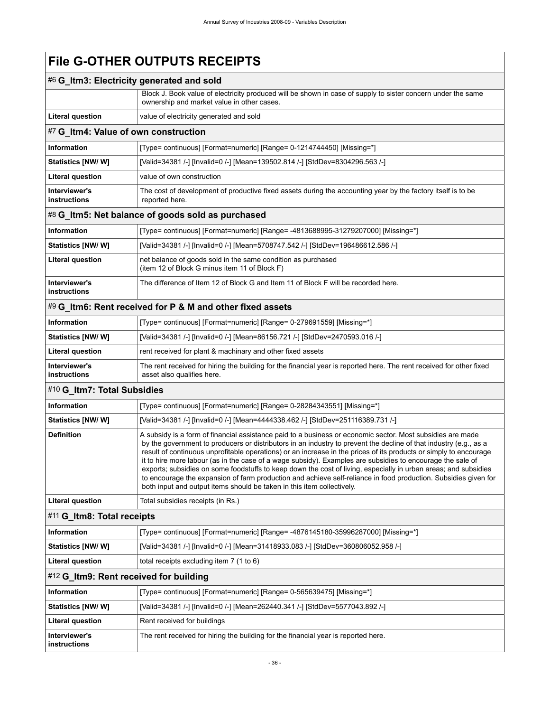# **File G-OTHER OUTPUTS RECEIPTS**

<span id="page-39-5"></span><span id="page-39-4"></span><span id="page-39-3"></span><span id="page-39-2"></span><span id="page-39-1"></span><span id="page-39-0"></span>

| #6 G_Itm3: Electricity generated and sold |                                                                                                                                                                                                                                                                                                                                                                                                                                                                                                                                                                                                                                                                                                                                                                                    |  |  |  |
|-------------------------------------------|------------------------------------------------------------------------------------------------------------------------------------------------------------------------------------------------------------------------------------------------------------------------------------------------------------------------------------------------------------------------------------------------------------------------------------------------------------------------------------------------------------------------------------------------------------------------------------------------------------------------------------------------------------------------------------------------------------------------------------------------------------------------------------|--|--|--|
|                                           | Block J. Book value of electricity produced will be shown in case of supply to sister concern under the same<br>ownership and market value in other cases.                                                                                                                                                                                                                                                                                                                                                                                                                                                                                                                                                                                                                         |  |  |  |
| <b>Literal question</b>                   | value of electricity generated and sold                                                                                                                                                                                                                                                                                                                                                                                                                                                                                                                                                                                                                                                                                                                                            |  |  |  |
| #7 G_Itm4: Value of own construction      |                                                                                                                                                                                                                                                                                                                                                                                                                                                                                                                                                                                                                                                                                                                                                                                    |  |  |  |
| <b>Information</b>                        | [Type= continuous] [Format=numeric] [Range= 0-1214744450] [Missing=*]                                                                                                                                                                                                                                                                                                                                                                                                                                                                                                                                                                                                                                                                                                              |  |  |  |
| Statistics [NW/W]                         | [Valid=34381 /-] [Invalid=0 /-] [Mean=139502.814 /-] [StdDev=8304296.563 /-]                                                                                                                                                                                                                                                                                                                                                                                                                                                                                                                                                                                                                                                                                                       |  |  |  |
| <b>Literal question</b>                   | value of own construction                                                                                                                                                                                                                                                                                                                                                                                                                                                                                                                                                                                                                                                                                                                                                          |  |  |  |
| Interviewer's<br>instructions             | The cost of development of productive fixed assets during the accounting year by the factory itself is to be<br>reported here.                                                                                                                                                                                                                                                                                                                                                                                                                                                                                                                                                                                                                                                     |  |  |  |
|                                           | #8 G_Itm5: Net balance of goods sold as purchased                                                                                                                                                                                                                                                                                                                                                                                                                                                                                                                                                                                                                                                                                                                                  |  |  |  |
| <b>Information</b>                        | [Type= continuous] [Format=numeric] [Range= -4813688995-31279207000] [Missing=*]                                                                                                                                                                                                                                                                                                                                                                                                                                                                                                                                                                                                                                                                                                   |  |  |  |
| Statistics [NW/W]                         | [Valid=34381 /-] [Invalid=0 /-] [Mean=5708747.542 /-] [StdDev=196486612.586 /-]                                                                                                                                                                                                                                                                                                                                                                                                                                                                                                                                                                                                                                                                                                    |  |  |  |
| <b>Literal question</b>                   | net balance of goods sold in the same condition as purchased<br>(item 12 of Block G minus item 11 of Block F)                                                                                                                                                                                                                                                                                                                                                                                                                                                                                                                                                                                                                                                                      |  |  |  |
| Interviewer's<br>instructions             | The difference of Item 12 of Block G and Item 11 of Block F will be recorded here.                                                                                                                                                                                                                                                                                                                                                                                                                                                                                                                                                                                                                                                                                                 |  |  |  |
|                                           | #9 G_Itm6: Rent received for P & M and other fixed assets                                                                                                                                                                                                                                                                                                                                                                                                                                                                                                                                                                                                                                                                                                                          |  |  |  |
| <b>Information</b>                        | [Type= continuous] [Format=numeric] [Range= 0-279691559] [Missing=*]                                                                                                                                                                                                                                                                                                                                                                                                                                                                                                                                                                                                                                                                                                               |  |  |  |
| Statistics [NW/W]                         | [Valid=34381 /-] [Invalid=0 /-] [Mean=86156.721 /-] [StdDev=2470593.016 /-]                                                                                                                                                                                                                                                                                                                                                                                                                                                                                                                                                                                                                                                                                                        |  |  |  |
| <b>Literal question</b>                   | rent received for plant & machinary and other fixed assets                                                                                                                                                                                                                                                                                                                                                                                                                                                                                                                                                                                                                                                                                                                         |  |  |  |
| Interviewer's<br>instructions             | The rent received for hiring the building for the financial year is reported here. The rent received for other fixed<br>asset also qualifies here.                                                                                                                                                                                                                                                                                                                                                                                                                                                                                                                                                                                                                                 |  |  |  |
| #10 G_Itm7: Total Subsidies               |                                                                                                                                                                                                                                                                                                                                                                                                                                                                                                                                                                                                                                                                                                                                                                                    |  |  |  |
| <b>Information</b>                        | [Type= continuous] [Format=numeric] [Range= 0-28284343551] [Missing=*]                                                                                                                                                                                                                                                                                                                                                                                                                                                                                                                                                                                                                                                                                                             |  |  |  |
| <b>Statistics [NW/W]</b>                  | [Valid=34381 /-] [Invalid=0 /-] [Mean=4444338.462 /-] [StdDev=251116389.731 /-]                                                                                                                                                                                                                                                                                                                                                                                                                                                                                                                                                                                                                                                                                                    |  |  |  |
| <b>Definition</b>                         | A subsidy is a form of financial assistance paid to a business or economic sector. Most subsidies are made<br>by the government to producers or distributors in an industry to prevent the decline of that industry (e.g., as a<br>result of continuous unprofitable operations) or an increase in the prices of its products or simply to encourage<br>it to hire more labour (as in the case of a wage subsidy). Examples are subsidies to encourage the sale of<br>exports; subsidies on some foodstuffs to keep down the cost of living, especially in urban areas; and subsidies<br>to encourage the expansion of farm production and achieve self-reliance in food production. Subsidies given for<br>both input and output items should be taken in this item collectively. |  |  |  |
| <b>Literal question</b>                   | Total subsidies receipts (in Rs.)                                                                                                                                                                                                                                                                                                                                                                                                                                                                                                                                                                                                                                                                                                                                                  |  |  |  |
| #11 G_Itm8: Total receipts                |                                                                                                                                                                                                                                                                                                                                                                                                                                                                                                                                                                                                                                                                                                                                                                                    |  |  |  |
| <b>Information</b>                        | [Type= continuous] [Format=numeric] [Range= -4876145180-35996287000] [Missing=*]                                                                                                                                                                                                                                                                                                                                                                                                                                                                                                                                                                                                                                                                                                   |  |  |  |
| Statistics [NW/W]                         | [Valid=34381 /-] [Invalid=0 /-] [Mean=31418933.083 /-] [StdDev=360806052.958 /-]                                                                                                                                                                                                                                                                                                                                                                                                                                                                                                                                                                                                                                                                                                   |  |  |  |
| <b>Literal question</b>                   | total receipts excluding item 7 (1 to 6)                                                                                                                                                                                                                                                                                                                                                                                                                                                                                                                                                                                                                                                                                                                                           |  |  |  |
| #12 G Itm9: Rent received for building    |                                                                                                                                                                                                                                                                                                                                                                                                                                                                                                                                                                                                                                                                                                                                                                                    |  |  |  |
| <b>Information</b>                        | [Type= continuous] [Format=numeric] [Range= 0-565639475] [Missing=*]                                                                                                                                                                                                                                                                                                                                                                                                                                                                                                                                                                                                                                                                                                               |  |  |  |
| Statistics [NW/W]                         | [Valid=34381 /-] [Invalid=0 /-] [Mean=262440.341 /-] [StdDev=5577043.892 /-]                                                                                                                                                                                                                                                                                                                                                                                                                                                                                                                                                                                                                                                                                                       |  |  |  |
| <b>Literal question</b>                   | Rent received for buildings                                                                                                                                                                                                                                                                                                                                                                                                                                                                                                                                                                                                                                                                                                                                                        |  |  |  |
| Interviewer's<br>instructions             | The rent received for hiring the building for the financial year is reported here.                                                                                                                                                                                                                                                                                                                                                                                                                                                                                                                                                                                                                                                                                                 |  |  |  |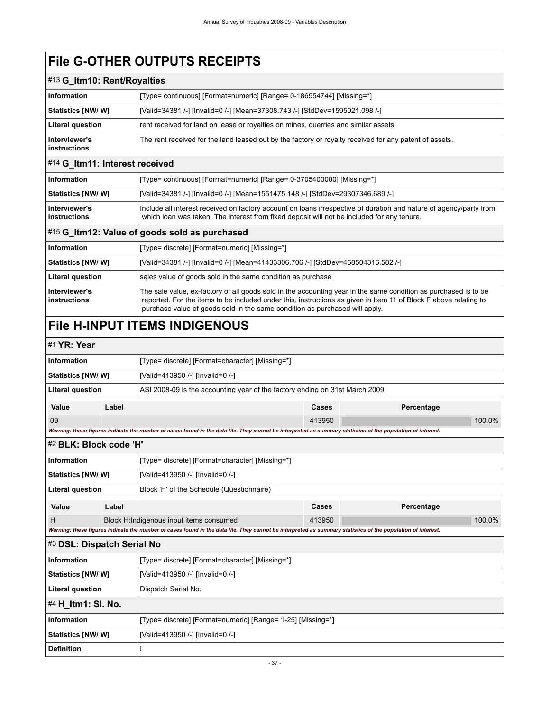# **File G-OTHER OUTPUTS RECEIPTS**

<span id="page-40-2"></span><span id="page-40-1"></span>

| #13 G_Itm10: Rent/Royalties          |                                                                                                                                                                                                                                                                                                                    |
|--------------------------------------|--------------------------------------------------------------------------------------------------------------------------------------------------------------------------------------------------------------------------------------------------------------------------------------------------------------------|
| <b>Information</b>                   | [Type= continuous] [Format=numeric] [Range= 0-186554744] [Missing=*]                                                                                                                                                                                                                                               |
| Statistics [NW/W]                    | [Valid=34381 /-] [Invalid=0 /-] [Mean=37308.743 /-] [StdDev=1595021.098 /-]                                                                                                                                                                                                                                        |
| <b>Literal question</b>              | rent received for land on lease or royalties on mines, querries and similar assets                                                                                                                                                                                                                                 |
| Interviewer's<br>instructions        | The rent received for the land leased out by the factory or royalty received for any patent of assets.                                                                                                                                                                                                             |
| #14 G_Itm11: Interest received       |                                                                                                                                                                                                                                                                                                                    |
| <b>Information</b>                   | [Type= continuous] [Format=numeric] [Range= 0-3705400000] [Missing=*]                                                                                                                                                                                                                                              |
| Statistics [NW/W]                    | [Valid=34381 /-] [Invalid=0 /-] [Mean=1551475.148 /-] [StdDev=29307346.689 /-]                                                                                                                                                                                                                                     |
| Interviewer's<br>instructions        | Include all interest received on factory account on loans irrespective of duration and nature of agency/party from<br>which loan was taken. The interest from fixed deposit will not be included for any tenure.                                                                                                   |
|                                      | #15 G_Itm12: Value of goods sold as purchased                                                                                                                                                                                                                                                                      |
| <b>Information</b>                   | [Type= discrete] [Format=numeric] [Missing=*]                                                                                                                                                                                                                                                                      |
| Statistics [NW/W]                    | [Valid=34381 /-] [Invalid=0 /-] [Mean=41433306.706 /-] [StdDev=458504316.582 /-]                                                                                                                                                                                                                                   |
| <b>Literal question</b>              | sales value of goods sold in the same condition as purchase                                                                                                                                                                                                                                                        |
| Interviewer's<br><b>instructions</b> | The sale value, ex-factory of all goods sold in the accounting year in the same condition as purchased is to be<br>reported. For the items to be included under this, instructions as given in Item 11 of Block F above relating to<br>purchase value of goods sold in the same condition as purchased will apply. |

# <span id="page-40-3"></span><span id="page-40-0"></span>**File H-INPUT ITEMS INDIGENOUS**

### <span id="page-40-4"></span>#1 **YR: Year**

<span id="page-40-7"></span><span id="page-40-6"></span><span id="page-40-5"></span>

| <b>Information</b>         |                    | [Type= discrete] [Format=character] [Missing=*]                                                                                                             |        |            |        |  |  |
|----------------------------|--------------------|-------------------------------------------------------------------------------------------------------------------------------------------------------------|--------|------------|--------|--|--|
| Statistics [NW/ W]         |                    | [Valid=413950 /-] [Invalid=0 /-]                                                                                                                            |        |            |        |  |  |
| <b>Literal question</b>    |                    | ASI 2008-09 is the accounting year of the factory ending on 31st March 2009                                                                                 |        |            |        |  |  |
| Value                      | Label              |                                                                                                                                                             | Cases  | Percentage |        |  |  |
| 09                         |                    |                                                                                                                                                             | 413950 |            | 100.0% |  |  |
|                            |                    | Warning: these figures indicate the number of cases found in the data file. They cannot be interpreted as summary statistics of the population of interest. |        |            |        |  |  |
| #2 BLK: Block code 'H'     |                    |                                                                                                                                                             |        |            |        |  |  |
| <b>Information</b>         |                    | [Type= discrete] [Format=character] [Missing=*]                                                                                                             |        |            |        |  |  |
| Statistics [NW/W]          |                    | [Valid=413950 /-] [Invalid=0 /-]                                                                                                                            |        |            |        |  |  |
| <b>Literal question</b>    |                    | Block 'H' of the Schedule (Questionnaire)                                                                                                                   |        |            |        |  |  |
| Value                      | Label              |                                                                                                                                                             | Cases  | Percentage |        |  |  |
| H                          |                    | Block H:Indigenous input items consumed                                                                                                                     | 413950 |            | 100.0% |  |  |
|                            |                    | Warning: these figures indicate the number of cases found in the data file. They cannot be interpreted as summary statistics of the population of interest. |        |            |        |  |  |
| #3 DSL: Dispatch Serial No |                    |                                                                                                                                                             |        |            |        |  |  |
| <b>Information</b>         |                    | [Type= discrete] [Format=character] [Missing=*]                                                                                                             |        |            |        |  |  |
| Statistics [NW/W]          |                    | [Valid=413950 /-] [Invalid=0 /-]                                                                                                                            |        |            |        |  |  |
| <b>Literal question</b>    |                    | Dispatch Serial No.                                                                                                                                         |        |            |        |  |  |
|                            | #4 H_ltm1: SI. No. |                                                                                                                                                             |        |            |        |  |  |
| <b>Information</b>         |                    | [Type= discrete] [Format=numeric] [Range= 1-25] [Missing=*]                                                                                                 |        |            |        |  |  |
| Statistics [NW/W]          |                    | [Valid=413950 /-] [Invalid=0 /-]                                                                                                                            |        |            |        |  |  |
| <b>Definition</b>          |                    |                                                                                                                                                             |        |            |        |  |  |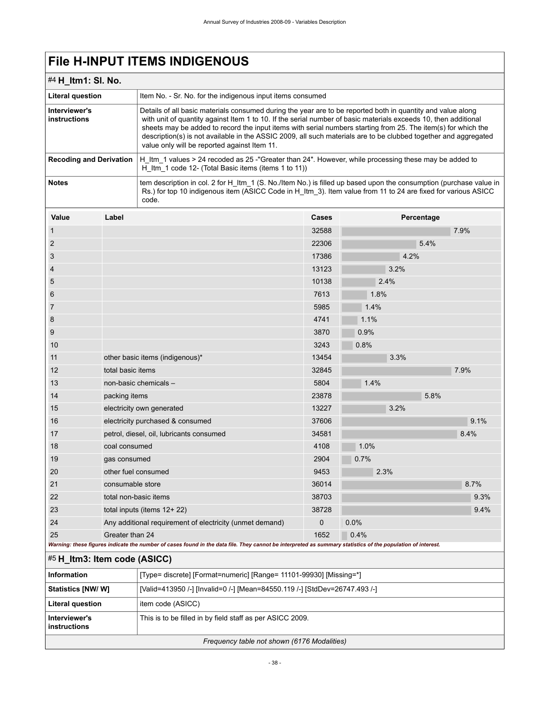| #4 H_ltm1: SI. No.             |                       |                                                                                                                                                                                                                                                                                                                                                                                                                                                                                                                    |       |      |      |            |      |  |
|--------------------------------|-----------------------|--------------------------------------------------------------------------------------------------------------------------------------------------------------------------------------------------------------------------------------------------------------------------------------------------------------------------------------------------------------------------------------------------------------------------------------------------------------------------------------------------------------------|-------|------|------|------------|------|--|
| Literal question               |                       | Item No. - Sr. No. for the indigenous input items consumed                                                                                                                                                                                                                                                                                                                                                                                                                                                         |       |      |      |            |      |  |
| Interviewer's<br>instructions  |                       | Details of all basic materials consumed during the year are to be reported both in quantity and value along<br>with unit of quantity against Item 1 to 10. If the serial number of basic materials exceeds 10, then additional<br>sheets may be added to record the input items with serial numbers starting from 25. The item(s) for which the<br>description(s) is not available in the ASSIC 2009, all such materials are to be clubbed together and aggregated<br>value only will be reported against Item 11. |       |      |      |            |      |  |
| <b>Recoding and Derivation</b> |                       | H_Itm_1 values > 24 recoded as 25 -"Greater than 24". However, while processing these may be added to<br>H Itm 1 code 12- (Total Basic items (items 1 to 11))                                                                                                                                                                                                                                                                                                                                                      |       |      |      |            |      |  |
| <b>Notes</b>                   |                       | tem description in col. 2 for H Itm 1 (S. No./Item No.) is filled up based upon the consumption (purchase value in<br>Rs.) for top 10 indigenous item (ASICC Code in H_ltm_3). Item value from 11 to 24 are fixed for various ASICC<br>code.                                                                                                                                                                                                                                                                       |       |      |      |            |      |  |
| Value                          | Label                 |                                                                                                                                                                                                                                                                                                                                                                                                                                                                                                                    | Cases |      |      | Percentage |      |  |
| $\mathbf{1}$                   |                       |                                                                                                                                                                                                                                                                                                                                                                                                                                                                                                                    | 32588 |      |      |            | 7.9% |  |
| $\overline{2}$                 |                       |                                                                                                                                                                                                                                                                                                                                                                                                                                                                                                                    | 22306 |      |      | 5.4%       |      |  |
| 3                              |                       |                                                                                                                                                                                                                                                                                                                                                                                                                                                                                                                    | 17386 |      | 4.2% |            |      |  |
| $\overline{4}$                 |                       |                                                                                                                                                                                                                                                                                                                                                                                                                                                                                                                    | 13123 |      | 3.2% |            |      |  |
| 5                              |                       |                                                                                                                                                                                                                                                                                                                                                                                                                                                                                                                    | 10138 | 2.4% |      |            |      |  |
| 6                              |                       |                                                                                                                                                                                                                                                                                                                                                                                                                                                                                                                    | 7613  | 1.8% |      |            |      |  |
| 7                              |                       |                                                                                                                                                                                                                                                                                                                                                                                                                                                                                                                    | 5985  | 1.4% |      |            |      |  |
| 8                              |                       |                                                                                                                                                                                                                                                                                                                                                                                                                                                                                                                    | 4741  | 1.1% |      |            |      |  |
| 9                              |                       |                                                                                                                                                                                                                                                                                                                                                                                                                                                                                                                    | 3870  | 0.9% |      |            |      |  |
| 10                             |                       |                                                                                                                                                                                                                                                                                                                                                                                                                                                                                                                    | 3243  | 0.8% |      |            |      |  |
| 11                             |                       | other basic items (indigenous)*                                                                                                                                                                                                                                                                                                                                                                                                                                                                                    | 13454 |      | 3.3% |            |      |  |
| 12                             | total basic items     |                                                                                                                                                                                                                                                                                                                                                                                                                                                                                                                    | 32845 |      |      |            | 7.9% |  |
| 13                             |                       | non-basic chemicals -                                                                                                                                                                                                                                                                                                                                                                                                                                                                                              | 5804  | 1.4% |      |            |      |  |
| 14                             | packing items         |                                                                                                                                                                                                                                                                                                                                                                                                                                                                                                                    | 23878 |      |      | 5.8%       |      |  |
| 15                             |                       | electricity own generated                                                                                                                                                                                                                                                                                                                                                                                                                                                                                          | 13227 |      | 3.2% |            |      |  |
| 16                             |                       | electricity purchased & consumed                                                                                                                                                                                                                                                                                                                                                                                                                                                                                   | 37606 |      |      |            | 9.1% |  |
| 17                             |                       | petrol, diesel, oil, lubricants consumed                                                                                                                                                                                                                                                                                                                                                                                                                                                                           | 34581 |      |      |            | 8.4% |  |
| 18                             | coal consumed         |                                                                                                                                                                                                                                                                                                                                                                                                                                                                                                                    | 4108  | 1.0% |      |            |      |  |
| 19                             | gas consumed          |                                                                                                                                                                                                                                                                                                                                                                                                                                                                                                                    | 2904  | 0.7% |      |            |      |  |
| 20                             | other fuel consumed   |                                                                                                                                                                                                                                                                                                                                                                                                                                                                                                                    | 9453  | 2.3% |      |            |      |  |
| 21                             | consumable store      |                                                                                                                                                                                                                                                                                                                                                                                                                                                                                                                    | 36014 |      |      |            | 8.7% |  |
| 22                             | total non-basic items |                                                                                                                                                                                                                                                                                                                                                                                                                                                                                                                    | 38703 |      |      |            | 9.3% |  |
| 23                             |                       | total inputs (items $12+22$ )                                                                                                                                                                                                                                                                                                                                                                                                                                                                                      | 38728 |      |      |            | 9.4% |  |
| 24                             |                       | Any additional requirement of electricity (unmet demand)                                                                                                                                                                                                                                                                                                                                                                                                                                                           | 0     | 0.0% |      |            |      |  |
| 25                             | Greater than 24       |                                                                                                                                                                                                                                                                                                                                                                                                                                                                                                                    | 1652  | 0.4% |      |            |      |  |
|                                |                       | Warning: these figures indicate the number of cases found in the data file. They cannot be interpreted as summary statistics of the population of interest.                                                                                                                                                                                                                                                                                                                                                        |       |      |      |            |      |  |
| #5 H_Itm3: Item code (ASICC)   |                       |                                                                                                                                                                                                                                                                                                                                                                                                                                                                                                                    |       |      |      |            |      |  |
| Information                    |                       | [Type= discrete] [Format=numeric] [Range= 11101-99930] [Missing=*]                                                                                                                                                                                                                                                                                                                                                                                                                                                 |       |      |      |            |      |  |
| Statistics [NW/ WI             |                       | [1] Nalid=413950 /-1 [Invalid=0 /-1 [Mean=84550 119 /-1 [StdDev=26747 493 /-1                                                                                                                                                                                                                                                                                                                                                                                                                                      |       |      |      |            |      |  |

<span id="page-41-0"></span>

|                               | Frequency table not shown (6176 Modalities)                                |
|-------------------------------|----------------------------------------------------------------------------|
| Interviewer's<br>instructions | This is to be filled in by field staff as per ASICC 2009.                  |
| Literal question              | item code (ASICC)                                                          |
| Statistics [NW/ W]            | [Valid=413950 /-] [Invalid=0 /-] [Mean=84550.119 /-] [StdDev=26747.493 /-] |
|                               |                                                                            |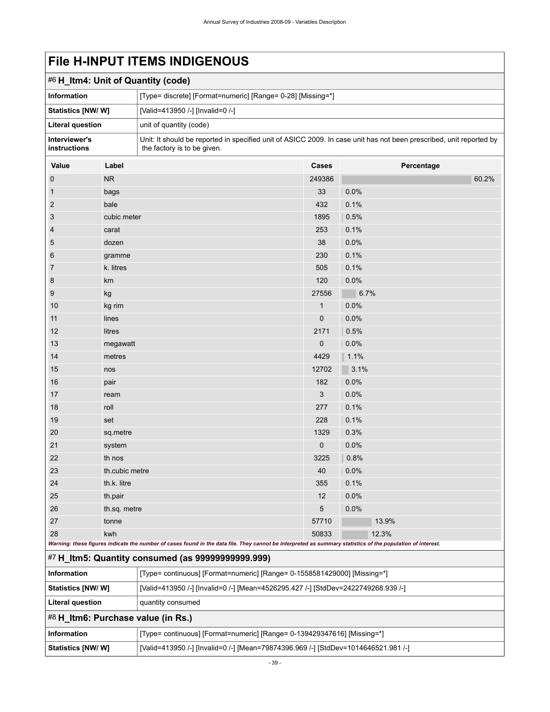<span id="page-42-2"></span><span id="page-42-1"></span><span id="page-42-0"></span>

| #6 H_Itm4: Unit of Quantity (code) |                |                                                                                                                                                             |             |            |  |  |  |
|------------------------------------|----------------|-------------------------------------------------------------------------------------------------------------------------------------------------------------|-------------|------------|--|--|--|
| Information                        |                | [Type= discrete] [Format=numeric] [Range= 0-28] [Missing=*]                                                                                                 |             |            |  |  |  |
| Statistics [NW/W]                  |                | [Valid=413950 /-] [Invalid=0 /-]                                                                                                                            |             |            |  |  |  |
| <b>Literal question</b>            |                | unit of quantity (code)                                                                                                                                     |             |            |  |  |  |
| Interviewer's<br>instructions      |                | Unit: It should be reported in specified unit of ASICC 2009. In case unit has not been prescribed, unit reported by<br>the factory is to be given.          |             |            |  |  |  |
| Value                              | Label          |                                                                                                                                                             | Cases       | Percentage |  |  |  |
| $\boldsymbol{0}$                   | <b>NR</b>      |                                                                                                                                                             | 249386      | 60.2%      |  |  |  |
| $\mathbf{1}$                       | bags           |                                                                                                                                                             | 33          | 0.0%       |  |  |  |
| $\overline{2}$                     | bale           |                                                                                                                                                             | 432         | 0.1%       |  |  |  |
| 3                                  | cubic meter    |                                                                                                                                                             | 1895        | 0.5%       |  |  |  |
| 4                                  | carat          |                                                                                                                                                             | 253         | 0.1%       |  |  |  |
| 5                                  | dozen          |                                                                                                                                                             | 38          | 0.0%       |  |  |  |
| 6                                  | gramme         |                                                                                                                                                             | 230         | 0.1%       |  |  |  |
| 7                                  | k. litres      |                                                                                                                                                             | 505         | 0.1%       |  |  |  |
| 8                                  | km             |                                                                                                                                                             | 120         | 0.0%       |  |  |  |
| 9                                  | kg             |                                                                                                                                                             | 27556       | 6.7%       |  |  |  |
| 10                                 | kg rim         |                                                                                                                                                             | 1           | 0.0%       |  |  |  |
| 11                                 | lines          |                                                                                                                                                             | $\mathbf 0$ | 0.0%       |  |  |  |
| 12                                 | litres         |                                                                                                                                                             | 2171        | 0.5%       |  |  |  |
| 13                                 | megawatt       |                                                                                                                                                             | 0           | 0.0%       |  |  |  |
| 14                                 | metres         |                                                                                                                                                             | 4429        | 1.1%       |  |  |  |
| 15                                 | nos            |                                                                                                                                                             | 12702       | 3.1%       |  |  |  |
| 16                                 | pair           |                                                                                                                                                             | 182         | 0.0%       |  |  |  |
| 17                                 | ream           |                                                                                                                                                             | 3           | 0.0%       |  |  |  |
| 18                                 | roll           |                                                                                                                                                             | 277         | 0.1%       |  |  |  |
| 19                                 | set            |                                                                                                                                                             | 228         | 0.1%       |  |  |  |
| 20                                 | sq.metre       |                                                                                                                                                             | 1329        | 0.3%       |  |  |  |
| 21                                 | system         |                                                                                                                                                             | 0           | 0.0%       |  |  |  |
| 22                                 | th nos         |                                                                                                                                                             | 3225        | 0.8%       |  |  |  |
| 23                                 | th.cubic metre |                                                                                                                                                             | 40          | 0.0%       |  |  |  |
| 24                                 | th.k. litre    |                                                                                                                                                             | 355         | 0.1%       |  |  |  |
| 25                                 | th.pair        |                                                                                                                                                             | 12          | 0.0%       |  |  |  |
| 26                                 | th.sq. metre   |                                                                                                                                                             | 5           | 0.0%       |  |  |  |
| 27                                 | tonne          |                                                                                                                                                             | 57710       | 13.9%      |  |  |  |
| 28                                 | kwh            |                                                                                                                                                             | 50833       | 12.3%      |  |  |  |
|                                    |                | Warning: these figures indicate the number of cases found in the data file. They cannot be interpreted as summary statistics of the population of interest. |             |            |  |  |  |
|                                    |                | #7 H_Itm5: Quantity consumed (as 99999999999.999)                                                                                                           |             |            |  |  |  |
| Information                        |                | [Type= continuous] [Format=numeric] [Range= 0-1558581429000] [Missing=*]                                                                                    |             |            |  |  |  |
| Statistics [NW/W]                  |                | [Valid=413950 /-] [Invalid=0 /-] [Mean=4526295.427 /-] [StdDev=2422749268.939 /-]                                                                           |             |            |  |  |  |
| <b>Literal question</b>            |                | quantity consumed                                                                                                                                           |             |            |  |  |  |
|                                    |                | #8 H_Itm6: Purchase value (in Rs.)                                                                                                                          |             |            |  |  |  |
| Information                        |                | [Type= continuous] [Format=numeric] [Range= 0-139429347616] [Missing=*]                                                                                     |             |            |  |  |  |
| Statistics [NW/W]                  |                | [Valid=413950 /-] [Invalid=0 /-] [Mean=79874396.969 /-] [StdDev=1014646521.981 /-]                                                                          |             |            |  |  |  |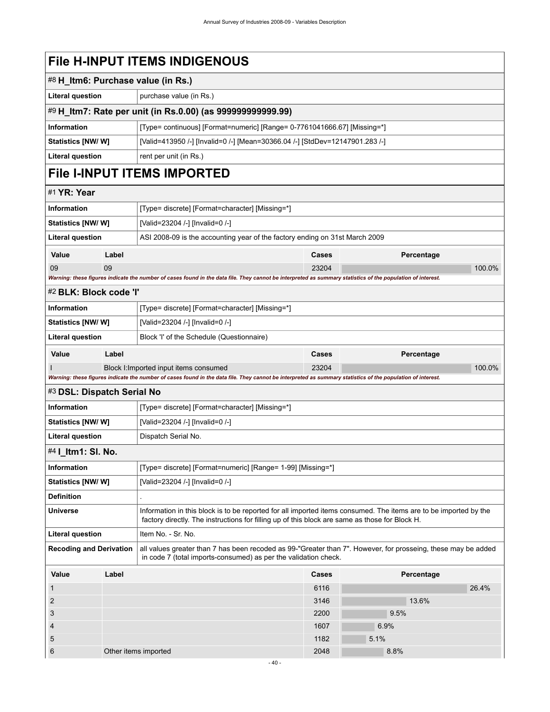<span id="page-43-5"></span><span id="page-43-4"></span><span id="page-43-3"></span><span id="page-43-2"></span><span id="page-43-1"></span><span id="page-43-0"></span>

|                                |       | #8 H_Itm6: Purchase value (in Rs.)                                                                                                                                                                                 |                                                                          |            |        |  |  |  |
|--------------------------------|-------|--------------------------------------------------------------------------------------------------------------------------------------------------------------------------------------------------------------------|--------------------------------------------------------------------------|------------|--------|--|--|--|
| <b>Literal question</b>        |       | purchase value (in Rs.)                                                                                                                                                                                            |                                                                          |            |        |  |  |  |
|                                |       | #9 H_Itm7: Rate per unit (in Rs.0.00) (as 999999999999.99)                                                                                                                                                         |                                                                          |            |        |  |  |  |
| <b>Information</b>             |       |                                                                                                                                                                                                                    | [Type= continuous] [Format=numeric] [Range= 0-7761041666.67] [Missing=*] |            |        |  |  |  |
| <b>Statistics [NW/ W]</b>      |       | [Valid=413950 /-] [Invalid=0 /-] [Mean=30366.04 /-] [StdDev=12147901.283 /-]                                                                                                                                       |                                                                          |            |        |  |  |  |
| <b>Literal question</b>        |       | rent per unit (in Rs.)                                                                                                                                                                                             |                                                                          |            |        |  |  |  |
|                                |       | <b>File I-INPUT ITEMS IMPORTED</b>                                                                                                                                                                                 |                                                                          |            |        |  |  |  |
| #1 YR: Year                    |       |                                                                                                                                                                                                                    |                                                                          |            |        |  |  |  |
| Information                    |       | [Type= discrete] [Format=character] [Missing=*]                                                                                                                                                                    |                                                                          |            |        |  |  |  |
| <b>Statistics [NW/ W]</b>      |       | [Valid=23204 /-] [Invalid=0 /-]                                                                                                                                                                                    |                                                                          |            |        |  |  |  |
| <b>Literal question</b>        |       | ASI 2008-09 is the accounting year of the factory ending on 31st March 2009                                                                                                                                        |                                                                          |            |        |  |  |  |
| Value                          | Label |                                                                                                                                                                                                                    | <b>Cases</b>                                                             | Percentage |        |  |  |  |
| 09                             | 09    |                                                                                                                                                                                                                    | 23204                                                                    |            | 100.0% |  |  |  |
|                                |       | Warning: these figures indicate the number of cases found in the data file. They cannot be interpreted as summary statistics of the population of interest.                                                        |                                                                          |            |        |  |  |  |
| #2 BLK: Block code 'l'         |       |                                                                                                                                                                                                                    |                                                                          |            |        |  |  |  |
| Information                    |       | [Type= discrete] [Format=character] [Missing=*]                                                                                                                                                                    |                                                                          |            |        |  |  |  |
| Statistics [NW/ W]             |       | [Valid=23204 /-] [Invalid=0 /-]                                                                                                                                                                                    |                                                                          |            |        |  |  |  |
| <b>Literal question</b>        |       | Block 'I' of the Schedule (Questionnaire)                                                                                                                                                                          |                                                                          |            |        |  |  |  |
| Value                          | Label |                                                                                                                                                                                                                    | Cases                                                                    | Percentage |        |  |  |  |
|                                |       | Block I: Imported input items consumed                                                                                                                                                                             | 23204                                                                    |            | 100.0% |  |  |  |
|                                |       | Warning: these figures indicate the number of cases found in the data file. They cannot be interpreted as summary statistics of the population of interest.                                                        |                                                                          |            |        |  |  |  |
| #3 DSL: Dispatch Serial No     |       |                                                                                                                                                                                                                    |                                                                          |            |        |  |  |  |
| <b>Information</b>             |       | [Type= discrete] [Format=character] [Missing=*]                                                                                                                                                                    |                                                                          |            |        |  |  |  |
| <b>Statistics [NW/ W]</b>      |       | [Valid=23204 /-] [Invalid=0 /-]                                                                                                                                                                                    |                                                                          |            |        |  |  |  |
| <b>Literal question</b>        |       | Dispatch Serial No.                                                                                                                                                                                                |                                                                          |            |        |  |  |  |
| #4   ltm1: SI. No.             |       |                                                                                                                                                                                                                    |                                                                          |            |        |  |  |  |
| <b>Information</b>             |       | [Type= discrete] [Format=numeric] [Range= 1-99] [Missing=*]                                                                                                                                                        |                                                                          |            |        |  |  |  |
| <b>Statistics [NW/W]</b>       |       | [Valid=23204 /-] [Invalid=0 /-]                                                                                                                                                                                    |                                                                          |            |        |  |  |  |
| <b>Definition</b>              |       |                                                                                                                                                                                                                    |                                                                          |            |        |  |  |  |
| <b>Universe</b>                |       | Information in this block is to be reported for all imported items consumed. The items are to be imported by the<br>factory directly. The instructions for filling up of this block are same as those for Block H. |                                                                          |            |        |  |  |  |
| <b>Literal question</b>        |       | Item No. - Sr. No.                                                                                                                                                                                                 |                                                                          |            |        |  |  |  |
| <b>Recoding and Derivation</b> |       | all values greater than 7 has been recoded as 99-"Greater than 7". However, for prosseing, these may be added<br>in code 7 (total imports-consumed) as per the validation check.                                   |                                                                          |            |        |  |  |  |
| Value                          | Label |                                                                                                                                                                                                                    | Cases                                                                    | Percentage |        |  |  |  |
| $\mathbf{1}$                   |       |                                                                                                                                                                                                                    | 6116                                                                     |            | 26.4%  |  |  |  |
| $\overline{c}$                 |       |                                                                                                                                                                                                                    | 3146                                                                     | 13.6%      |        |  |  |  |
| 3                              |       |                                                                                                                                                                                                                    | 2200                                                                     | 9.5%       |        |  |  |  |
| 4                              |       |                                                                                                                                                                                                                    | 1607                                                                     | 6.9%       |        |  |  |  |
| 5                              |       |                                                                                                                                                                                                                    | 1182                                                                     | 5.1%       |        |  |  |  |
| 6                              |       | Other items imported                                                                                                                                                                                               | 2048                                                                     | 8.8%       |        |  |  |  |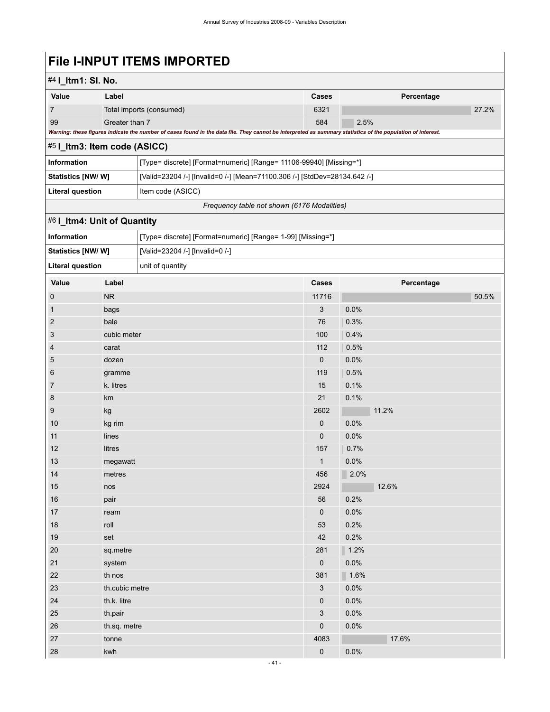# **File I-INPUT ITEMS IMPORTED**

## #4 **I\_Itm1: Sl. No.**

| Value | Label                                                                                                                                                       | <b>Cases</b> | Percentage |       |  |  |  |
|-------|-------------------------------------------------------------------------------------------------------------------------------------------------------------|--------------|------------|-------|--|--|--|
|       | Total imports (consumed)                                                                                                                                    | 6321         |            | 27.2% |  |  |  |
| 99    | Greater than 7                                                                                                                                              | 584          | 2.5%       |       |  |  |  |
|       | Warning: these figures indicate the number of cases found in the data file. They cannot be interpreted as summary statistics of the population of interest. |              |            |       |  |  |  |

<span id="page-44-0"></span>

| $#5$   Itm3: Item code (ASICC) |                                                                           |  |  |  |
|--------------------------------|---------------------------------------------------------------------------|--|--|--|
| Information                    | [Type= discrete] [Format=numeric] [Range= 11106-99940] [Missing=*]        |  |  |  |
| <b>Statistics [NW/W]</b>       | [Valid=23204 /-] [Invalid=0 /-] [Mean=71100.306 /-] [StdDev=28134.642 /-] |  |  |  |
| Literal question               | Item code (ASICC)                                                         |  |  |  |

*Frequency table not shown (6176 Modalities)*

## <span id="page-44-1"></span>#6 **I\_Itm4: Unit of Quantity**

| Information                                 |                | [Type= discrete] [Format=numeric] [Range= 1-99] [Missing=*] |              |            |  |
|---------------------------------------------|----------------|-------------------------------------------------------------|--------------|------------|--|
| Statistics [NW/ W]                          |                | [Valid=23204 /-] [Invalid=0 /-]                             |              |            |  |
| <b>Literal question</b><br>unit of quantity |                |                                                             |              |            |  |
| Value                                       | Label          |                                                             | Cases        | Percentage |  |
| $\pmb{0}$                                   | ${\sf NR}$     |                                                             | 11716        | 50.5%      |  |
| $\mathbf{1}$                                | bags           |                                                             | 3            | 0.0%       |  |
| $\overline{2}$                              | bale           |                                                             | 76           | 0.3%       |  |
| $\ensuremath{\mathsf{3}}$                   | cubic meter    |                                                             | 100          | 0.4%       |  |
| $\overline{4}$                              | carat          |                                                             | 112          | 0.5%       |  |
| $\mathbf 5$                                 | dozen          |                                                             | $\pmb{0}$    | 0.0%       |  |
| 6                                           | gramme         |                                                             | 119          | 0.5%       |  |
| $\overline{7}$                              | k. litres      |                                                             | 15           | 0.1%       |  |
| 8                                           | km             |                                                             | 21           | 0.1%       |  |
| 9                                           | kg             |                                                             | 2602         | 11.2%      |  |
| 10                                          | kg rim         |                                                             | 0            | 0.0%       |  |
| 11                                          | lines          |                                                             | 0            | 0.0%       |  |
| 12                                          | litres         |                                                             | 157          | 0.7%       |  |
| $13$                                        | megawatt       |                                                             | $\mathbf{1}$ | 0.0%       |  |
| 14                                          | metres         |                                                             | 456          | 2.0%       |  |
| 15                                          | nos            |                                                             | 2924         | 12.6%      |  |
| 16                                          | pair           |                                                             | 56           | 0.2%       |  |
| 17                                          | ream           |                                                             | 0            | 0.0%       |  |
| 18                                          | roll           |                                                             | 53           | 0.2%       |  |
| 19                                          | set            |                                                             | 42           | 0.2%       |  |
| 20                                          | sq.metre       |                                                             | 281          | 1.2%       |  |
| 21                                          | system         |                                                             | 0            | 0.0%       |  |
| 22                                          | th nos         |                                                             | 381          | 1.6%       |  |
| 23                                          | th.cubic metre |                                                             | 3            | 0.0%       |  |
| 24                                          | th.k. litre    |                                                             | 0            | 0.0%       |  |
| 25                                          | th.pair        |                                                             | 3            | 0.0%       |  |
| 26                                          | th.sq. metre   |                                                             | 0            | 0.0%       |  |
| 27                                          | tonne          |                                                             | 4083         | 17.6%      |  |
| 28                                          | kwh            |                                                             | 0            | 0.0%       |  |
|                                             |                |                                                             |              |            |  |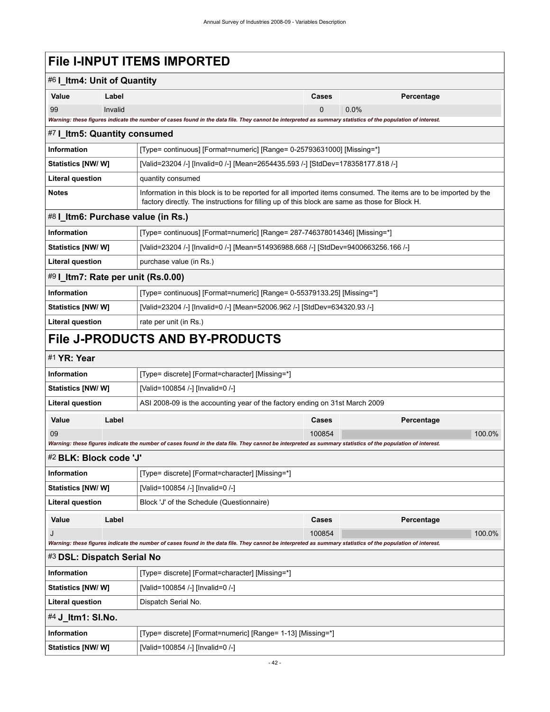# **File I-INPUT ITEMS IMPORTED**

<span id="page-45-7"></span><span id="page-45-6"></span><span id="page-45-5"></span><span id="page-45-4"></span><span id="page-45-3"></span><span id="page-45-2"></span><span id="page-45-1"></span><span id="page-45-0"></span>

|                                                                                                                                                                                           | #6 I_Itm4: Unit of Quantity                    |                                                                                                                                                                                                                    |             |      |            |        |
|-------------------------------------------------------------------------------------------------------------------------------------------------------------------------------------------|------------------------------------------------|--------------------------------------------------------------------------------------------------------------------------------------------------------------------------------------------------------------------|-------------|------|------------|--------|
| Value                                                                                                                                                                                     | Label                                          |                                                                                                                                                                                                                    | Cases       |      | Percentage |        |
| 99                                                                                                                                                                                        | Invalid                                        |                                                                                                                                                                                                                    | $\mathbf 0$ | 0.0% |            |        |
|                                                                                                                                                                                           |                                                | Warning: these figures indicate the number of cases found in the data file. They cannot be interpreted as summary statistics of the population of interest.                                                        |             |      |            |        |
| #7 I_Itm5: Quantity consumed                                                                                                                                                              |                                                |                                                                                                                                                                                                                    |             |      |            |        |
| <b>Information</b>                                                                                                                                                                        |                                                | [Type= continuous] [Format=numeric] [Range= 0-25793631000] [Missing=*]                                                                                                                                             |             |      |            |        |
| Statistics [NW/ W]                                                                                                                                                                        |                                                | [Valid=23204 /-] [Invalid=0 /-] [Mean=2654435.593 /-] [StdDev=178358177.818 /-]                                                                                                                                    |             |      |            |        |
| <b>Literal question</b>                                                                                                                                                                   |                                                | quantity consumed                                                                                                                                                                                                  |             |      |            |        |
| <b>Notes</b>                                                                                                                                                                              |                                                | Information in this block is to be reported for all imported items consumed. The items are to be imported by the<br>factory directly. The instructions for filling up of this block are same as those for Block H. |             |      |            |        |
| #8   Itm6: Purchase value (in Rs.)                                                                                                                                                        |                                                |                                                                                                                                                                                                                    |             |      |            |        |
| <b>Information</b>                                                                                                                                                                        |                                                | [Type= continuous] [Format=numeric] [Range= 287-746378014346] [Missing=*]                                                                                                                                          |             |      |            |        |
| Statistics [NW/W]                                                                                                                                                                         |                                                | [Valid=23204 /-] [Invalid=0 /-] [Mean=514936988.668 /-] [StdDev=9400663256.166 /-]                                                                                                                                 |             |      |            |        |
| <b>Literal question</b>                                                                                                                                                                   |                                                | purchase value (in Rs.)                                                                                                                                                                                            |             |      |            |        |
| #9 I_Itm7: Rate per unit (Rs.0.00)                                                                                                                                                        |                                                |                                                                                                                                                                                                                    |             |      |            |        |
| <b>Information</b>                                                                                                                                                                        |                                                | [Type= continuous] [Format=numeric] [Range= 0-55379133.25] [Missing=*]                                                                                                                                             |             |      |            |        |
| Statistics [NW/ W]                                                                                                                                                                        |                                                | [Valid=23204 /-] [Invalid=0 /-] [Mean=52006.962 /-] [StdDev=634320.93 /-]                                                                                                                                          |             |      |            |        |
| <b>Literal question</b>                                                                                                                                                                   |                                                | rate per unit (in Rs.)                                                                                                                                                                                             |             |      |            |        |
|                                                                                                                                                                                           |                                                | <b>File J-PRODUCTS AND BY-PRODUCTS</b>                                                                                                                                                                             |             |      |            |        |
| #1 YR: Year                                                                                                                                                                               |                                                |                                                                                                                                                                                                                    |             |      |            |        |
| <b>Information</b>                                                                                                                                                                        |                                                | [Type= discrete] [Format=character] [Missing=*]                                                                                                                                                                    |             |      |            |        |
| Statistics [NW/ W]                                                                                                                                                                        |                                                | [Valid=100854 /-] [Invalid=0 /-]                                                                                                                                                                                   |             |      |            |        |
| <b>Literal question</b>                                                                                                                                                                   |                                                | ASI 2008-09 is the accounting year of the factory ending on 31st March 2009                                                                                                                                        |             |      |            |        |
| Value                                                                                                                                                                                     | Label                                          |                                                                                                                                                                                                                    | Cases       |      | Percentage |        |
| 09                                                                                                                                                                                        |                                                |                                                                                                                                                                                                                    | 100854      |      |            | 100.0% |
|                                                                                                                                                                                           |                                                | Warning: these figures indicate the number of cases found in the data file. They cannot be interpreted as summary statistics of the population of interest.                                                        |             |      |            |        |
| #2 BLK: Block code 'J'                                                                                                                                                                    |                                                |                                                                                                                                                                                                                    |             |      |            |        |
| Information                                                                                                                                                                               |                                                | [Type= discrete] [Format=character] [Missing=*]                                                                                                                                                                    |             |      |            |        |
| Statistics [NW/W]                                                                                                                                                                         |                                                | [Valid=100854 /-] [Invalid=0 /-]                                                                                                                                                                                   |             |      |            |        |
| Literal question                                                                                                                                                                          |                                                | Block 'J' of the Schedule (Questionnaire)                                                                                                                                                                          |             |      |            |        |
| Value                                                                                                                                                                                     | Label                                          |                                                                                                                                                                                                                    | Cases       |      | Percentage |        |
| J                                                                                                                                                                                         |                                                |                                                                                                                                                                                                                    | 100854      |      |            | 100.0% |
| Warning: these figures indicate the number of cases found in the data file. They cannot be interpreted as summary statistics of the population of interest.<br>#3 DSL: Dispatch Serial No |                                                |                                                                                                                                                                                                                    |             |      |            |        |
|                                                                                                                                                                                           |                                                |                                                                                                                                                                                                                    |             |      |            |        |
| Information                                                                                                                                                                               |                                                | [Type= discrete] [Format=character] [Missing=*]                                                                                                                                                                    |             |      |            |        |
| Statistics [NW/W]                                                                                                                                                                         |                                                | [Valid=100854 /-] [Invalid=0 /-]                                                                                                                                                                                   |             |      |            |        |
|                                                                                                                                                                                           | <b>Literal question</b><br>Dispatch Serial No. |                                                                                                                                                                                                                    |             |      |            |        |
| #4 J_ltm1: SI.No.                                                                                                                                                                         |                                                |                                                                                                                                                                                                                    |             |      |            |        |
| Information                                                                                                                                                                               |                                                | [Type= discrete] [Format=numeric] [Range= 1-13] [Missing=*]                                                                                                                                                        |             |      |            |        |
| <b>Statistics [NW/W]</b>                                                                                                                                                                  |                                                | [Valid=100854 /-] [Invalid=0 /-]                                                                                                                                                                                   |             |      |            |        |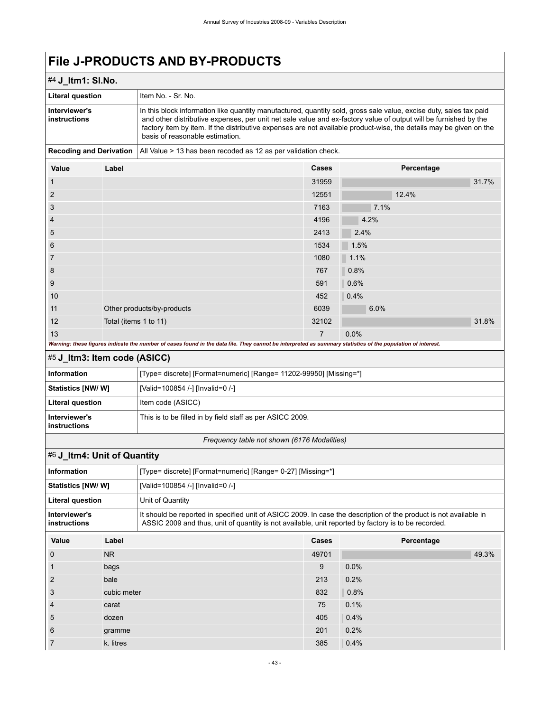## #4 **J\_Itm1: Sl.No.**

| <b>Literal question</b>       | Item No. - Sr. No.                                                                                                                                                                                                                                                                                                                                                                              |
|-------------------------------|-------------------------------------------------------------------------------------------------------------------------------------------------------------------------------------------------------------------------------------------------------------------------------------------------------------------------------------------------------------------------------------------------|
| Interviewer's<br>instructions | In this block information like quantity manufactured, quantity sold, gross sale value, excise duty, sales tax paid<br>and other distributive expenses, per unit net sale value and ex-factory value of output will be furnished by the<br>factory item by item. If the distributive expenses are not available product-wise, the details may be given on the<br>basis of reasonable estimation. |
|                               | Desartina and Deutrotten   All Value s. 49 keep keen meeded en 49 en normalidation skeep                                                                                                                                                                                                                                                                                                        |

**Recoding and Derivation** | All Value > 13 has been recoded as 12 as per validation check.

| Value          | Label                                                                                                                                                       | Cases          | Percentage |  |  |  |
|----------------|-------------------------------------------------------------------------------------------------------------------------------------------------------------|----------------|------------|--|--|--|
| 1              |                                                                                                                                                             | 31959          | 31.7%      |  |  |  |
| $\overline{2}$ |                                                                                                                                                             | 12551          | 12.4%      |  |  |  |
| 3              |                                                                                                                                                             | 7163           | 7.1%       |  |  |  |
| 4              |                                                                                                                                                             | 4196           | 4.2%       |  |  |  |
| 5              |                                                                                                                                                             | 2413           | 2.4%       |  |  |  |
| 6              |                                                                                                                                                             | 1534           | 1.5%       |  |  |  |
| 7              |                                                                                                                                                             | 1080           | 1.1%       |  |  |  |
| 8              |                                                                                                                                                             | 767            | 0.8%       |  |  |  |
| 9              |                                                                                                                                                             | 591            | 0.6%       |  |  |  |
| 10             |                                                                                                                                                             | 452            | 0.4%       |  |  |  |
| 11             | Other products/by-products                                                                                                                                  | 6039           | 6.0%       |  |  |  |
| 12             | Total (items 1 to 11)                                                                                                                                       | 32102          | 31.8%      |  |  |  |
| 13             |                                                                                                                                                             | $\overline{7}$ | 0.0%       |  |  |  |
|                | Warning: these figures indicate the number of cases found in the data file. They cannot be interpreted as summary statistics of the population of interest. |                |            |  |  |  |

### <span id="page-46-0"></span>#5 **J\_Itm3: Item code (ASICC)**

| Information                   | [Type= discrete] [Format=numeric] [Range= 11202-99950] [Missing=*] |
|-------------------------------|--------------------------------------------------------------------|
| <b>Statistics [NW/ W]</b>     | [Valid=100854 /-] [Invalid=0 /-]                                   |
| Literal question              | Item code (ASICC)                                                  |
| Interviewer's<br>instructions | This is to be filled in by field staff as per ASICC 2009.          |

### *Frequency table not shown (6176 Modalities)*

## <span id="page-46-1"></span>#6 **J\_Itm4: Unit of Quantity**

| <b>Information</b>            |                | [Type= discrete] [Format=numeric] [Range= 0-27] [Missing=*]                                                                                                                                                              |              |            |       |
|-------------------------------|----------------|--------------------------------------------------------------------------------------------------------------------------------------------------------------------------------------------------------------------------|--------------|------------|-------|
| Statistics [NW/W]             |                | [Valid=100854 /-] [Invalid=0 /-]                                                                                                                                                                                         |              |            |       |
| <b>Literal question</b>       |                | Unit of Quantity                                                                                                                                                                                                         |              |            |       |
| Interviewer's<br>instructions |                | It should be reported in specified unit of ASICC 2009. In case the description of the product is not available in<br>ASSIC 2009 and thus, unit of quantity is not available, unit reported by factory is to be recorded. |              |            |       |
| Value                         | Label          |                                                                                                                                                                                                                          | <b>Cases</b> | Percentage |       |
| $\mathbf 0$                   | N <sub>R</sub> |                                                                                                                                                                                                                          | 49701        |            | 49.3% |
|                               | bags           |                                                                                                                                                                                                                          | 9            | 0.0%       |       |
| 2                             | bale           |                                                                                                                                                                                                                          | 213          | 0.2%       |       |
| 3                             | cubic meter    |                                                                                                                                                                                                                          | 832          | 0.8%       |       |
| $\overline{4}$                | carat          |                                                                                                                                                                                                                          | 75           | 0.1%       |       |
| 5                             | dozen          |                                                                                                                                                                                                                          | 405          | 0.4%       |       |
| 6<br>gramme                   |                | 201                                                                                                                                                                                                                      | 0.2%         |            |       |
| 7                             | k. litres      |                                                                                                                                                                                                                          | 385          | 0.4%       |       |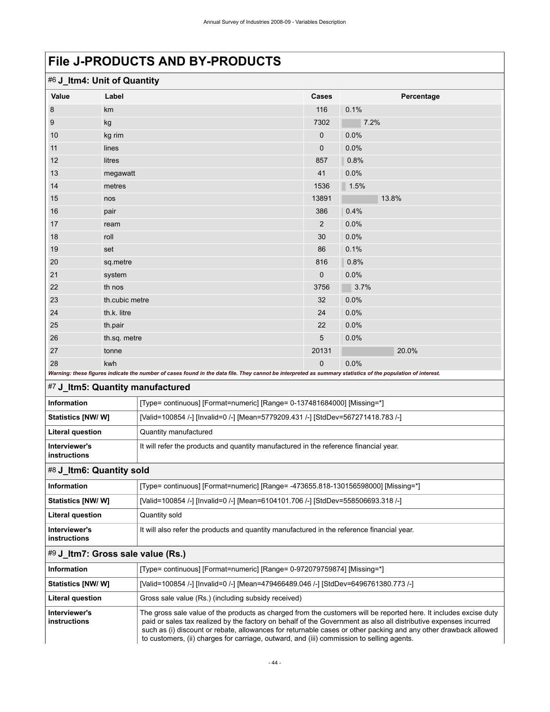<span id="page-47-2"></span><span id="page-47-1"></span><span id="page-47-0"></span>

| #6 J_Itm4: Unit of Quantity       |                                                                                                                                                                          |                                                                                                                                                                                                                                                                                                                                                                                                                                                       |                      |            |  |  |
|-----------------------------------|--------------------------------------------------------------------------------------------------------------------------------------------------------------------------|-------------------------------------------------------------------------------------------------------------------------------------------------------------------------------------------------------------------------------------------------------------------------------------------------------------------------------------------------------------------------------------------------------------------------------------------------------|----------------------|------------|--|--|
| Value                             | Label                                                                                                                                                                    |                                                                                                                                                                                                                                                                                                                                                                                                                                                       | Cases                | Percentage |  |  |
| 8                                 | km                                                                                                                                                                       |                                                                                                                                                                                                                                                                                                                                                                                                                                                       | 116                  | 0.1%       |  |  |
| 9                                 | kg                                                                                                                                                                       |                                                                                                                                                                                                                                                                                                                                                                                                                                                       | 7302                 | 7.2%       |  |  |
| 10                                | kg rim                                                                                                                                                                   |                                                                                                                                                                                                                                                                                                                                                                                                                                                       | 0                    | 0.0%       |  |  |
| 11                                | lines                                                                                                                                                                    |                                                                                                                                                                                                                                                                                                                                                                                                                                                       | 0                    | 0.0%       |  |  |
| 12                                | litres                                                                                                                                                                   |                                                                                                                                                                                                                                                                                                                                                                                                                                                       | 857                  | 0.8%       |  |  |
| 13                                | megawatt                                                                                                                                                                 |                                                                                                                                                                                                                                                                                                                                                                                                                                                       | 41                   | 0.0%       |  |  |
| 14                                | metres                                                                                                                                                                   |                                                                                                                                                                                                                                                                                                                                                                                                                                                       | 1536                 | 1.5%       |  |  |
| 15                                | nos                                                                                                                                                                      |                                                                                                                                                                                                                                                                                                                                                                                                                                                       | 13891                | 13.8%      |  |  |
| 16                                | pair                                                                                                                                                                     |                                                                                                                                                                                                                                                                                                                                                                                                                                                       | 386                  | 0.4%       |  |  |
| 17                                | ream                                                                                                                                                                     |                                                                                                                                                                                                                                                                                                                                                                                                                                                       | $\overline{2}$       | 0.0%       |  |  |
| 18                                | roll                                                                                                                                                                     |                                                                                                                                                                                                                                                                                                                                                                                                                                                       | 30                   | 0.0%       |  |  |
| 19                                | set                                                                                                                                                                      |                                                                                                                                                                                                                                                                                                                                                                                                                                                       | 86                   | 0.1%       |  |  |
| 20                                | sq.metre                                                                                                                                                                 |                                                                                                                                                                                                                                                                                                                                                                                                                                                       | 816                  | 0.8%       |  |  |
| 21                                | system                                                                                                                                                                   |                                                                                                                                                                                                                                                                                                                                                                                                                                                       | 0                    | 0.0%       |  |  |
| 22                                | th nos                                                                                                                                                                   |                                                                                                                                                                                                                                                                                                                                                                                                                                                       | 3756                 | 3.7%       |  |  |
| 23                                | th.cubic metre                                                                                                                                                           |                                                                                                                                                                                                                                                                                                                                                                                                                                                       | 32                   | 0.0%       |  |  |
| 24                                | th.k. litre                                                                                                                                                              |                                                                                                                                                                                                                                                                                                                                                                                                                                                       | 24                   | 0.0%       |  |  |
| 25                                | th.pair                                                                                                                                                                  |                                                                                                                                                                                                                                                                                                                                                                                                                                                       | 22                   | 0.0%       |  |  |
| 26                                | th.sq. metre                                                                                                                                                             |                                                                                                                                                                                                                                                                                                                                                                                                                                                       | 5                    | 0.0%       |  |  |
| 27                                | tonne                                                                                                                                                                    |                                                                                                                                                                                                                                                                                                                                                                                                                                                       | 20131<br>$\mathbf 0$ | 20.0%      |  |  |
|                                   | 28<br>kwh<br>Warning: these figures indicate the number of cases found in the data file. They cannot be interpreted as summary statistics of the population of interest. |                                                                                                                                                                                                                                                                                                                                                                                                                                                       |                      | 0.0%       |  |  |
| #7 J_Itm5: Quantity manufactured  |                                                                                                                                                                          |                                                                                                                                                                                                                                                                                                                                                                                                                                                       |                      |            |  |  |
| Information                       |                                                                                                                                                                          | [Type= continuous] [Format=numeric] [Range= 0-137481684000] [Missing=*]                                                                                                                                                                                                                                                                                                                                                                               |                      |            |  |  |
| Statistics [NW/W]                 |                                                                                                                                                                          | [Valid=100854 /-] [Invalid=0 /-] [Mean=5779209.431 /-] [StdDev=567271418.783 /-]                                                                                                                                                                                                                                                                                                                                                                      |                      |            |  |  |
| <b>Literal question</b>           |                                                                                                                                                                          | Quantity manufactured                                                                                                                                                                                                                                                                                                                                                                                                                                 |                      |            |  |  |
| Interviewer's                     |                                                                                                                                                                          | It will refer the products and quantity manufactured in the reference financial year.                                                                                                                                                                                                                                                                                                                                                                 |                      |            |  |  |
| instructions                      |                                                                                                                                                                          |                                                                                                                                                                                                                                                                                                                                                                                                                                                       |                      |            |  |  |
| #8 J Itm6: Quantity sold          |                                                                                                                                                                          |                                                                                                                                                                                                                                                                                                                                                                                                                                                       |                      |            |  |  |
| Information                       |                                                                                                                                                                          | [Type= continuous] [Format=numeric] [Range= -473655.818-130156598000] [Missing=*]                                                                                                                                                                                                                                                                                                                                                                     |                      |            |  |  |
| <b>Statistics [NW/W]</b>          |                                                                                                                                                                          | [Valid=100854 /-] [Invalid=0 /-] [Mean=6104101.706 /-] [StdDev=558506693.318 /-]                                                                                                                                                                                                                                                                                                                                                                      |                      |            |  |  |
| <b>Literal question</b>           |                                                                                                                                                                          | Quantity sold                                                                                                                                                                                                                                                                                                                                                                                                                                         |                      |            |  |  |
| Interviewer's<br>instructions     |                                                                                                                                                                          | It will also refer the products and quantity manufactured in the reference financial year.                                                                                                                                                                                                                                                                                                                                                            |                      |            |  |  |
| #9 J_Itm7: Gross sale value (Rs.) |                                                                                                                                                                          |                                                                                                                                                                                                                                                                                                                                                                                                                                                       |                      |            |  |  |
| Information                       |                                                                                                                                                                          | [Type= continuous] [Format=numeric] [Range= 0-972079759874] [Missing=*]                                                                                                                                                                                                                                                                                                                                                                               |                      |            |  |  |
| Statistics [NW/W]                 |                                                                                                                                                                          | [Valid=100854 /-] [Invalid=0 /-] [Mean=479466489.046 /-] [StdDev=6496761380.773 /-]                                                                                                                                                                                                                                                                                                                                                                   |                      |            |  |  |
| <b>Literal question</b>           |                                                                                                                                                                          | Gross sale value (Rs.) (including subsidy received)                                                                                                                                                                                                                                                                                                                                                                                                   |                      |            |  |  |
| Interviewer's<br>instructions     |                                                                                                                                                                          | The gross sale value of the products as charged from the customers will be reported here. It includes excise duty<br>paid or sales tax realized by the factory on behalf of the Government as also all distributive expenses incurred<br>such as (i) discount or rebate, allowances for returnable cases or other packing and any other drawback allowed<br>to customers, (ii) charges for carriage, outward, and (iii) commission to selling agents. |                      |            |  |  |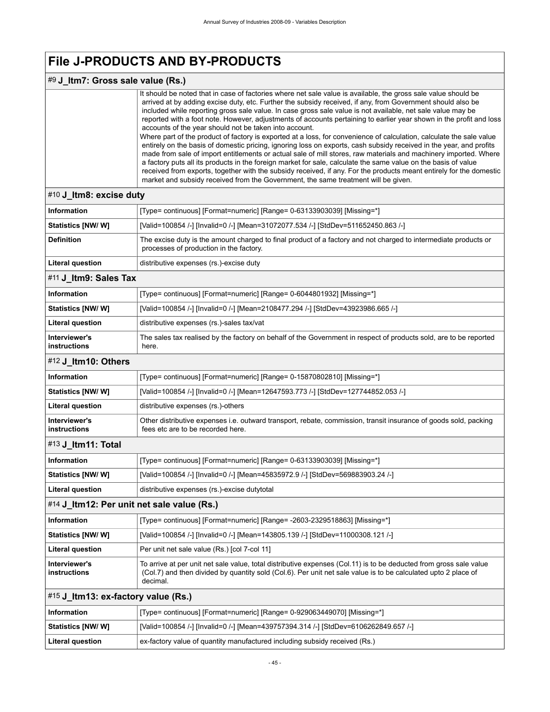### #9 **J\_Itm7: Gross sale value (Rs.)**

It should be noted that in case of factories where net sale value is available, the gross sale value should be arrived at by adding excise duty, etc. Further the subsidy received, if any, from Government should also be included while reporting gross sale value. In case gross sale value is not available, net sale value may be reported with a foot note. However, adjustments of accounts pertaining to earlier year shown in the profit and loss accounts of the year should not be taken into account. Where part of the product of factory is exported at a loss, for convenience of calculation, calculate the sale value entirely on the basis of domestic pricing, ignoring loss on exports, cash subsidy received in the year, and profits made from sale of import entitlements or actual sale of mill stores, raw materials and machinery imported. Where a factory puts all its products in the foreign market for sale, calculate the same value on the basis of value received from exports, together with the subsidy received, if any. For the products meant entirely for the domestic market and subsidy received from the Government, the same treatment will be given.

### <span id="page-48-2"></span><span id="page-48-1"></span><span id="page-48-0"></span>#10 **J\_Itm8: excise duty Information** [Type= continuous] [Format=numeric] [Range= 0-63133903039] [Missing=\*] **Statistics [NW/ W]** [Valid=100854 /-] [Invalid=0 /-] [Mean=31072077.534 /-] [StdDev=511652450.863 /-] **Definition** The excise duty is the amount charged to final product of a factory and not charged to intermediate products or processes of production in the factory. **Literal question distributive expenses (rs.)-excise duty** #11 **J\_Itm9: Sales Tax Information information [Type= continuous] [Format=numeric] [Range= 0-6044801932] [Missing=\*] Statistics [NW/ W]** [Valid=100854 /-] [Invalid=0 /-] [Mean=2108477.294 /-] [StdDev=43923986.665 /-] Literal question **distributive expenses (rs.)-sales tax/vat Interviewer's instructions** The sales tax realised by the factory on behalf of the Government in respect of products sold, are to be reported here. #12 **J\_Itm10: Others Information If Type= continuous**] [Format=numeric] [Range= 0-15870802810] [Missing=\*] **Statistics [NW/ W]** [Valid=100854 /-] [Invalid=0 /-] [Mean=12647593.773 /-] [StdDev=127744852.053 /-] **Literal question** distributive expenses (rs.)-others **Interviewer's instructions** Other distributive expenses i.e. outward transport, rebate, commission, transit insurance of goods sold, packing fees etc are to be recorded here. #13 **J\_Itm11: Total Information** [Type= continuous] [Format=numeric] [Range= 0-63133903039] [Missing=\*] **Statistics [NW/ W]** [Valid=100854 /-] [Invalid=0 /-] [Mean=45835972.9 /-] [StdDev=569883903.24 /-] Literal question **distributive expenses (rs.)-excise dutytotal** #14 **J\_Itm12: Per unit net sale value (Rs.) Information** [Type= continuous] [Format=numeric] [Range= -2603-2329518863] [Missing=\*] **Statistics [NW/ W]** [Valid=100854 /-] [Invalid=0 /-] [Mean=143805.139 /-] [StdDev=11000308.121 /-] Literal question **Per unit net sale value (Rs.)** [col 7-col 11] **Interviewer's instructions** To arrive at per unit net sale value, total distributive expenses (Col.11) is to be deducted from gross sale value (Col.7) and then divided by quantity sold (Col.6). Per unit net sale value is to be calculated upto 2 place of decimal. #15 **J\_Itm13: ex-factory value (Rs.) Information** [Type= continuous] [Format=numeric] [Range= 0-929063449070] [Missing=\*] **Statistics [NW/ W]** [Valid=100854 /-] [Invalid=0 /-] [Mean=439757394.314 /-] [StdDev=6106262849.657 /-]

<span id="page-48-5"></span><span id="page-48-4"></span><span id="page-48-3"></span>**Literal question** ex-factory value of quantity manufactured including subsidy received (Rs.)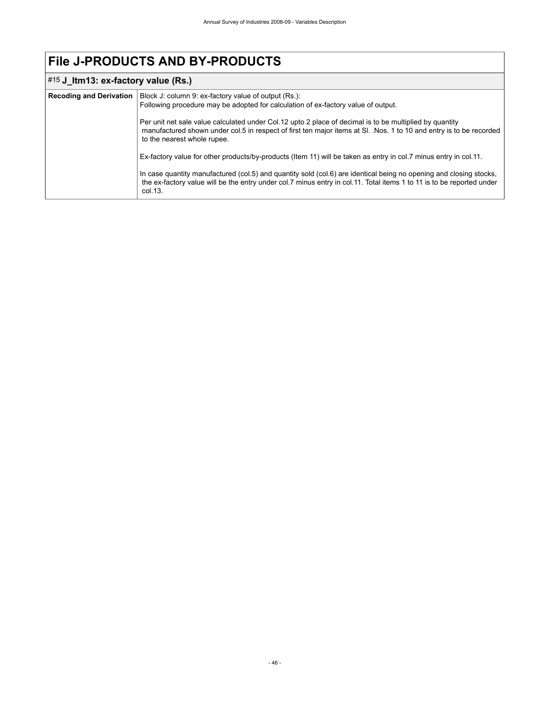# #15 **J\_Itm13: ex-factory value (Rs.)**

| <b>Recoding and Derivation</b> | Block J: column 9: ex-factory value of output (Rs.):<br>Following procedure may be adopted for calculation of ex-factory value of output.                                                                                                                     |
|--------------------------------|---------------------------------------------------------------------------------------------------------------------------------------------------------------------------------------------------------------------------------------------------------------|
|                                | Per unit net sale value calculated under Col. 12 upto 2 place of decimal is to be multiplied by quantity<br>manufactured shown under col.5 in respect of first ten major items at SI. Nos. 1 to 10 and entry is to be recorded<br>to the nearest whole rupee. |
|                                | Ex-factory value for other products/by-products (Item 11) will be taken as entry in col.7 minus entry in col.11.                                                                                                                                              |
|                                | In case quantity manufactured (col.5) and quantity sold (col.6) are identical being no opening and closing stocks,<br>the ex-factory value will be the entry under col.7 minus entry in col.11. Total items 1 to 11 is to be reported under<br>col.13.        |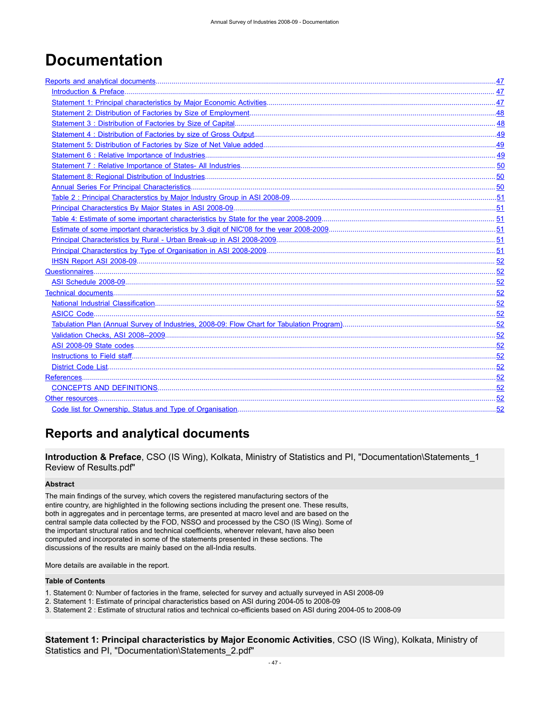# <span id="page-50-0"></span>**Documentation**

# <span id="page-50-1"></span>**Reports and analytical documents**

<span id="page-50-2"></span>**Introduction & Preface**, CSO (IS Wing), Kolkata, Ministry of Statistics and PI, "Documentation\Statements\_1 Review of Results.pdf"

#### **Abstract**

The main findings of the survey, which covers the registered manufacturing sectors of the entire country, are highlighted in the following sections including the present one. These results, both in aggregates and in percentage terms, are presented at macro level and are based on the central sample data collected by the FOD, NSSO and processed by the CSO (IS Wing). Some of the important structural ratios and technical coefficients, wherever relevant, have also been computed and incorporated in some of the statements presented in these sections. The discussions of the results are mainly based on the all-India results.

More details are available in the report.

#### **Table of Contents**

- 1. Statement 0: Number of factories in the frame, selected for survey and actually surveyed in ASI 2008-09
- 2. Statement 1: Estimate of principal characteristics based on ASI during 2004-05 to 2008-09

3. Statement 2 : Estimate of structural ratios and technical co-efficients based on ASI during 2004-05 to 2008-09

<span id="page-50-3"></span>**Statement 1: Principal characteristics by Major Economic Activities**, CSO (IS Wing), Kolkata, Ministry of Statistics and PI, "Documentation\Statements\_2.pdf"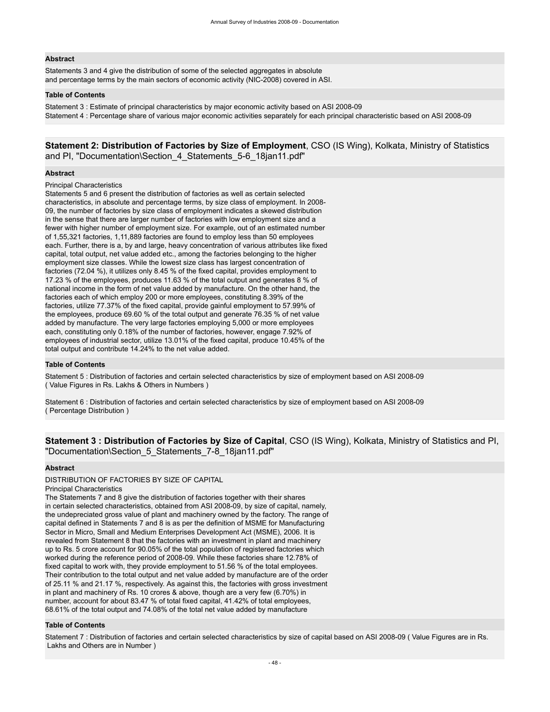#### **Abstract**

Statements 3 and 4 give the distribution of some of the selected aggregates in absolute and percentage terms by the main sectors of economic activity (NIC-2008) covered in ASI.

#### **Table of Contents**

Statement 3 : Estimate of principal characteristics by major economic activity based on ASI 2008-09 Statement 4 : Percentage share of various major economic activities separately for each principal characteristic based on ASI 2008-09

<span id="page-51-0"></span>**Statement 2: Distribution of Factories by Size of Employment**, CSO (IS Wing), Kolkata, Ministry of Statistics and PI, "Documentation\Section\_4\_Statements\_5-6\_18jan11.pdf"

#### **Abstract**

#### Principal Characteristics

Statements 5 and 6 present the distribution of factories as well as certain selected characteristics, in absolute and percentage terms, by size class of employment. In 2008- 09, the number of factories by size class of employment indicates a skewed distribution in the sense that there are larger number of factories with low employment size and a fewer with higher number of employment size. For example, out of an estimated number of 1,55,321 factories, 1,11,889 factories are found to employ less than 50 employees each. Further, there is a, by and large, heavy concentration of various attributes like fixed capital, total output, net value added etc., among the factories belonging to the higher employment size classes. While the lowest size class has largest concentration of factories (72.04 %), it utilizes only 8.45 % of the fixed capital, provides employment to 17.23 % of the employees, produces 11.63 % of the total output and generates 8 % of national income in the form of net value added by manufacture. On the other hand, the factories each of which employ 200 or more employees, constituting 8.39% of the factories, utilize 77.37% of the fixed capital, provide gainful employment to 57.99% of the employees, produce 69.60 % of the total output and generate 76.35 % of net value added by manufacture. The very large factories employing 5,000 or more employees each, constituting only 0.18% of the number of factories, however, engage 7.92% of employees of industrial sector, utilize 13.01% of the fixed capital, produce 10.45% of the total output and contribute 14.24% to the net value added.

#### **Table of Contents**

Statement 5 : Distribution of factories and certain selected characteristics by size of employment based on ASI 2008-09 ( Value Figures in Rs. Lakhs & Others in Numbers )

Statement 6 : Distribution of factories and certain selected characteristics by size of employment based on ASI 2008-09 ( Percentage Distribution )

<span id="page-51-1"></span>**Statement 3 : Distribution of Factories by Size of Capital**, CSO (IS Wing), Kolkata, Ministry of Statistics and PI, "Documentation\Section\_5\_Statements\_7-8\_18jan11.pdf"

#### **Abstract**

DISTRIBUTION OF FACTORIES BY SIZE OF CAPITAL

Principal Characteristics

The Statements 7 and 8 give the distribution of factories together with their shares in certain selected characteristics, obtained from ASI 2008-09, by size of capital, namely, the undepreciated gross value of plant and machinery owned by the factory. The range of capital defined in Statements 7 and 8 is as per the definition of MSME for Manufacturing Sector in Micro, Small and Medium Enterprises Development Act (MSME), 2006. It is revealed from Statement 8 that the factories with an investment in plant and machinery up to Rs. 5 crore account for 90.05% of the total population of registered factories which worked during the reference period of 2008-09. While these factories share 12.78% of fixed capital to work with, they provide employment to 51.56 % of the total employees. Their contribution to the total output and net value added by manufacture are of the order of 25.11 % and 21.17 %, respectively. As against this, the factories with gross investment in plant and machinery of Rs. 10 crores & above, though are a very few (6.70%) in number, account for about 83.47 % of total fixed capital, 41.42% of total employees, 68.61% of the total output and 74.08% of the total net value added by manufacture

#### **Table of Contents**

Statement 7 : Distribution of factories and certain selected characteristics by size of capital based on ASI 2008-09 ( Value Figures are in Rs. Lakhs and Others are in Number )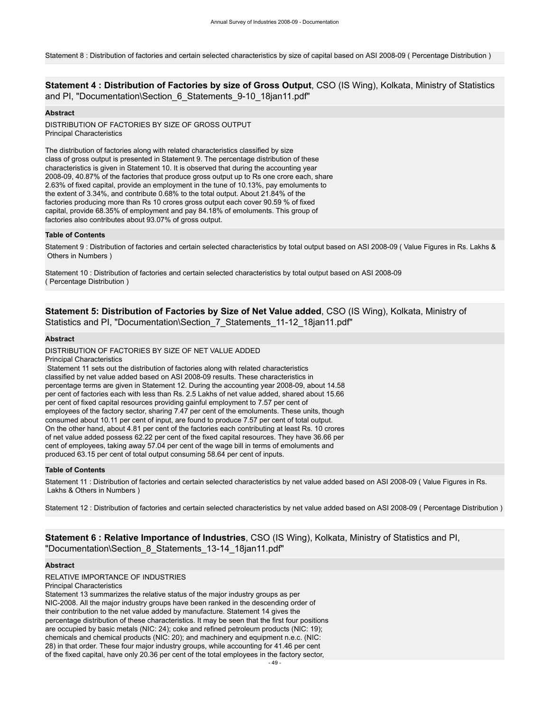Statement 8 : Distribution of factories and certain selected characteristics by size of capital based on ASI 2008-09 ( Percentage Distribution )

<span id="page-52-0"></span>**Statement 4 : Distribution of Factories by size of Gross Output**, CSO (IS Wing), Kolkata, Ministry of Statistics and PI, "Documentation\Section 6 Statements 9-10 18jan11.pdf"

#### **Abstract**

DISTRIBUTION OF FACTORIES BY SIZE OF GROSS OUTPUT Principal Characteristics

The distribution of factories along with related characteristics classified by size class of gross output is presented in Statement 9. The percentage distribution of these characteristics is given in Statement 10. It is observed that during the accounting year 2008-09, 40.87% of the factories that produce gross output up to Rs one crore each, share 2.63% of fixed capital, provide an employment in the tune of 10.13%, pay emoluments to the extent of 3.34%, and contribute 0.68% to the total output. About 21.84% of the factories producing more than Rs 10 crores gross output each cover 90.59 % of fixed capital, provide 68.35% of employment and pay 84.18% of emoluments. This group of factories also contributes about 93.07% of gross output.

#### **Table of Contents**

Statement 9 : Distribution of factories and certain selected characteristics by total output based on ASI 2008-09 ( Value Figures in Rs. Lakhs & Others in Numbers )

Statement 10 : Distribution of factories and certain selected characteristics by total output based on ASI 2008-09 ( Percentage Distribution )

#### <span id="page-52-1"></span>**Statement 5: Distribution of Factories by Size of Net Value added**, CSO (IS Wing), Kolkata, Ministry of Statistics and PI, "Documentation\Section\_7\_Statements\_11-12\_18jan11.pdf"

#### **Abstract**

DISTRIBUTION OF FACTORIES BY SIZE OF NET VALUE ADDED

Principal Characteristics

 Statement 11 sets out the distribution of factories along with related characteristics classified by net value added based on ASI 2008-09 results. These characteristics in percentage terms are given in Statement 12. During the accounting year 2008-09, about 14.58 per cent of factories each with less than Rs. 2.5 Lakhs of net value added, shared about 15.66 per cent of fixed capital resources providing gainful employment to 7.57 per cent of employees of the factory sector, sharing 7.47 per cent of the emoluments. These units, though consumed about 10.11 per cent of input, are found to produce 7.57 per cent of total output. On the other hand, about 4.81 per cent of the factories each contributing at least Rs. 10 crores of net value added possess 62.22 per cent of the fixed capital resources. They have 36.66 per cent of employees, taking away 57.04 per cent of the wage bill in terms of emoluments and produced 63.15 per cent of total output consuming 58.64 per cent of inputs.

#### **Table of Contents**

Statement 11 : Distribution of factories and certain selected characteristics by net value added based on ASI 2008-09 ( Value Figures in Rs. Lakhs & Others in Numbers )

Statement 12 : Distribution of factories and certain selected characteristics by net value added based on ASI 2008-09 ( Percentage Distribution )

<span id="page-52-2"></span>**Statement 6 : Relative Importance of Industries**, CSO (IS Wing), Kolkata, Ministry of Statistics and PI, "Documentation\Section\_8\_Statements\_13-14\_18jan11.pdf"

#### **Abstract**

RELATIVE IMPORTANCE OF INDUSTRIES Principal Characteristics

Statement 13 summarizes the relative status of the major industry groups as per NIC-2008. All the major industry groups have been ranked in the descending order of their contribution to the net value added by manufacture. Statement 14 gives the percentage distribution of these characteristics. It may be seen that the first four positions are occupied by basic metals (NIC: 24); coke and refined petroleum products (NIC: 19); chemicals and chemical products (NIC: 20); and machinery and equipment n.e.c. (NIC: 28) in that order. These four major industry groups, while accounting for 41.46 per cent of the fixed capital, have only 20.36 per cent of the total employees in the factory sector,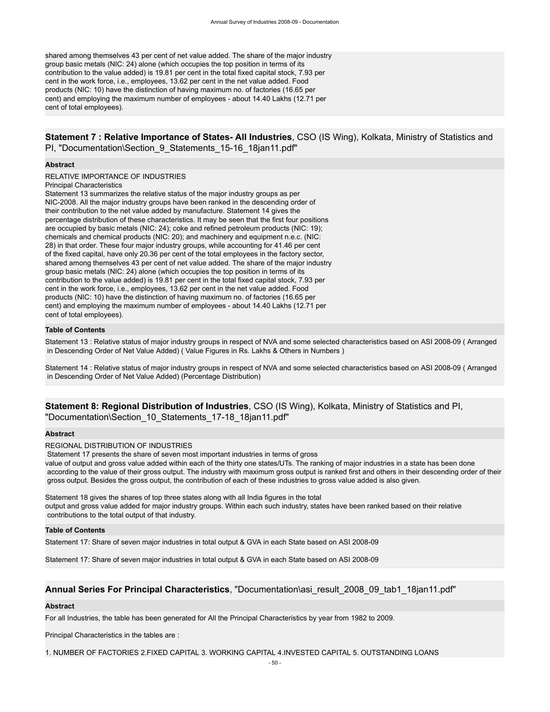shared among themselves 43 per cent of net value added. The share of the major industry group basic metals (NIC: 24) alone (which occupies the top position in terms of its contribution to the value added) is 19.81 per cent in the total fixed capital stock, 7.93 per cent in the work force, i.e., employees, 13.62 per cent in the net value added. Food products (NIC: 10) have the distinction of having maximum no. of factories (16.65 per cent) and employing the maximum number of employees - about 14.40 Lakhs (12.71 per cent of total employees).

#### <span id="page-53-0"></span>**Statement 7 : Relative Importance of States- All Industries**, CSO (IS Wing), Kolkata, Ministry of Statistics and PI, "Documentation\Section\_9\_Statements\_15-16\_18jan11.pdf"

#### **Abstract**

RELATIVE IMPORTANCE OF INDUSTRIES Principal Characteristics

Statement 13 summarizes the relative status of the major industry groups as per NIC-2008. All the major industry groups have been ranked in the descending order of their contribution to the net value added by manufacture. Statement 14 gives the percentage distribution of these characteristics. It may be seen that the first four positions are occupied by basic metals (NIC: 24); coke and refined petroleum products (NIC: 19); chemicals and chemical products (NIC: 20); and machinery and equipment n.e.c. (NIC: 28) in that order. These four major industry groups, while accounting for 41.46 per cent of the fixed capital, have only 20.36 per cent of the total employees in the factory sector, shared among themselves 43 per cent of net value added. The share of the major industry group basic metals (NIC: 24) alone (which occupies the top position in terms of its contribution to the value added) is 19.81 per cent in the total fixed capital stock, 7.93 per cent in the work force, i.e., employees, 13.62 per cent in the net value added. Food products (NIC: 10) have the distinction of having maximum no. of factories (16.65 per cent) and employing the maximum number of employees - about 14.40 Lakhs (12.71 per cent of total employees).

#### **Table of Contents**

Statement 13 : Relative status of major industry groups in respect of NVA and some selected characteristics based on ASI 2008-09 ( Arranged in Descending Order of Net Value Added) ( Value Figures in Rs. Lakhs & Others in Numbers )

Statement 14 : Relative status of major industry groups in respect of NVA and some selected characteristics based on ASI 2008-09 ( Arranged in Descending Order of Net Value Added) (Percentage Distribution)

#### <span id="page-53-1"></span>**Statement 8: Regional Distribution of Industries**, CSO (IS Wing), Kolkata, Ministry of Statistics and PI, "Documentation\Section\_10\_Statements\_17-18\_18jan11.pdf"

#### **Abstract**

REGIONAL DISTRIBUTION OF INDUSTRIES

Statement 17 presents the share of seven most important industries in terms of gross

value of output and gross value added within each of the thirty one states/UTs. The ranking of major industries in a state has been done according to the value of their gross output. The industry with maximum gross output is ranked first and others in their descending order of their gross output. Besides the gross output, the contribution of each of these industries to gross value added is also given.

Statement 18 gives the shares of top three states along with all India figures in the total output and gross value added for major industry groups. Within each such industry, states have been ranked based on their relative contributions to the total output of that industry.

#### **Table of Contents**

Statement 17: Share of seven major industries in total output & GVA in each State based on ASI 2008-09

Statement 17: Share of seven major industries in total output & GVA in each State based on ASI 2008-09

#### <span id="page-53-2"></span>**Annual Series For Principal Characteristics**, "Documentation\asi\_result\_2008\_09\_tab1\_18jan11.pdf"

#### **Abstract**

For all Industries, the table has been generated for All the Principal Characteristics by year from 1982 to 2009.

Principal Characteristics in the tables are :

1. NUMBER OF FACTORIES 2.FIXED CAPITAL 3. WORKING CAPITAL 4.INVESTED CAPITAL 5. OUTSTANDING LOANS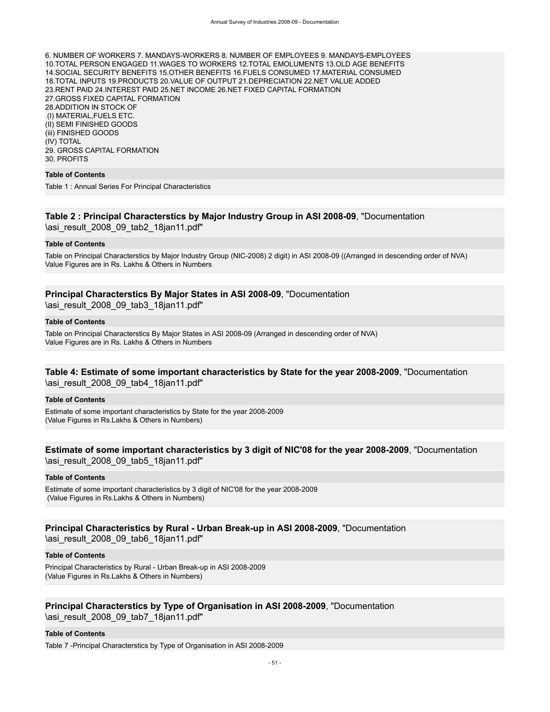6. NUMBER OF WORKERS 7. MANDAYS-WORKERS 8. NUMBER OF EMPLOYEES 9. MANDAYS-EMPLOYEES 10.TOTAL PERSON ENGAGED 11.WAGES TO WORKERS 12.TOTAL EMOLUMENTS 13.OLD AGE BENEFITS 14.SOCIAL SECURITY BENEFITS 15.OTHER BENEFITS 16.FUELS CONSUMED 17.MATERIAL CONSUMED 18.TOTAL INPUTS 19.PRODUCTS 20.VALUE OF OUTPUT 21.DEPRECIATION 22.NET VALUE ADDED 23.RENT PAID 24.INTEREST PAID 25.NET INCOME 26.NET FIXED CAPITAL FORMATION 27.GROSS FIXED CAPITAL FORMATION 28.ADDITION IN STOCK OF (I) MATERIAL,FUELS ETC. (II) SEMI FINISHED GOODS (iii) FINISHED GOODS (IV) TOTAL 29. GROSS CAPITAL FORMATION 30. PROFITS

#### **Table of Contents**

Table 1 : Annual Series For Principal Characteristics

#### <span id="page-54-0"></span>**Table 2 : Principal Characterstics by Major Industry Group in ASI 2008-09**, "Documentation \asi\_result\_2008\_09\_tab2\_18jan11.pdf"

#### **Table of Contents**

Table on Principal Characterstics by Major Industry Group (NIC-2008) 2 digit) in ASI 2008-09 ((Arranged in descending order of NVA) Value Figures are in Rs. Lakhs & Others in Numbers

#### <span id="page-54-1"></span>**Principal Characterstics By Major States in ASI 2008-09**, "Documentation

\asi\_result\_2008\_09\_tab3\_18jan11.pdf"

#### **Table of Contents**

Table on Principal Characterstics By Major States in ASI 2008-09 (Arranged in descending order of NVA) Value Figures are in Rs. Lakhs & Others in Numbers

#### <span id="page-54-2"></span>**Table 4: Estimate of some important characteristics by State for the year 2008-2009**, "Documentation \asi\_result\_2008\_09\_tab4\_18jan11.pdf"

#### **Table of Contents**

Estimate of some important characteristics by State for the year 2008-2009 (Value Figures in Rs.Lakhs & Others in Numbers)

#### <span id="page-54-3"></span>**Estimate of some important characteristics by 3 digit of NIC'08 for the year 2008-2009**, "Documentation \asi\_result\_2008\_09\_tab5\_18jan11.pdf"

#### **Table of Contents**

Estimate of some important characteristics by 3 digit of NIC'08 for the year 2008-2009 (Value Figures in Rs.Lakhs & Others in Numbers)

#### <span id="page-54-4"></span>**Principal Characteristics by Rural - Urban Break-up in ASI 2008-2009**, "Documentation \asi\_result\_2008\_09\_tab6\_18jan11.pdf"

#### **Table of Contents**

Principal Characteristics by Rural - Urban Break-up in ASI 2008-2009 (Value Figures in Rs.Lakhs & Others in Numbers)

# <span id="page-54-5"></span>**Principal Characterstics by Type of Organisation in ASI 2008-2009**, "Documentation

\asi\_result\_2008\_09\_tab7\_18jan11.pdf"

#### **Table of Contents**

Table 7 -Principal Characterstics by Type of Organisation in ASI 2008-2009